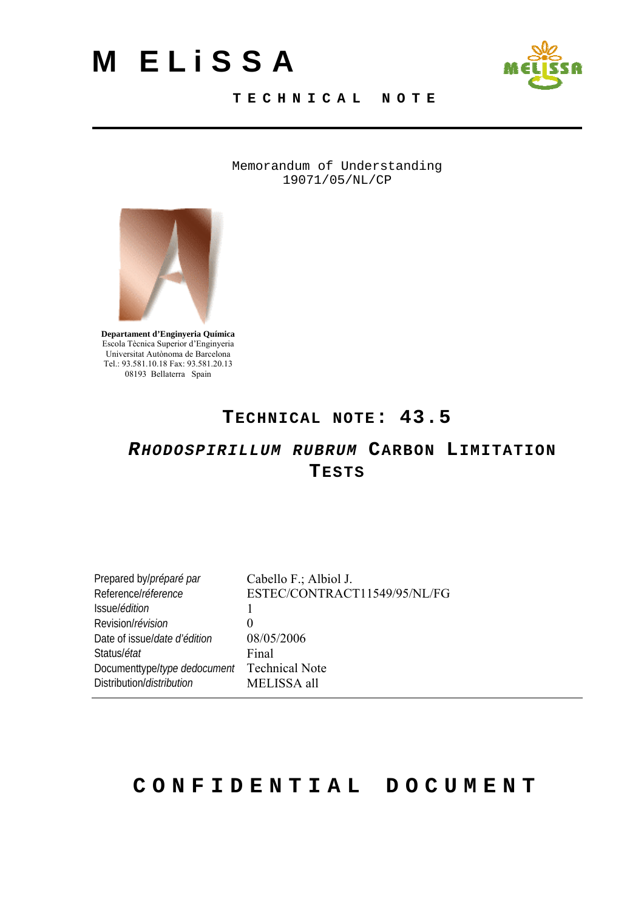# <span id="page-0-0"></span>**M ELiSSA**



#### **TECHNICAL NOTE**

Memorandum of Understanding 19071/05/NL/CP



**Departament d'Enginyeria Química**  Escola Tècnica Superior d'Enginyeria Universitat Autònoma de Barcelona Tel.: 93.581.10.18 Fax: 93.581.20.13 08193 Bellaterra Spain

#### **TECHNICAL NOTE: [43.5](#page-0-0)**

#### *[RHODOSPIRILLUM RUBRUM](#page-0-0)* **[CARBON LIMITATION](#page-0-0)  [TESTS](#page-0-0)**

| Prepared by/préparé par      | Cabello F.; Albiol J.        |
|------------------------------|------------------------------|
| Referencel réference         | ESTEC/CONTRACT11549/95/NL/FG |
| Issuel édition               |                              |
| Revision/révision            | $\theta$                     |
| Date of issue/date d'édition | 08/05/2006                   |
| Status/état                  | Final                        |
| Documenttype/type dedocument | <b>Technical Note</b>        |
| Distribution/distribution    | MELISSA all                  |
|                              |                              |

#### **CONFIDENTIAL DOCUMENT**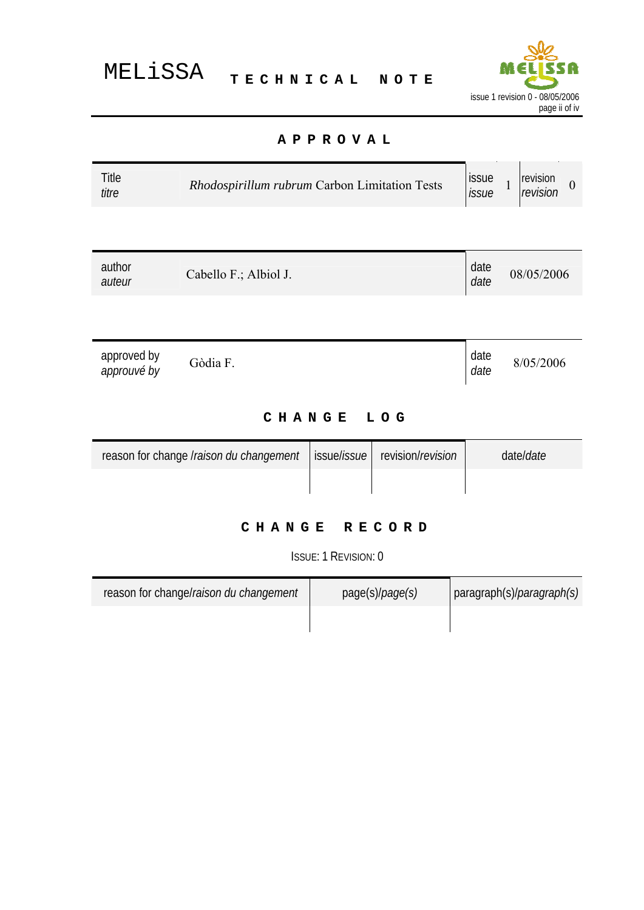

#### **APPROVAL**

<span id="page-1-0"></span>

| Title<br>titre             | Rhodospirillum rubrum Carbon Limitation Tests |             |                   | issue<br>issue | revision<br>$\overline{1}$<br>$\boldsymbol{0}$<br>revision |
|----------------------------|-----------------------------------------------|-------------|-------------------|----------------|------------------------------------------------------------|
|                            |                                               |             |                   |                |                                                            |
| author<br>auteur           | Cabello F.; Albiol J.                         |             |                   | date<br>date   | 08/05/2006                                                 |
|                            |                                               |             |                   |                |                                                            |
| approved by<br>approuvé by | Gòdia F.                                      |             |                   | date<br>date   | 8/05/2006                                                  |
| <b>CHANGE</b><br>LOG       |                                               |             |                   |                |                                                            |
|                            | reason for change Iraison du changement       | issue/issue | revision/revision |                | date/date                                                  |
|                            |                                               |             |                   |                |                                                            |

#### **CHANGE RECORD**

ISSUE: 1 REVISION: 0

| reason for change/raison du changement | page(s)/ <i>page(s)</i> | $\vert$ paragraph(s)/ <i>paragraph(s)</i> |
|----------------------------------------|-------------------------|-------------------------------------------|
|                                        |                         |                                           |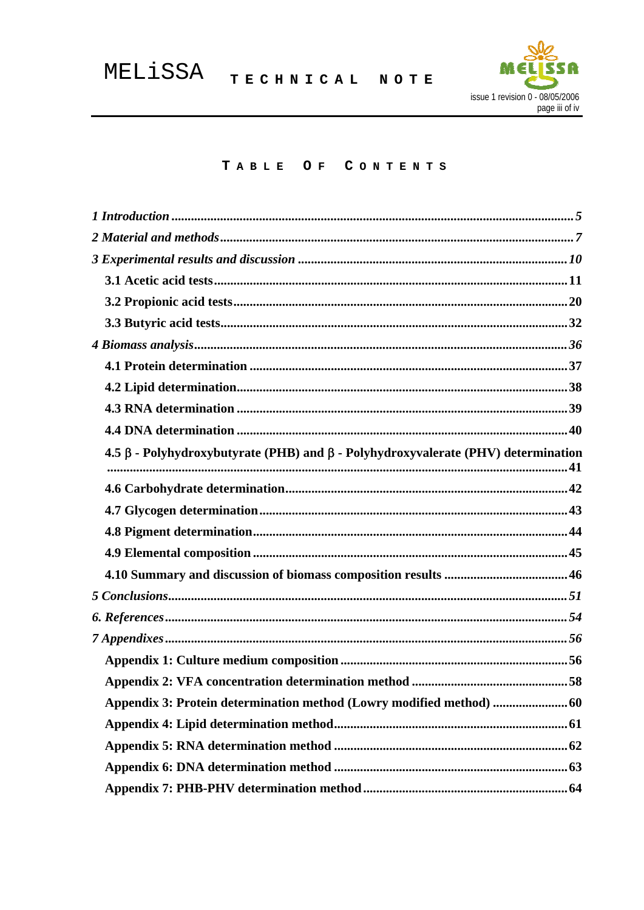

#### TABLE OF CONTENTS

| $4.5 \beta$ - Polyhydroxybutyrate (PHB) and $\beta$ - Polyhydroxyvalerate (PHV) determination |  |
|-----------------------------------------------------------------------------------------------|--|
|                                                                                               |  |
|                                                                                               |  |
|                                                                                               |  |
|                                                                                               |  |
|                                                                                               |  |
|                                                                                               |  |
|                                                                                               |  |
|                                                                                               |  |
|                                                                                               |  |
|                                                                                               |  |
|                                                                                               |  |
| Appendix 3: Protein determination method (Lowry modified method)  60                          |  |
|                                                                                               |  |
|                                                                                               |  |
|                                                                                               |  |
|                                                                                               |  |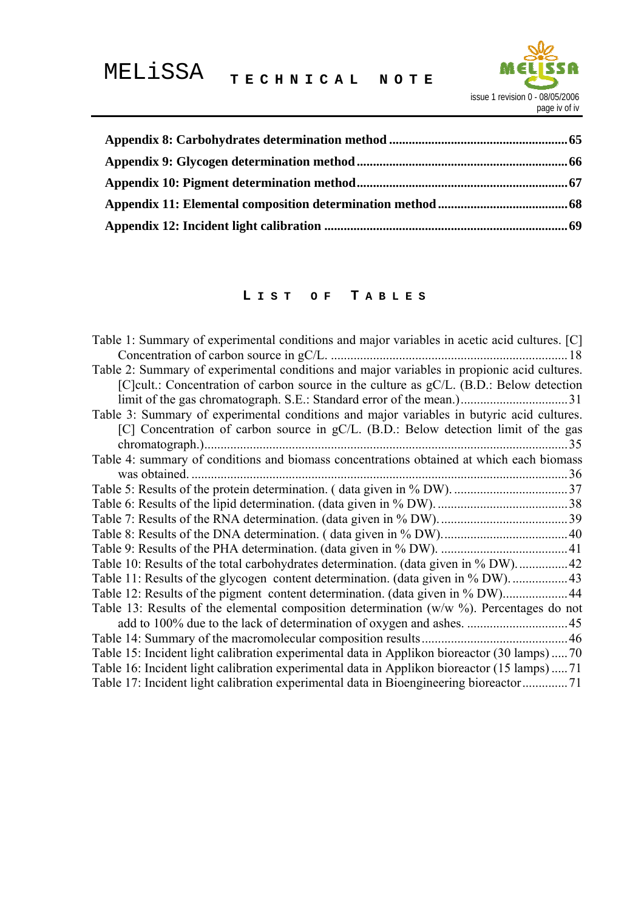

#### **L IST OF T ABLES**

| Table 1: Summary of experimental conditions and major variables in acetic acid cultures. [C] |
|----------------------------------------------------------------------------------------------|
| Concentration of carbon source in gC/L.<br>18                                                |
| Table 2: Summary of experimental conditions and major variables in propionic acid cultures.  |
| [C] cult.: Concentration of carbon source in the culture as gC/L. (B.D.: Below detection     |
|                                                                                              |
| Table 3: Summary of experimental conditions and major variables in butyric acid cultures.    |
| [C] Concentration of carbon source in gC/L. (B.D.: Below detection limit of the gas          |
| 35                                                                                           |
| Table 4: summary of conditions and biomass concentrations obtained at which each biomass     |
| was obtained.                                                                                |
|                                                                                              |
|                                                                                              |
|                                                                                              |
|                                                                                              |
|                                                                                              |
| Table 10: Results of the total carbohydrates determination. (data given in % DW)42           |
| Table 11: Results of the glycogen content determination. (data given in % DW)                |
| Table 12: Results of the pigment content determination. (data given in % DW) 44              |
| Table 13: Results of the elemental composition determination ( $w/w$ %). Percentages do not  |
|                                                                                              |
|                                                                                              |
| Table 15: Incident light calibration experimental data in Applikon bioreactor (30 lamps)  70 |
| Table 16: Incident light calibration experimental data in Applikon bioreactor (15 lamps)  71 |
| Table 17: Incident light calibration experimental data in Bioengineering bioreactor71        |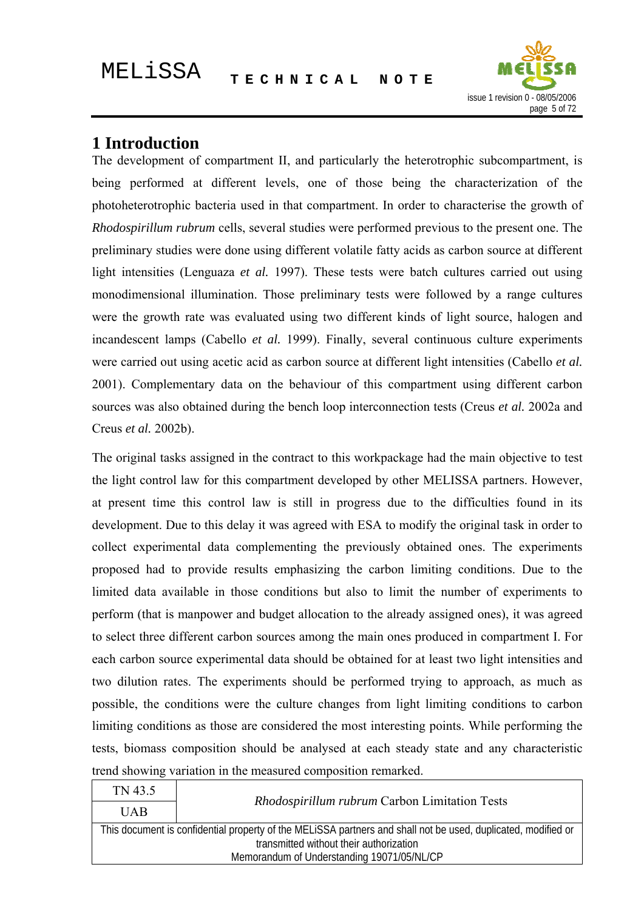

#### <span id="page-4-0"></span>**1 Introduction**

The development of compartment II, and particularly the heterotrophic subcompartment, is being performed at different levels, one of those being the characterization of the photoheterotrophic bacteria used in that compartment. In order to characterise the growth of *Rhodospirillum rubrum* cells, several studies were performed previous to the present one. The preliminary studies were done using different volatile fatty acids as carbon source at different light intensities (Lenguaza *et al.* 1997). These tests were batch cultures carried out using monodimensional illumination. Those preliminary tests were followed by a range cultures were the growth rate was evaluated using two different kinds of light source, halogen and incandescent lamps (Cabello *et al.* 1999). Finally, several continuous culture experiments were carried out using acetic acid as carbon source at different light intensities (Cabello *et al.* 2001). Complementary data on the behaviour of this compartment using different carbon sources was also obtained during the bench loop interconnection tests (Creus *et al.* 2002a and Creus *et al.* 2002b).

The original tasks assigned in the contract to this workpackage had the main objective to test the light control law for this compartment developed by other MELISSA partners. However, at present time this control law is still in progress due to the difficulties found in its development. Due to this delay it was agreed with ESA to modify the original task in order to collect experimental data complementing the previously obtained ones. The experiments proposed had to provide results emphasizing the carbon limiting conditions. Due to the limited data available in those conditions but also to limit the number of experiments to perform (that is manpower and budget allocation to the already assigned ones), it was agreed to select three different carbon sources among the main ones produced in compartment I. For each carbon source experimental data should be obtained for at least two light intensities and two dilution rates. The experiments should be performed trying to approach, as much as possible, the conditions were the culture changes from light limiting conditions to carbon limiting conditions as those are considered the most interesting points. While performing the tests, biomass composition should be analysed at each steady state and any characteristic trend showing variation in the measured composition remarked.

| TN 43.5                                                                                                       |                                               |  |
|---------------------------------------------------------------------------------------------------------------|-----------------------------------------------|--|
| <b>UAB</b>                                                                                                    | Rhodospirillum rubrum Carbon Limitation Tests |  |
| This document is confidential property of the MELISSA partners and shall not be used, duplicated, modified or |                                               |  |
| transmitted without their authorization                                                                       |                                               |  |
| Memorandum of Understanding 19071/05/NL/CP                                                                    |                                               |  |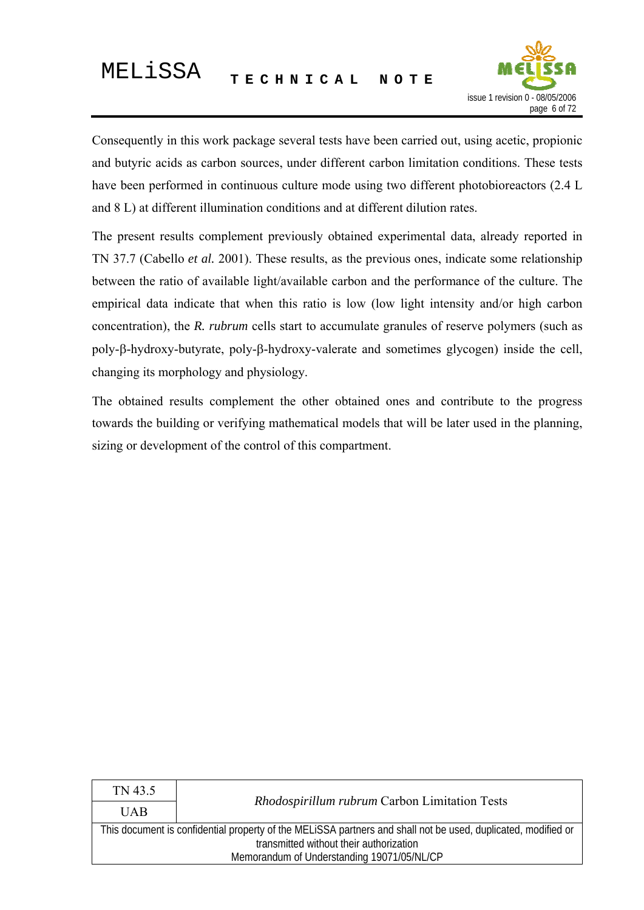

Consequently in this work package several tests have been carried out, using acetic, propionic and butyric acids as carbon sources, under different carbon limitation conditions. These tests have been performed in continuous culture mode using two different photobioreactors (2.4 L and 8 L) at different illumination conditions and at different dilution rates.

The present results complement previously obtained experimental data, already reported in TN 37.7 (Cabello *et al.* 2001). These results, as the previous ones, indicate some relationship between the ratio of available light/available carbon and the performance of the culture. The empirical data indicate that when this ratio is low (low light intensity and/or high carbon concentration), the *R. rubrum* cells start to accumulate granules of reserve polymers (such as poly-β-hydroxy-butyrate, poly-β-hydroxy-valerate and sometimes glycogen) inside the cell, changing its morphology and physiology.

The obtained results complement the other obtained ones and contribute to the progress towards the building or verifying mathematical models that will be later used in the planning, sizing or development of the control of this compartment.

| TN 43.5                                                                                                                                                  |                                               |  |
|----------------------------------------------------------------------------------------------------------------------------------------------------------|-----------------------------------------------|--|
| <b>UAB</b>                                                                                                                                               | Rhodospirillum rubrum Carbon Limitation Tests |  |
| This document is confidential property of the MELISSA partners and shall not be used, duplicated, modified or<br>transmitted without their authorization |                                               |  |
| Memorandum of Understanding 19071/05/NL/CP                                                                                                               |                                               |  |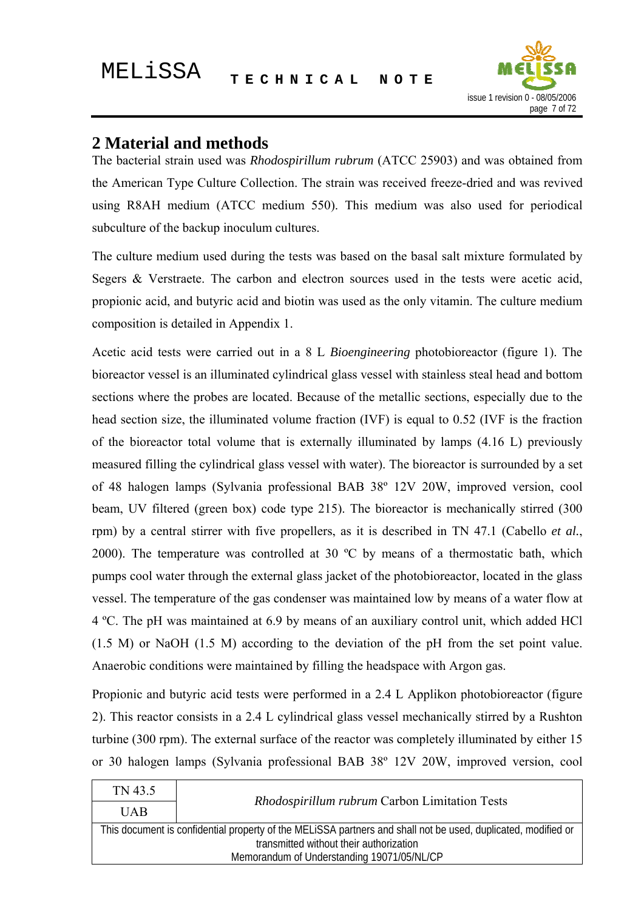

#### <span id="page-6-0"></span>**2 Material and methods**

The bacterial strain used was *Rhodospirillum rubrum* (ATCC 25903) and was obtained from the American Type Culture Collection. The strain was received freeze-dried and was revived using R8AH medium (ATCC medium 550). This medium was also used for periodical subculture of the backup inoculum cultures.

The culture medium used during the tests was based on the basal salt mixture formulated by Segers & Verstraete. The carbon and electron sources used in the tests were acetic acid, propionic acid, and butyric acid and biotin was used as the only vitamin. The culture medium composition is detailed in Appendix 1.

Acetic acid tests were carried out in a 8 L *Bioengineering* photobioreactor (figure 1). The bioreactor vessel is an illuminated cylindrical glass vessel with stainless steal head and bottom sections where the probes are located. Because of the metallic sections, especially due to the head section size, the illuminated volume fraction (IVF) is equal to 0.52 (IVF is the fraction of the bioreactor total volume that is externally illuminated by lamps (4.16 L) previously measured filling the cylindrical glass vessel with water). The bioreactor is surrounded by a set of 48 halogen lamps (Sylvania professional BAB 38º 12V 20W, improved version, cool beam, UV filtered (green box) code type 215). The bioreactor is mechanically stirred (300 rpm) by a central stirrer with five propellers, as it is described in TN 47.1 (Cabello *et al.*, 2000). The temperature was controlled at 30 ºC by means of a thermostatic bath, which pumps cool water through the external glass jacket of the photobioreactor, located in the glass vessel. The temperature of the gas condenser was maintained low by means of a water flow at 4 ºC. The pH was maintained at 6.9 by means of an auxiliary control unit, which added HCl (1.5 M) or NaOH (1.5 M) according to the deviation of the pH from the set point value. Anaerobic conditions were maintained by filling the headspace with Argon gas.

Propionic and butyric acid tests were performed in a 2.4 L Applikon photobioreactor (figure 2). This reactor consists in a 2.4 L cylindrical glass vessel mechanically stirred by a Rushton turbine (300 rpm). The external surface of the reactor was completely illuminated by either 15 or 30 halogen lamps (Sylvania professional BAB 38º 12V 20W, improved version, cool

| TN 43.5                                                                                                       |                                               |  |
|---------------------------------------------------------------------------------------------------------------|-----------------------------------------------|--|
| <b>UAB</b>                                                                                                    | Rhodospirillum rubrum Carbon Limitation Tests |  |
| This document is confidential property of the MELISSA partners and shall not be used, duplicated, modified or |                                               |  |
| transmitted without their authorization                                                                       |                                               |  |
| Memorandum of Understanding 19071/05/NL/CP                                                                    |                                               |  |
|                                                                                                               |                                               |  |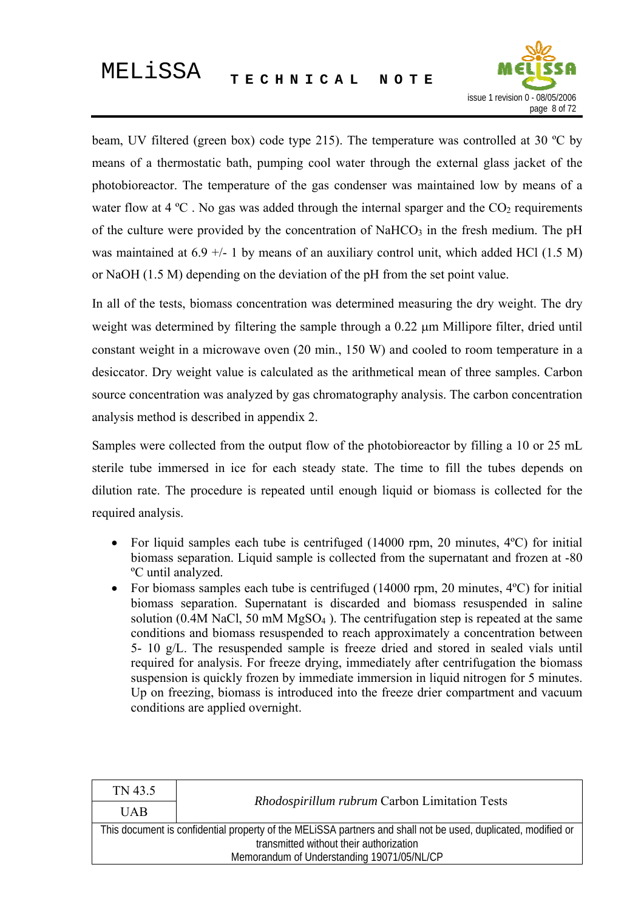

beam, UV filtered (green box) code type 215). The temperature was controlled at 30 ºC by means of a thermostatic bath, pumping cool water through the external glass jacket of the photobioreactor. The temperature of the gas condenser was maintained low by means of a water flow at 4  $^{\circ}$ C. No gas was added through the internal sparger and the CO<sub>2</sub> requirements of the culture were provided by the concentration of NaHCO<sub>3</sub> in the fresh medium. The pH was maintained at  $6.9 +/- 1$  by means of an auxiliary control unit, which added HCl (1.5 M) or NaOH (1.5 M) depending on the deviation of the pH from the set point value.

In all of the tests, biomass concentration was determined measuring the dry weight. The dry weight was determined by filtering the sample through a 0.22 μm Millipore filter, dried until constant weight in a microwave oven (20 min., 150 W) and cooled to room temperature in a desiccator. Dry weight value is calculated as the arithmetical mean of three samples. Carbon source concentration was analyzed by gas chromatography analysis. The carbon concentration analysis method is described in appendix 2.

Samples were collected from the output flow of the photobioreactor by filling a 10 or 25 mL sterile tube immersed in ice for each steady state. The time to fill the tubes depends on dilution rate. The procedure is repeated until enough liquid or biomass is collected for the required analysis.

- For liquid samples each tube is centrifuged (14000 rpm, 20 minutes, 4 °C) for initial biomass separation. Liquid sample is collected from the supernatant and frozen at -80 ºC until analyzed.
- For biomass samples each tube is centrifuged  $(14000$  rpm, 20 minutes,  $4^{\circ}$ C) for initial biomass separation. Supernatant is discarded and biomass resuspended in saline solution (0.4M NaCl, 50 mM  $MgSO<sub>4</sub>$ ). The centrifugation step is repeated at the same conditions and biomass resuspended to reach approximately a concentration between 5- 10 g/L. The resuspended sample is freeze dried and stored in sealed vials until required for analysis. For freeze drying, immediately after centrifugation the biomass suspension is quickly frozen by immediate immersion in liquid nitrogen for 5 minutes. Up on freezing, biomass is introduced into the freeze drier compartment and vacuum conditions are applied overnight.

| TN 43.5                                                                                                       |                                               |  |
|---------------------------------------------------------------------------------------------------------------|-----------------------------------------------|--|
| <b>UAB</b>                                                                                                    | Rhodospirillum rubrum Carbon Limitation Tests |  |
| This document is confidential property of the MELISSA partners and shall not be used, duplicated, modified or |                                               |  |
| transmitted without their authorization                                                                       |                                               |  |
| Memorandum of Understanding 19071/05/NL/CP                                                                    |                                               |  |
|                                                                                                               |                                               |  |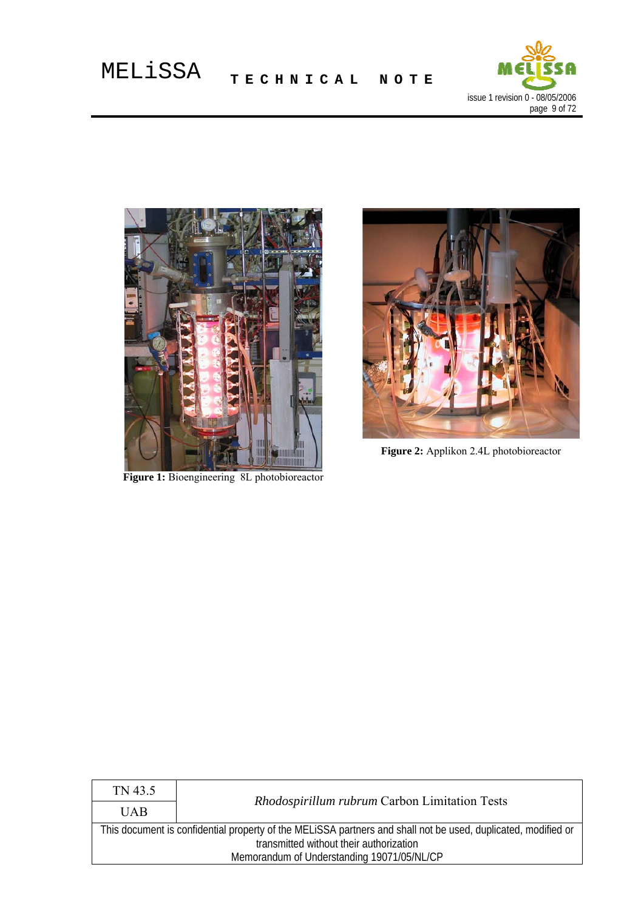



**Figure 1:** Bioengineering 8L photobioreactor



**Figure 2:** Applikon 2.4L photobioreactor

| TN 43.5                                                                                                       |                                               |  |
|---------------------------------------------------------------------------------------------------------------|-----------------------------------------------|--|
| <b>UAB</b>                                                                                                    | Rhodospirillum rubrum Carbon Limitation Tests |  |
| This document is confidential property of the MELISSA partners and shall not be used, duplicated, modified or |                                               |  |
| transmitted without their authorization                                                                       |                                               |  |
| Memorandum of Understanding 19071/05/NL/CP                                                                    |                                               |  |
|                                                                                                               |                                               |  |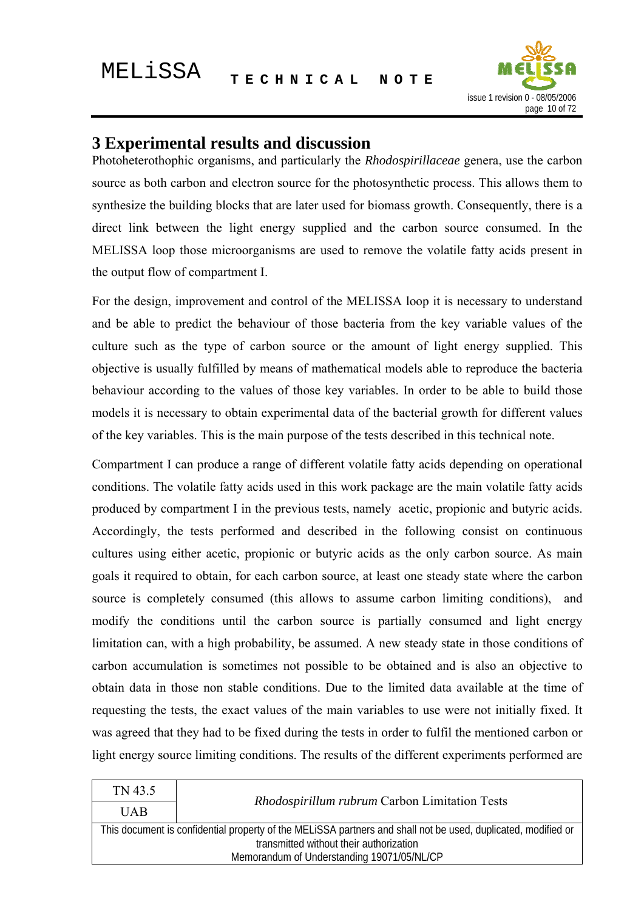

#### <span id="page-9-0"></span>**3 Experimental results and discussion**

Photoheterothophic organisms, and particularly the *Rhodospirillaceae* genera, use the carbon source as both carbon and electron source for the photosynthetic process. This allows them to synthesize the building blocks that are later used for biomass growth. Consequently, there is a direct link between the light energy supplied and the carbon source consumed. In the MELISSA loop those microorganisms are used to remove the volatile fatty acids present in the output flow of compartment I.

For the design, improvement and control of the MELISSA loop it is necessary to understand and be able to predict the behaviour of those bacteria from the key variable values of the culture such as the type of carbon source or the amount of light energy supplied. This objective is usually fulfilled by means of mathematical models able to reproduce the bacteria behaviour according to the values of those key variables. In order to be able to build those models it is necessary to obtain experimental data of the bacterial growth for different values of the key variables. This is the main purpose of the tests described in this technical note.

Compartment I can produce a range of different volatile fatty acids depending on operational conditions. The volatile fatty acids used in this work package are the main volatile fatty acids produced by compartment I in the previous tests, namely acetic, propionic and butyric acids. Accordingly, the tests performed and described in the following consist on continuous cultures using either acetic, propionic or butyric acids as the only carbon source. As main goals it required to obtain, for each carbon source, at least one steady state where the carbon source is completely consumed (this allows to assume carbon limiting conditions), and modify the conditions until the carbon source is partially consumed and light energy limitation can, with a high probability, be assumed. A new steady state in those conditions of carbon accumulation is sometimes not possible to be obtained and is also an objective to obtain data in those non stable conditions. Due to the limited data available at the time of requesting the tests, the exact values of the main variables to use were not initially fixed. It was agreed that they had to be fixed during the tests in order to fulfil the mentioned carbon or light energy source limiting conditions. The results of the different experiments performed are

| TN 43.5                                                                                                       |                                               |  |
|---------------------------------------------------------------------------------------------------------------|-----------------------------------------------|--|
| <b>UAB</b>                                                                                                    | Rhodospirillum rubrum Carbon Limitation Tests |  |
| This document is confidential property of the MELISSA partners and shall not be used, duplicated, modified or |                                               |  |
| transmitted without their authorization                                                                       |                                               |  |
| Memorandum of Understanding 19071/05/NL/CP                                                                    |                                               |  |
|                                                                                                               |                                               |  |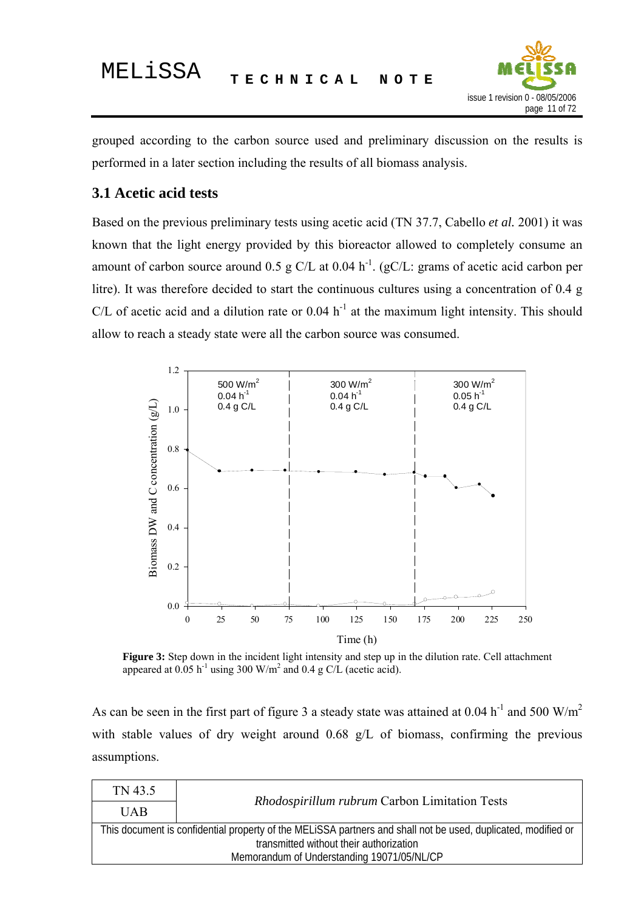

<span id="page-10-0"></span>grouped according to the carbon source used and preliminary discussion on the results is performed in a later section including the results of all biomass analysis.

#### **3.1 Acetic acid tests**

Based on the previous preliminary tests using acetic acid (TN 37.7, Cabello *et al.* 2001) it was known that the light energy provided by this bioreactor allowed to completely consume an amount of carbon source around 0.5 g C/L at 0.04 h<sup>-1</sup>. (gC/L: grams of acetic acid carbon per litre). It was therefore decided to start the continuous cultures using a concentration of 0.4 g C/L of acetic acid and a dilution rate or  $0.04 h^{-1}$  at the maximum light intensity. This should allow to reach a steady state were all the carbon source was consumed.



**Figure 3:** Step down in the incident light intensity and step up in the dilution rate. Cell attachment appeared at  $0.05$  h<sup>-1</sup> using 300 W/m<sup>2</sup> and 0.4 g C/L (acetic acid).

As can be seen in the first part of figure 3 a steady state was attained at  $0.04 h^{-1}$  and  $500 W/m^2$ with stable values of dry weight around 0.68 g/L of biomass, confirming the previous assumptions.

| TN 43.5                                                                                                                                                  | Rhodospirillum rubrum Carbon Limitation Tests |  |
|----------------------------------------------------------------------------------------------------------------------------------------------------------|-----------------------------------------------|--|
| <b>UAB</b>                                                                                                                                               |                                               |  |
| This document is confidential property of the MELiSSA partners and shall not be used, duplicated, modified or<br>transmitted without their authorization |                                               |  |
| Memorandum of Understanding 19071/05/NL/CP                                                                                                               |                                               |  |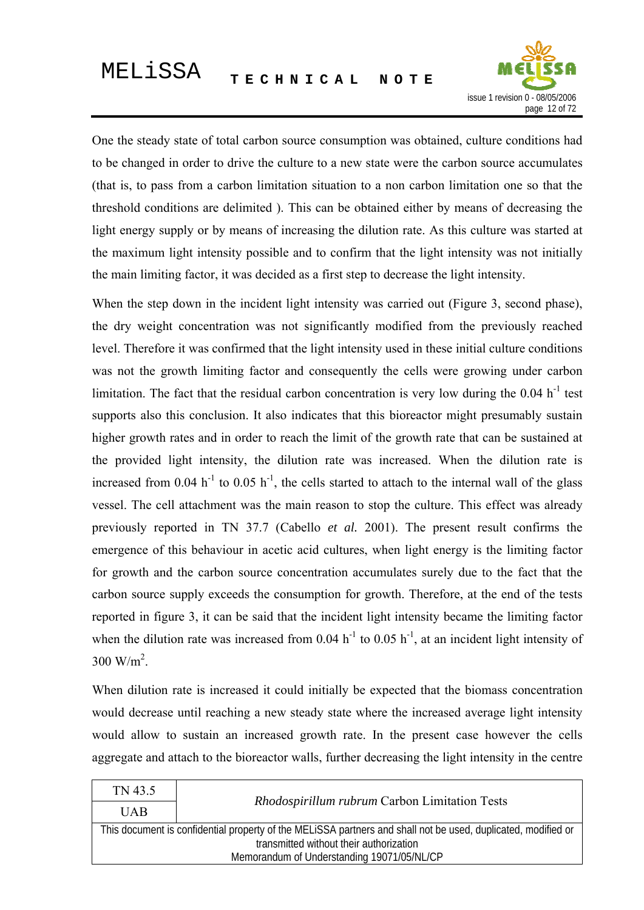

One the steady state of total carbon source consumption was obtained, culture conditions had to be changed in order to drive the culture to a new state were the carbon source accumulates (that is, to pass from a carbon limitation situation to a non carbon limitation one so that the threshold conditions are delimited ). This can be obtained either by means of decreasing the light energy supply or by means of increasing the dilution rate. As this culture was started at the maximum light intensity possible and to confirm that the light intensity was not initially the main limiting factor, it was decided as a first step to decrease the light intensity.

When the step down in the incident light intensity was carried out (Figure 3, second phase), the dry weight concentration was not significantly modified from the previously reached level. Therefore it was confirmed that the light intensity used in these initial culture conditions was not the growth limiting factor and consequently the cells were growing under carbon limitation. The fact that the residual carbon concentration is very low during the  $0.04 h^{-1}$  test supports also this conclusion. It also indicates that this bioreactor might presumably sustain higher growth rates and in order to reach the limit of the growth rate that can be sustained at the provided light intensity, the dilution rate was increased. When the dilution rate is increased from  $0.04 h^{-1}$  to  $0.05 h^{-1}$ , the cells started to attach to the internal wall of the glass vessel. The cell attachment was the main reason to stop the culture. This effect was already previously reported in TN 37.7 (Cabello *et al.* 2001). The present result confirms the emergence of this behaviour in acetic acid cultures, when light energy is the limiting factor for growth and the carbon source concentration accumulates surely due to the fact that the carbon source supply exceeds the consumption for growth. Therefore, at the end of the tests reported in figure 3, it can be said that the incident light intensity became the limiting factor when the dilution rate was increased from  $0.04 h^{-1}$  to  $0.05 h^{-1}$ , at an incident light intensity of  $300 \text{ W/m}^2$ .

When dilution rate is increased it could initially be expected that the biomass concentration would decrease until reaching a new steady state where the increased average light intensity would allow to sustain an increased growth rate. In the present case however the cells aggregate and attach to the bioreactor walls, further decreasing the light intensity in the centre

| TN 43.5                                                                                                       |                                               |  |  |
|---------------------------------------------------------------------------------------------------------------|-----------------------------------------------|--|--|
| <b>UAB</b>                                                                                                    | Rhodospirillum rubrum Carbon Limitation Tests |  |  |
| This document is confidential property of the MELISSA partners and shall not be used, duplicated, modified or |                                               |  |  |
| transmitted without their authorization                                                                       |                                               |  |  |
| Memorandum of Understanding 19071/05/NL/CP                                                                    |                                               |  |  |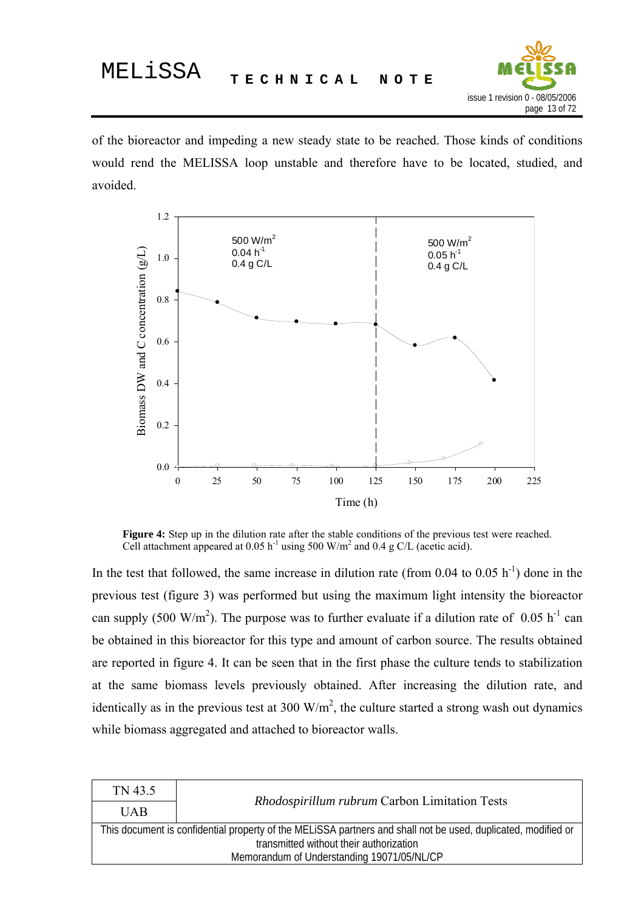

of the bioreactor and impeding a new steady state to be reached. Those kinds of conditions would rend the MELISSA loop unstable and therefore have to be located, studied, and avoided.



**Figure 4:** Step up in the dilution rate after the stable conditions of the previous test were reached. Cell attachment appeared at  $0.05$  h<sup>-1</sup> using 500 W/m<sup>2</sup> and 0.4 g C/L (acetic acid).

In the test that followed, the same increase in dilution rate (from  $0.04$  to  $0.05$  h<sup>-1</sup>) done in the previous test (figure 3) was performed but using the maximum light intensity the bioreactor can supply (500 W/m<sup>2</sup>). The purpose was to further evaluate if a dilution rate of 0.05 h<sup>-1</sup> can be obtained in this bioreactor for this type and amount of carbon source. The results obtained are reported in figure 4. It can be seen that in the first phase the culture tends to stabilization at the same biomass levels previously obtained. After increasing the dilution rate, and identically as in the previous test at 300  $W/m<sup>2</sup>$ , the culture started a strong wash out dynamics while biomass aggregated and attached to bioreactor walls.

| TN 43.5                                                                                                       |                                               |  |
|---------------------------------------------------------------------------------------------------------------|-----------------------------------------------|--|
| <b>UAB</b>                                                                                                    | Rhodospirillum rubrum Carbon Limitation Tests |  |
| This document is confidential property of the MELISSA partners and shall not be used, duplicated, modified or |                                               |  |
| transmitted without their authorization                                                                       |                                               |  |
| Memorandum of Understanding 19071/05/NL/CP                                                                    |                                               |  |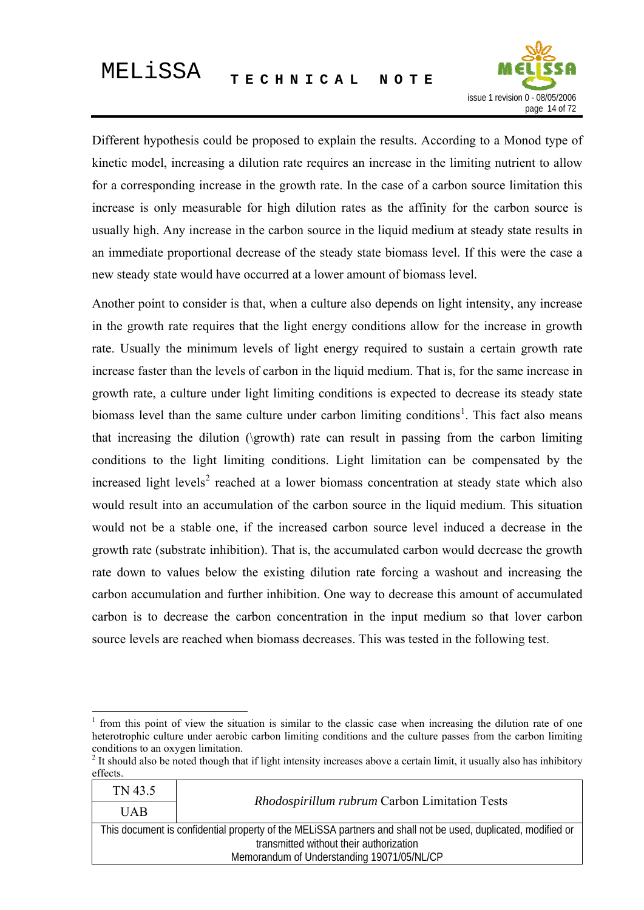

Different hypothesis could be proposed to explain the results. According to a Monod type of kinetic model, increasing a dilution rate requires an increase in the limiting nutrient to allow for a corresponding increase in the growth rate. In the case of a carbon source limitation this increase is only measurable for high dilution rates as the affinity for the carbon source is usually high. Any increase in the carbon source in the liquid medium at steady state results in an immediate proportional decrease of the steady state biomass level. If this were the case a new steady state would have occurred at a lower amount of biomass level.

Another point to consider is that, when a culture also depends on light intensity, any increase in the growth rate requires that the light energy conditions allow for the increase in growth rate. Usually the minimum levels of light energy required to sustain a certain growth rate increase faster than the levels of carbon in the liquid medium. That is, for the same increase in growth rate, a culture under light limiting conditions is expected to decrease its steady state biomass level than the same culture under carbon limiting conditions<sup>[1](#page-13-0)</sup>. This fact also means that increasing the dilution (\growth) rate can result in passing from the carbon limiting conditions to the light limiting conditions. Light limitation can be compensated by the increased light levels<sup>[2](#page-13-1)</sup> reached at a lower biomass concentration at steady state which also would result into an accumulation of the carbon source in the liquid medium. This situation would not be a stable one, if the increased carbon source level induced a decrease in the growth rate (substrate inhibition). That is, the accumulated carbon would decrease the growth rate down to values below the existing dilution rate forcing a washout and increasing the carbon accumulation and further inhibition. One way to decrease this amount of accumulated carbon is to decrease the carbon concentration in the input medium so that lover carbon source levels are reached when biomass decreases. This was tested in the following test.

1

<span id="page-13-1"></span> $2$  It should also be noted though that if light intensity increases above a certain limit, it usually also has inhibitory effects.

| TN 43.5                                                                                                       |                                               |  |  |
|---------------------------------------------------------------------------------------------------------------|-----------------------------------------------|--|--|
| <b>UAB</b>                                                                                                    | Rhodospirillum rubrum Carbon Limitation Tests |  |  |
| This document is confidential property of the MELISSA partners and shall not be used, duplicated, modified or |                                               |  |  |
| transmitted without their authorization                                                                       |                                               |  |  |
| Memorandum of Understanding 19071/05/NL/CP                                                                    |                                               |  |  |
|                                                                                                               |                                               |  |  |

<span id="page-13-0"></span><sup>1</sup> from this point of view the situation is similar to the classic case when increasing the dilution rate of one heterotrophic culture under aerobic carbon limiting conditions and the culture passes from the carbon limiting conditions to an oxygen limitation.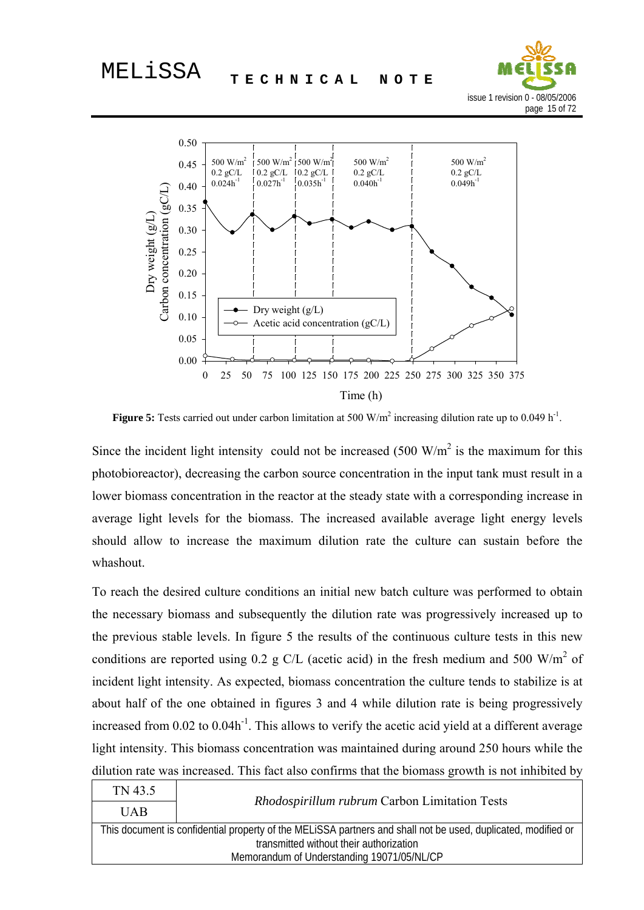



**Figure 5:** Tests carried out under carbon limitation at 500  $W/m<sup>2</sup>$  increasing dilution rate up to 0.049  $h<sup>-1</sup>$ .

Since the incident light intensity could not be increased  $(500 \text{ W/m}^2)$  is the maximum for this photobioreactor), decreasing the carbon source concentration in the input tank must result in a lower biomass concentration in the reactor at the steady state with a corresponding increase in average light levels for the biomass. The increased available average light energy levels should allow to increase the maximum dilution rate the culture can sustain before the whashout.

To reach the desired culture conditions an initial new batch culture was performed to obtain the necessary biomass and subsequently the dilution rate was progressively increased up to the previous stable levels. In figure 5 the results of the continuous culture tests in this new conditions are reported using 0.2 g C/L (acetic acid) in the fresh medium and 500 W/m<sup>2</sup> of incident light intensity. As expected, biomass concentration the culture tends to stabilize is at about half of the one obtained in figures 3 and 4 while dilution rate is being progressively increased from  $0.02$  to  $0.04h^{-1}$ . This allows to verify the acetic acid yield at a different average light intensity. This biomass concentration was maintained during around 250 hours while the dilution rate was increased. This fact also confirms that the biomass growth is not inhibited by

| TN 43.5                                                                                                       |                                               |  |  |
|---------------------------------------------------------------------------------------------------------------|-----------------------------------------------|--|--|
| <b>UAB</b>                                                                                                    | Rhodospirillum rubrum Carbon Limitation Tests |  |  |
| This document is confidential property of the MELISSA partners and shall not be used, duplicated, modified or |                                               |  |  |
| transmitted without their authorization                                                                       |                                               |  |  |
| Memorandum of Understanding 19071/05/NL/CP                                                                    |                                               |  |  |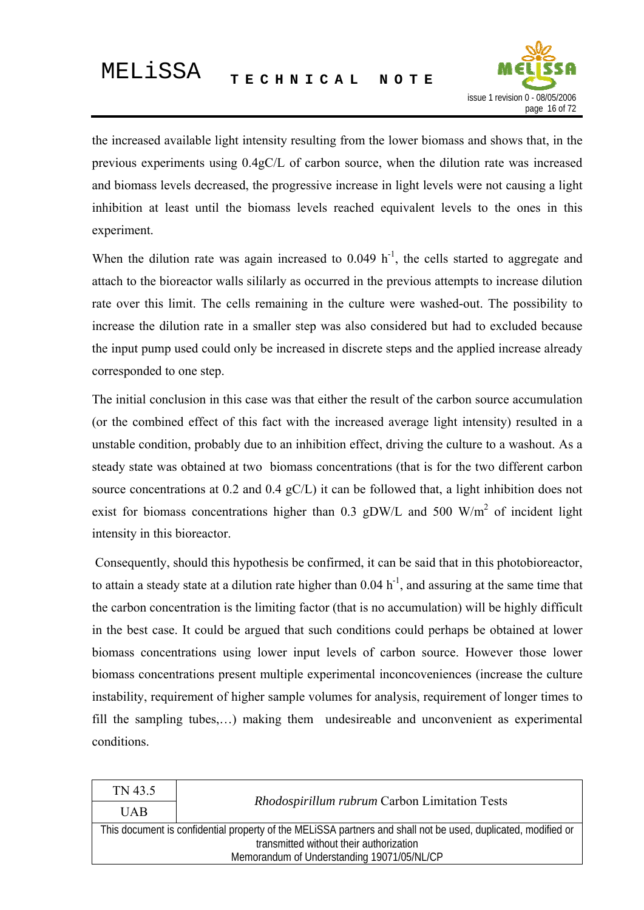

the increased available light intensity resulting from the lower biomass and shows that, in the previous experiments using 0.4gC/L of carbon source, when the dilution rate was increased and biomass levels decreased, the progressive increase in light levels were not causing a light inhibition at least until the biomass levels reached equivalent levels to the ones in this experiment.

When the dilution rate was again increased to  $0.049 \; h^{-1}$ , the cells started to aggregate and attach to the bioreactor walls sililarly as occurred in the previous attempts to increase dilution rate over this limit. The cells remaining in the culture were washed-out. The possibility to increase the dilution rate in a smaller step was also considered but had to excluded because the input pump used could only be increased in discrete steps and the applied increase already corresponded to one step.

The initial conclusion in this case was that either the result of the carbon source accumulation (or the combined effect of this fact with the increased average light intensity) resulted in a unstable condition, probably due to an inhibition effect, driving the culture to a washout. As a steady state was obtained at two biomass concentrations (that is for the two different carbon source concentrations at 0.2 and 0.4 gC/L) it can be followed that, a light inhibition does not exist for biomass concentrations higher than 0.3 gDW/L and 500 W/m<sup>2</sup> of incident light intensity in this bioreactor.

 Consequently, should this hypothesis be confirmed, it can be said that in this photobioreactor, to attain a steady state at a dilution rate higher than  $0.04 h^{-1}$ , and assuring at the same time that the carbon concentration is the limiting factor (that is no accumulation) will be highly difficult in the best case. It could be argued that such conditions could perhaps be obtained at lower biomass concentrations using lower input levels of carbon source. However those lower biomass concentrations present multiple experimental inconcoveniences (increase the culture instability, requirement of higher sample volumes for analysis, requirement of longer times to fill the sampling tubes,…) making them undesireable and unconvenient as experimental conditions.

| TN 43.5                                                                                                       | <i>Rhodospirillum rubrum</i> Carbon Limitation Tests |  |  |
|---------------------------------------------------------------------------------------------------------------|------------------------------------------------------|--|--|
| <b>UAB</b>                                                                                                    |                                                      |  |  |
| This document is confidential property of the MELISSA partners and shall not be used, duplicated, modified or |                                                      |  |  |
| transmitted without their authorization                                                                       |                                                      |  |  |
| Memorandum of Understanding 19071/05/NL/CP                                                                    |                                                      |  |  |
|                                                                                                               |                                                      |  |  |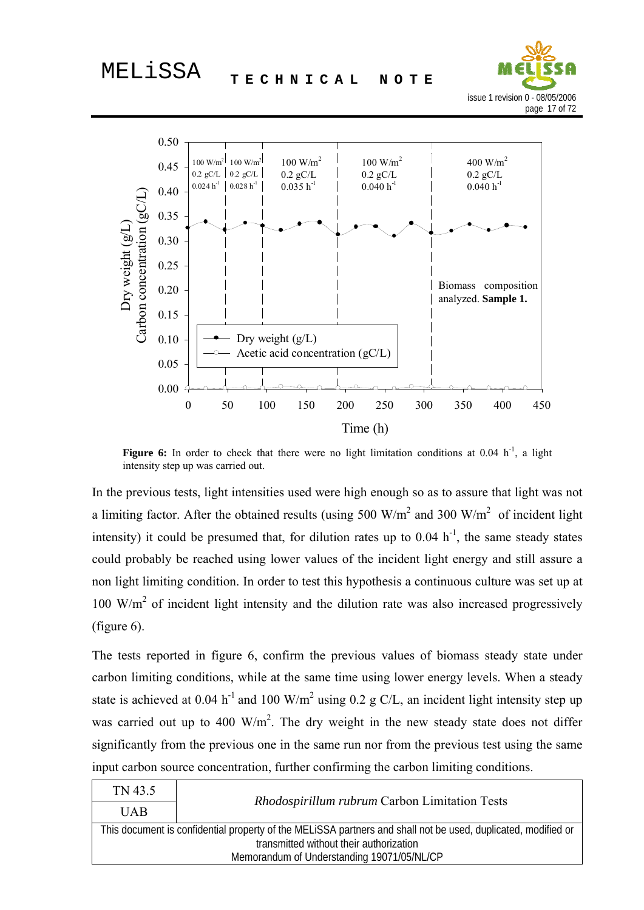



**Figure 6:** In order to check that there were no light limitation conditions at 0.04  $h^{-1}$ , a light intensity step up was carried out.

In the previous tests, light intensities used were high enough so as to assure that light was not a limiting factor. After the obtained results (using 500 W/m<sup>2</sup> and 300 W/m<sup>2</sup> of incident light intensity) it could be presumed that, for dilution rates up to  $0.04 \text{ h}^{-1}$ , the same steady states could probably be reached using lower values of the incident light energy and still assure a non light limiting condition. In order to test this hypothesis a continuous culture was set up at 100 W/m<sup>2</sup> of incident light intensity and the dilution rate was also increased progressively (figure 6).

The tests reported in figure 6, confirm the previous values of biomass steady state under carbon limiting conditions, while at the same time using lower energy levels. When a steady state is achieved at 0.04 h<sup>-1</sup> and 100 W/m<sup>2</sup> using 0.2 g C/L, an incident light intensity step up was carried out up to 400  $\text{W/m}^2$ . The dry weight in the new steady state does not differ significantly from the previous one in the same run nor from the previous test using the same input carbon source concentration, further confirming the carbon limiting conditions.

| <b>UAB</b><br>This document is confidential property of the MELISSA partners and shall not be used, duplicated, modified or | TN 43.5 |                                               |  |
|-----------------------------------------------------------------------------------------------------------------------------|---------|-----------------------------------------------|--|
|                                                                                                                             |         | Rhodospirillum rubrum Carbon Limitation Tests |  |
|                                                                                                                             |         |                                               |  |
| transmitted without their authorization                                                                                     |         |                                               |  |
| Memorandum of Understanding 19071/05/NL/CP                                                                                  |         |                                               |  |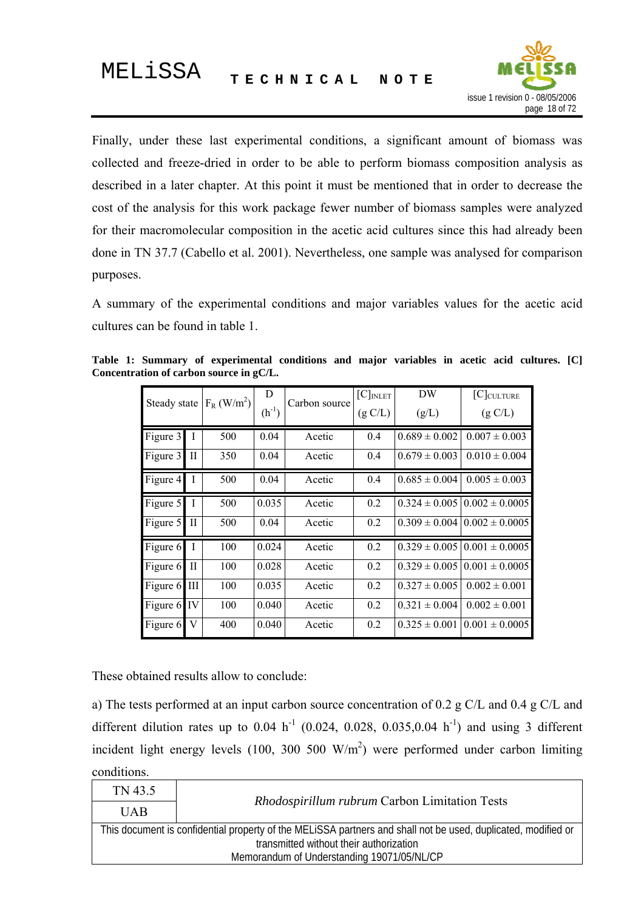

<span id="page-17-0"></span>Finally, under these last experimental conditions, a significant amount of biomass was collected and freeze-dried in order to be able to perform biomass composition analysis as described in a later chapter. At this point it must be mentioned that in order to decrease the cost of the analysis for this work package fewer number of biomass samples were analyzed for their macromolecular composition in the acetic acid cultures since this had already been done in TN 37.7 (Cabello et al. 2001). Nevertheless, one sample was analysed for comparison purposes.

A summary of the experimental conditions and major variables values for the acetic acid cultures can be found in table 1.

| Steady state |                        | $F_R$ (W/m <sup>2</sup> ) | D<br>$(h^{-1})$ | Carbon source | $[C]_{INLET}$<br>(g C/L) | DW<br>(g/L)       | $[C]_{\text{CULTURE}}$<br>(g C/L)           |
|--------------|------------------------|---------------------------|-----------------|---------------|--------------------------|-------------------|---------------------------------------------|
| Figure 3     | $\mathbf I$            | 500                       | 0.04            | Acetic        | 0.4                      | $0.689 \pm 0.002$ | $0.007 \pm 0.003$                           |
| Figure 3     | $_{\rm II}$            | 350                       | 0.04            | Acetic        | 0.4                      | $0.679 \pm 0.003$ | $0.010 \pm 0.004$                           |
| Figure 4     | $\mathbf{I}$           | 500                       | 0.04            | Acetic        | 0.4                      | $0.685 \pm 0.004$ | $0.005 \pm 0.003$                           |
| Figure 5     | $\mathbf I$            | 500                       | 0.035           | Acetic        | 0.2                      |                   | $0.324 \pm 0.005 \, \vert 0.002 \pm 0.0005$ |
| Figure 5     | $\rm{II}$              | 500                       | 0.04            | Acetic        | 0.2                      | $0.309 \pm 0.004$ | $0.002 \pm 0.0005$                          |
| Figure 6     | $\mathbf{I}$           | 100                       | 0.024           | Acetic        | 0.2                      | $0.329 \pm 0.005$ | $0.001 \pm 0.0005$                          |
| Figure 6     | $\mathop{\mathrm{II}}$ | 100                       | 0.028           | Acetic        | 0.2                      | $0.329 \pm 0.005$ | $0.001 \pm 0.0005$                          |
| Figure 6 III |                        | 100                       | 0.035           | Acetic        | 0.2                      | $0.327 \pm 0.005$ | $0.002 \pm 0.001$                           |
| Figure 6 IV  |                        | 100                       | 0.040           | Acetic        | 0.2                      | $0.321 \pm 0.004$ | $0.002 \pm 0.001$                           |
| Figure 6     | V                      | 400                       | 0.040           | Acetic        | 0.2                      | $0.325 \pm 0.001$ | $0.001 \pm 0.0005$                          |

**Table 1: Summary of experimental conditions and major variables in acetic acid cultures. [C] Concentration of carbon source in gC/L.** 

These obtained results allow to conclude:

a) The tests performed at an input carbon source concentration of 0.2 g C/L and 0.4 g C/L and different dilution rates up to  $0.04 \text{ h}^{-1}$  (0.024, 0.028, 0.035, 0.04 h<sup>-1</sup>) and using 3 different incident light energy levels  $(100, 300, 500, W/m^2)$  were performed under carbon limiting conditions.

| TN 43.5                                                                                                       | Rhodospirillum rubrum Carbon Limitation Tests |  |  |
|---------------------------------------------------------------------------------------------------------------|-----------------------------------------------|--|--|
| <b>UAB</b>                                                                                                    |                                               |  |  |
| This document is confidential property of the MELISSA partners and shall not be used, duplicated, modified or |                                               |  |  |
| transmitted without their authorization                                                                       |                                               |  |  |
| Memorandum of Understanding 19071/05/NL/CP                                                                    |                                               |  |  |
|                                                                                                               |                                               |  |  |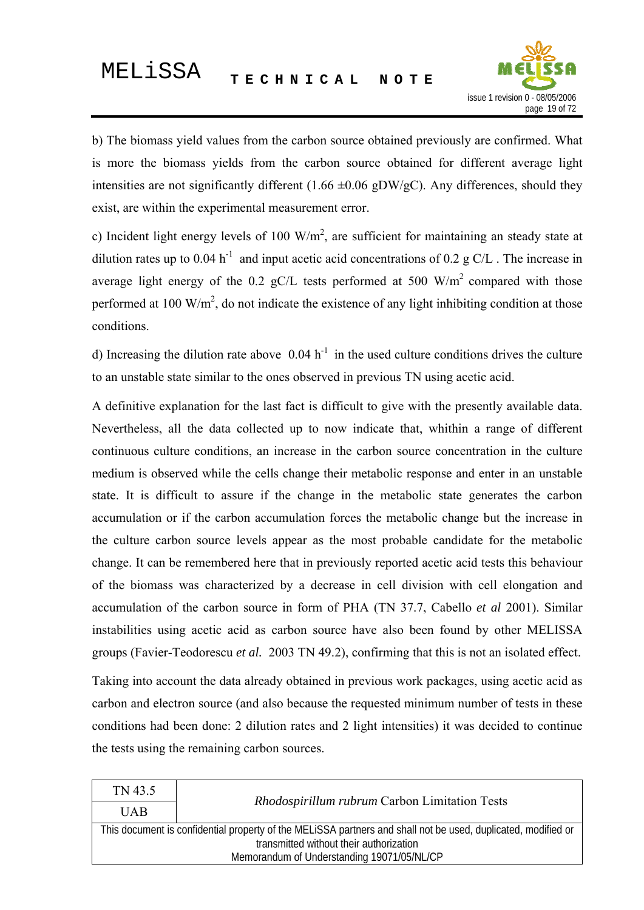

b) The biomass yield values from the carbon source obtained previously are confirmed. What is more the biomass yields from the carbon source obtained for different average light intensities are not significantly different (1.66  $\pm 0.06$  gDW/gC). Any differences, should they exist, are within the experimental measurement error.

c) Incident light energy levels of 100  $W/m^2$ , are sufficient for maintaining an steady state at dilution rates up to 0.04 h<sup>-1</sup> and input acetic acid concentrations of 0.2 g C/L. The increase in average light energy of the 0.2 gC/L tests performed at 500  $\text{W/m}^2$  compared with those performed at 100 W/m<sup>2</sup>, do not indicate the existence of any light inhibiting condition at those conditions.

d) Increasing the dilution rate above  $0.04 h^{-1}$  in the used culture conditions drives the culture to an unstable state similar to the ones observed in previous TN using acetic acid.

A definitive explanation for the last fact is difficult to give with the presently available data. Nevertheless, all the data collected up to now indicate that, whithin a range of different continuous culture conditions, an increase in the carbon source concentration in the culture medium is observed while the cells change their metabolic response and enter in an unstable state. It is difficult to assure if the change in the metabolic state generates the carbon accumulation or if the carbon accumulation forces the metabolic change but the increase in the culture carbon source levels appear as the most probable candidate for the metabolic change. It can be remembered here that in previously reported acetic acid tests this behaviour of the biomass was characterized by a decrease in cell division with cell elongation and accumulation of the carbon source in form of PHA (TN 37.7, Cabello *et al* 2001). Similar instabilities using acetic acid as carbon source have also been found by other MELISSA groups (Favier-Teodorescu *et al.* 2003 TN 49.2), confirming that this is not an isolated effect.

Taking into account the data already obtained in previous work packages, using acetic acid as carbon and electron source (and also because the requested minimum number of tests in these conditions had been done: 2 dilution rates and 2 light intensities) it was decided to continue the tests using the remaining carbon sources.

| TN 43.5                                                                                                       | Rhodospirillum rubrum Carbon Limitation Tests |  |  |
|---------------------------------------------------------------------------------------------------------------|-----------------------------------------------|--|--|
| <b>UAB</b>                                                                                                    |                                               |  |  |
| This document is confidential property of the MELISSA partners and shall not be used, duplicated, modified or |                                               |  |  |
| transmitted without their authorization                                                                       |                                               |  |  |
| Memorandum of Understanding 19071/05/NL/CP                                                                    |                                               |  |  |
|                                                                                                               |                                               |  |  |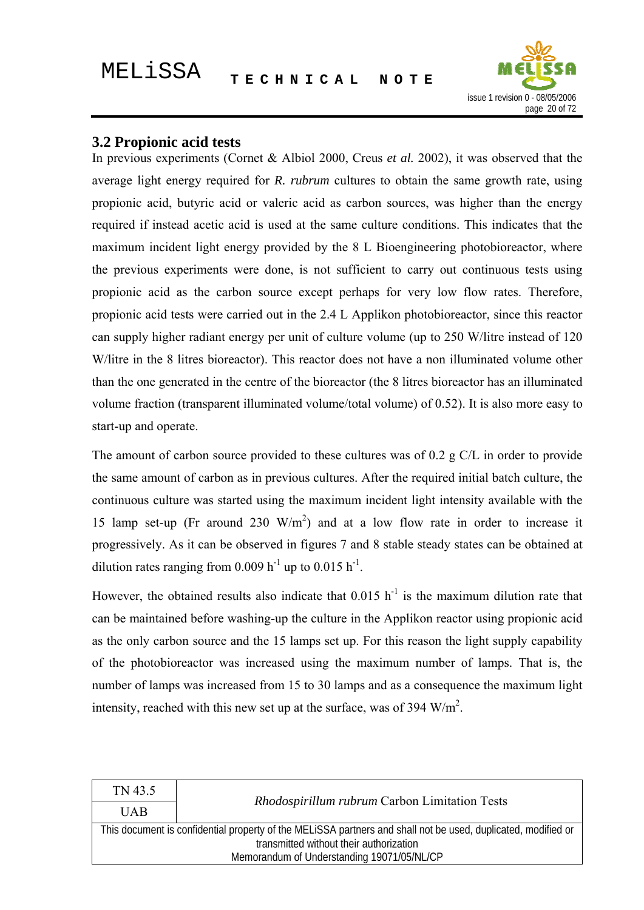

#### <span id="page-19-0"></span>**3.2 Propionic acid tests**

In previous experiments (Cornet & Albiol 2000, Creus *et al.* 2002), it was observed that the average light energy required for *R. rubrum* cultures to obtain the same growth rate, using propionic acid, butyric acid or valeric acid as carbon sources, was higher than the energy required if instead acetic acid is used at the same culture conditions. This indicates that the maximum incident light energy provided by the 8 L Bioengineering photobioreactor, where the previous experiments were done, is not sufficient to carry out continuous tests using propionic acid as the carbon source except perhaps for very low flow rates. Therefore, propionic acid tests were carried out in the 2.4 L Applikon photobioreactor, since this reactor can supply higher radiant energy per unit of culture volume (up to 250 W/litre instead of 120 W/litre in the 8 litres bioreactor). This reactor does not have a non illuminated volume other than the one generated in the centre of the bioreactor (the 8 litres bioreactor has an illuminated volume fraction (transparent illuminated volume/total volume) of 0.52). It is also more easy to start-up and operate.

The amount of carbon source provided to these cultures was of 0.2 g C/L in order to provide the same amount of carbon as in previous cultures. After the required initial batch culture, the continuous culture was started using the maximum incident light intensity available with the 15 lamp set-up (Fr around 230  $W/m<sup>2</sup>$ ) and at a low flow rate in order to increase it progressively. As it can be observed in figures 7 and 8 stable steady states can be obtained at dilution rates ranging from 0.009 h<sup>-1</sup> up to 0.015 h<sup>-1</sup>.

However, the obtained results also indicate that  $0.015$  h<sup>-1</sup> is the maximum dilution rate that can be maintained before washing-up the culture in the Applikon reactor using propionic acid as the only carbon source and the 15 lamps set up. For this reason the light supply capability of the photobioreactor was increased using the maximum number of lamps. That is, the number of lamps was increased from 15 to 30 lamps and as a consequence the maximum light intensity, reached with this new set up at the surface, was of 394  $W/m<sup>2</sup>$ .

| TN 43.5                                                                                                       |                                                      |  |
|---------------------------------------------------------------------------------------------------------------|------------------------------------------------------|--|
| <b>UAB</b>                                                                                                    | <i>Rhodospirillum rubrum</i> Carbon Limitation Tests |  |
| This document is confidential property of the MELiSSA partners and shall not be used, duplicated, modified or |                                                      |  |
| transmitted without their authorization                                                                       |                                                      |  |
| Memorandum of Understanding 19071/05/NL/CP                                                                    |                                                      |  |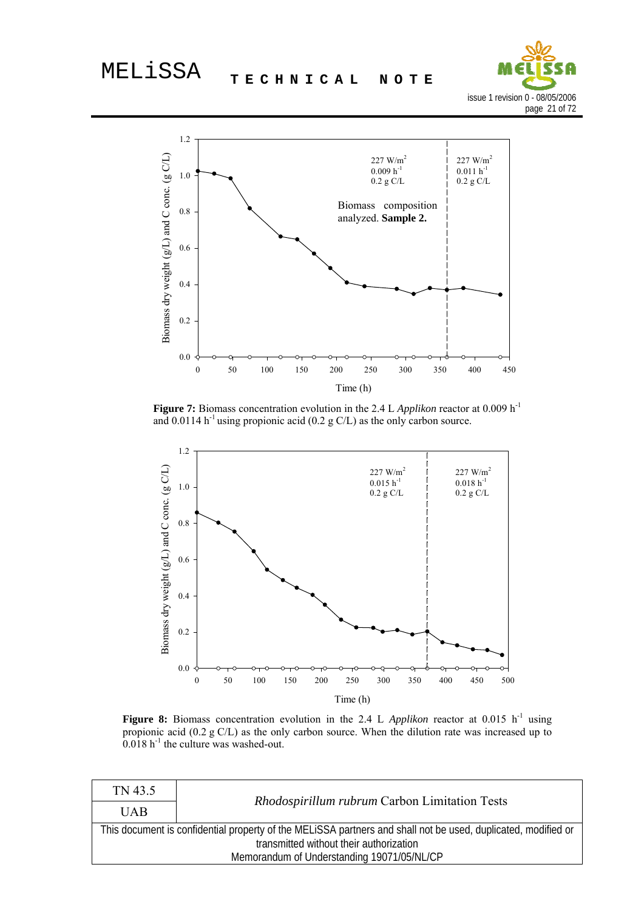



Figure 7: Biomass concentration evolution in the 2.4 L *Applikon* reactor at 0.009 h<sup>-1</sup> and 0.0114 h<sup>-1</sup> using propionic acid (0.2 g C/L) as the only carbon source.



Figure 8: Biomass concentration evolution in the 2.4 L *Applikon* reactor at 0.015 h<sup>-1</sup> using propionic acid (0.2 g C/L) as the only carbon source. When the dilution rate was increased up to  $0.018$  h<sup>-1</sup> the culture was washed-out.

| TN 43.5                                                                                                       |                                               |  |  |
|---------------------------------------------------------------------------------------------------------------|-----------------------------------------------|--|--|
| <b>UAB</b>                                                                                                    | Rhodospirillum rubrum Carbon Limitation Tests |  |  |
| This document is confidential property of the MELISSA partners and shall not be used, duplicated, modified or |                                               |  |  |
| transmitted without their authorization                                                                       |                                               |  |  |
| Memorandum of Understanding 19071/05/NL/CP                                                                    |                                               |  |  |
|                                                                                                               |                                               |  |  |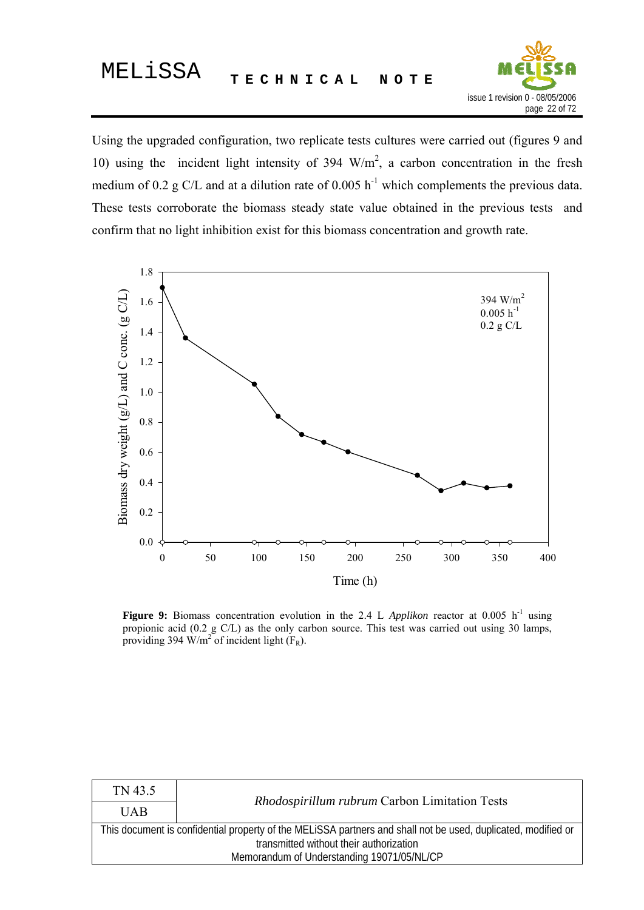

Using the upgraded configuration, two replicate tests cultures were carried out (figures 9 and 10) using the incident light intensity of 394  $W/m<sup>2</sup>$ , a carbon concentration in the fresh medium of 0.2 g C/L and at a dilution rate of 0.005  $h^{-1}$  which complements the previous data. These tests corroborate the biomass steady state value obtained in the previous tests and confirm that no light inhibition exist for this biomass concentration and growth rate.



**Figure 9:** Biomass concentration evolution in the 2.4 L *Applikon* reactor at 0.005  $h^{-1}$  using propionic acid (0.2 g C/L) as the only carbon source. This test was carried out using 30 lamps, providing 394 W/m<sup>2</sup> of incident light  $(F_R)$ .

| <b>UAB</b><br>This document is confidential property of the MELISSA partners and shall not be used, duplicated, modified or<br>transmitted without their authorization<br>Memorandum of Understanding 19071/05/NL/CP | TN 43.5                                       |  |  |  |  |  |
|----------------------------------------------------------------------------------------------------------------------------------------------------------------------------------------------------------------------|-----------------------------------------------|--|--|--|--|--|
|                                                                                                                                                                                                                      | Rhodospirillum rubrum Carbon Limitation Tests |  |  |  |  |  |
|                                                                                                                                                                                                                      |                                               |  |  |  |  |  |
|                                                                                                                                                                                                                      |                                               |  |  |  |  |  |
|                                                                                                                                                                                                                      |                                               |  |  |  |  |  |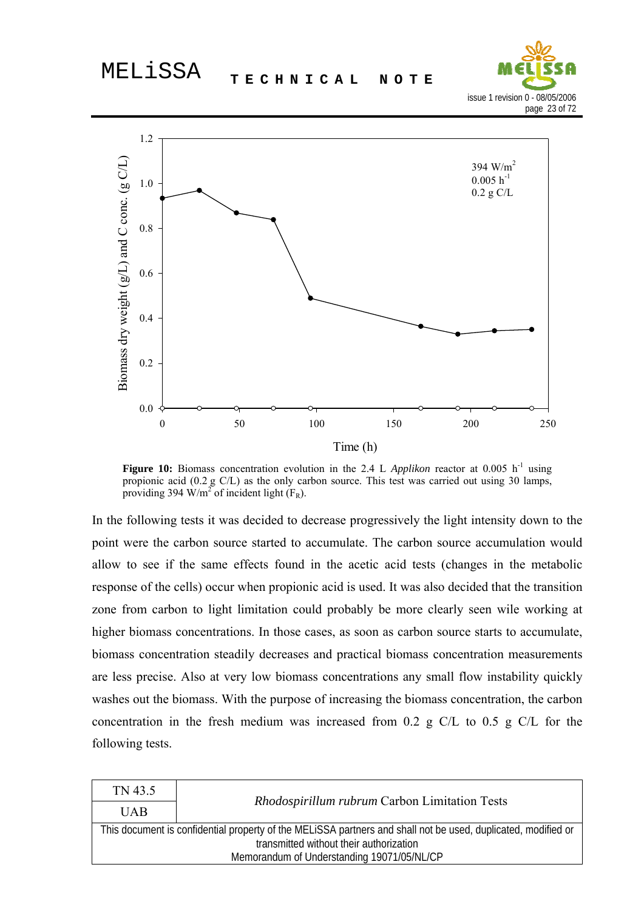



**Figure 10:** Biomass concentration evolution in the 2.4 L *Applikon* reactor at 0.005 h<sup>-1</sup> using propionic acid (0.2 g C/L) as the only carbon source. This test was carried out using 30 lamps, providing 394 W/m<sup>2</sup> of incident light  $(F_R)$ .

In the following tests it was decided to decrease progressively the light intensity down to the point were the carbon source started to accumulate. The carbon source accumulation would allow to see if the same effects found in the acetic acid tests (changes in the metabolic response of the cells) occur when propionic acid is used. It was also decided that the transition zone from carbon to light limitation could probably be more clearly seen wile working at higher biomass concentrations. In those cases, as soon as carbon source starts to accumulate, biomass concentration steadily decreases and practical biomass concentration measurements are less precise. Also at very low biomass concentrations any small flow instability quickly washes out the biomass. With the purpose of increasing the biomass concentration, the carbon concentration in the fresh medium was increased from 0.2 g C/L to 0.5 g C/L for the following tests.

| TN 43.5                                                                                                                                                  |  |  |  |  |  |
|----------------------------------------------------------------------------------------------------------------------------------------------------------|--|--|--|--|--|
| Rhodospirillum rubrum Carbon Limitation Tests<br><b>UAB</b>                                                                                              |  |  |  |  |  |
| This document is confidential property of the MELISSA partners and shall not be used, duplicated, modified or<br>transmitted without their authorization |  |  |  |  |  |
| Memorandum of Understanding 19071/05/NL/CP                                                                                                               |  |  |  |  |  |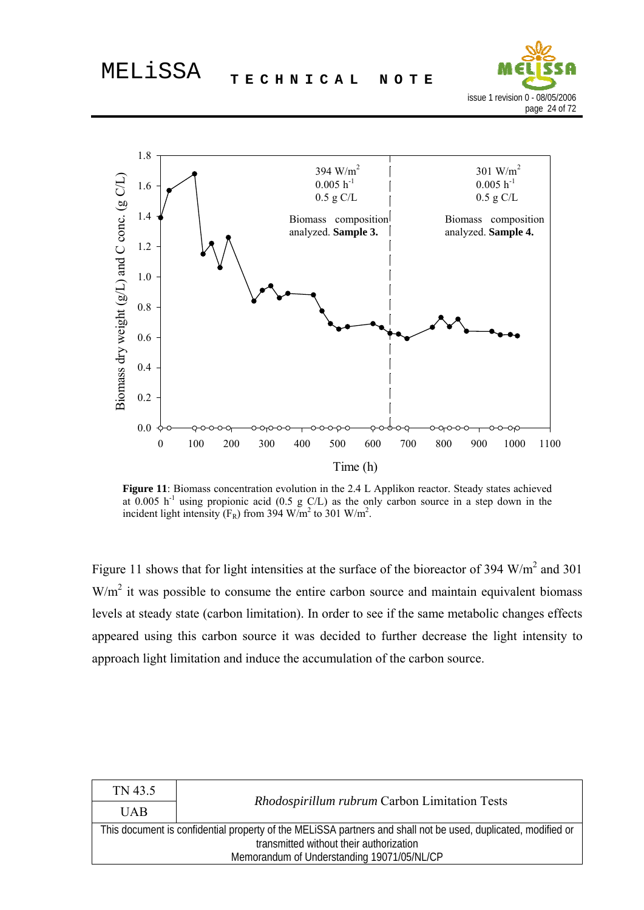



**Figure 11**: Biomass concentration evolution in the 2.4 L Applikon reactor. Steady states achieved at 0.005 h<sup>-1</sup> using propionic acid (0.5 g C/L) as the only carbon source in a step down in the incident light intensity ( $F_R$ ) from 394 W/m<sup>2</sup> to 301 W/m<sup>2</sup>.

Figure 11 shows that for light intensities at the surface of the bioreactor of 394  $W/m<sup>2</sup>$  and 301  $W/m<sup>2</sup>$  it was possible to consume the entire carbon source and maintain equivalent biomass levels at steady state (carbon limitation). In order to see if the same metabolic changes effects appeared using this carbon source it was decided to further decrease the light intensity to approach light limitation and induce the accumulation of the carbon source.

| <b>UAB</b><br>This document is confidential property of the MELISSA partners and shall not be used, duplicated, modified or<br>transmitted without their authorization<br>Memorandum of Understanding 19071/05/NL/CP | TN 43.5                                       |  |  |  |  |  |
|----------------------------------------------------------------------------------------------------------------------------------------------------------------------------------------------------------------------|-----------------------------------------------|--|--|--|--|--|
|                                                                                                                                                                                                                      | Rhodospirillum rubrum Carbon Limitation Tests |  |  |  |  |  |
|                                                                                                                                                                                                                      |                                               |  |  |  |  |  |
|                                                                                                                                                                                                                      |                                               |  |  |  |  |  |
|                                                                                                                                                                                                                      |                                               |  |  |  |  |  |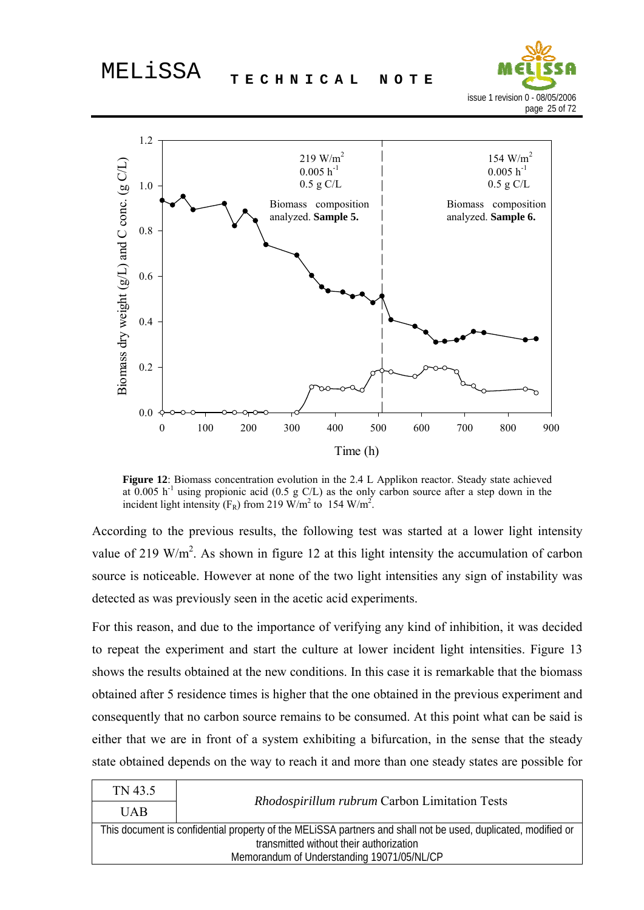



**Figure 12**: Biomass concentration evolution in the 2.4 L Applikon reactor. Steady state achieved at  $0.005$  h<sup>-1</sup> using propionic acid (0.5 g C/L) as the only carbon source after a step down in the incident light intensity ( $F_R$ ) from 219 W/m<sup>2</sup> to 154 W/m<sup>2</sup>.

According to the previous results, the following test was started at a lower light intensity value of 219 W/m<sup>2</sup>. As shown in figure 12 at this light intensity the accumulation of carbon source is noticeable. However at none of the two light intensities any sign of instability was detected as was previously seen in the acetic acid experiments.

For this reason, and due to the importance of verifying any kind of inhibition, it was decided to repeat the experiment and start the culture at lower incident light intensities. Figure 13 shows the results obtained at the new conditions. In this case it is remarkable that the biomass obtained after 5 residence times is higher that the one obtained in the previous experiment and consequently that no carbon source remains to be consumed. At this point what can be said is either that we are in front of a system exhibiting a bifurcation, in the sense that the steady state obtained depends on the way to reach it and more than one steady states are possible for

| TN 43.5                                                                                                       |                                                      |  |  |  |
|---------------------------------------------------------------------------------------------------------------|------------------------------------------------------|--|--|--|
| <b>UAB</b>                                                                                                    | <i>Rhodospirillum rubrum</i> Carbon Limitation Tests |  |  |  |
| This document is confidential property of the MELISSA partners and shall not be used, duplicated, modified or |                                                      |  |  |  |
|                                                                                                               | transmitted without their authorization              |  |  |  |
| Memorandum of Understanding 19071/05/NL/CP                                                                    |                                                      |  |  |  |
|                                                                                                               |                                                      |  |  |  |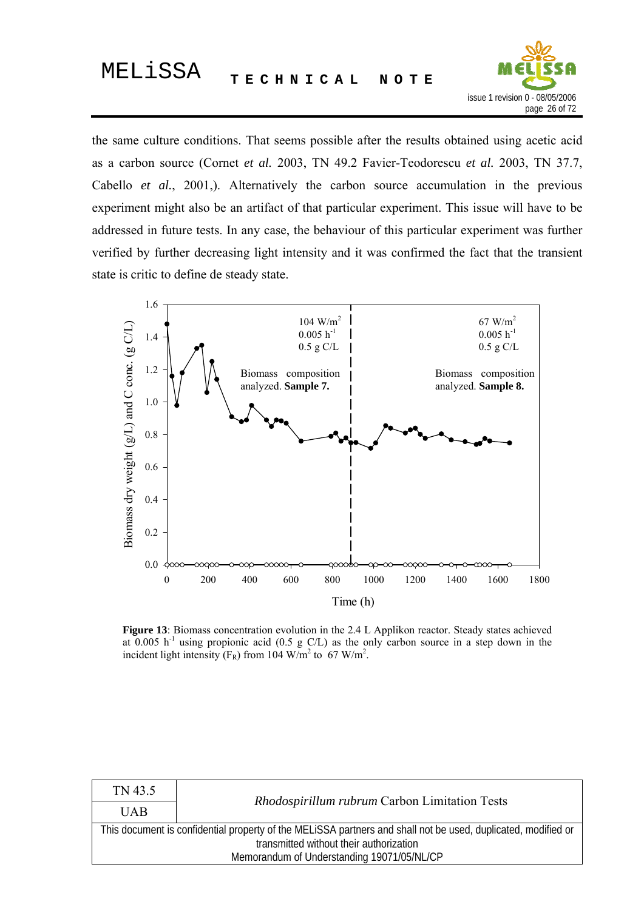

the same culture conditions. That seems possible after the results obtained using acetic acid as a carbon source (Cornet *et al.* 2003, TN 49.2 Favier-Teodorescu *et al.* 2003, TN 37.7, Cabello *et al.*, 2001,). Alternatively the carbon source accumulation in the previous experiment might also be an artifact of that particular experiment. This issue will have to be addressed in future tests. In any case, the behaviour of this particular experiment was further verified by further decreasing light intensity and it was confirmed the fact that the transient state is critic to define de steady state.



**Figure 13**: Biomass concentration evolution in the 2.4 L Applikon reactor. Steady states achieved at 0.005 h<sup>-1</sup> using propionic acid (0.5 g C/L) as the only carbon source in a step down in the incident light intensity ( $F_R$ ) from 104 W/m<sup>2</sup> to 67 W/m<sup>2</sup>.

| TN 43.5                                                                                                       |  |  |  |  |
|---------------------------------------------------------------------------------------------------------------|--|--|--|--|
| Rhodospirillum rubrum Carbon Limitation Tests<br><b>UAB</b>                                                   |  |  |  |  |
| This document is confidential property of the MELISSA partners and shall not be used, duplicated, modified or |  |  |  |  |
| transmitted without their authorization                                                                       |  |  |  |  |
| Memorandum of Understanding 19071/05/NL/CP                                                                    |  |  |  |  |
|                                                                                                               |  |  |  |  |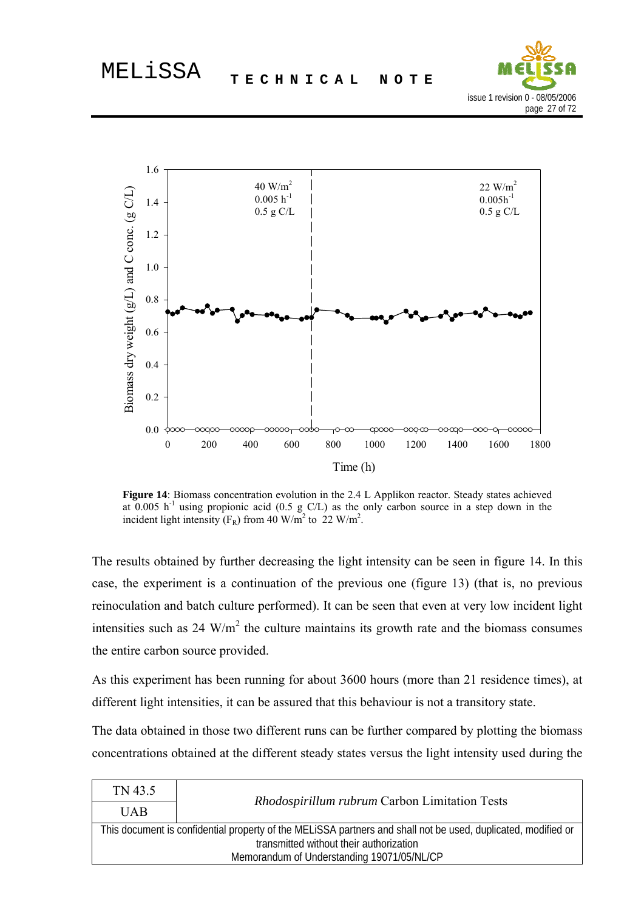



**Figure 14**: Biomass concentration evolution in the 2.4 L Applikon reactor. Steady states achieved at 0.005 h<sup>-1</sup> using propionic acid (0.5 g C/L) as the only carbon source in a step down in the incident light intensity ( $F_R$ ) from 40 W/m<sup>2</sup> to 22 W/m<sup>2</sup>.

The results obtained by further decreasing the light intensity can be seen in figure 14. In this case, the experiment is a continuation of the previous one (figure 13) (that is, no previous reinoculation and batch culture performed). It can be seen that even at very low incident light intensities such as  $24 \text{ W/m}^2$  the culture maintains its growth rate and the biomass consumes the entire carbon source provided.

As this experiment has been running for about 3600 hours (more than 21 residence times), at different light intensities, it can be assured that this behaviour is not a transitory state.

The data obtained in those two different runs can be further compared by plotting the biomass concentrations obtained at the different steady states versus the light intensity used during the

| TN 43.5                                                                                                       |                                         |  |  |  |
|---------------------------------------------------------------------------------------------------------------|-----------------------------------------|--|--|--|
| Rhodospirillum rubrum Carbon Limitation Tests<br><b>UAB</b>                                                   |                                         |  |  |  |
| This document is confidential property of the MELISSA partners and shall not be used, duplicated, modified or |                                         |  |  |  |
|                                                                                                               | transmitted without their authorization |  |  |  |
| Memorandum of Understanding 19071/05/NL/CP                                                                    |                                         |  |  |  |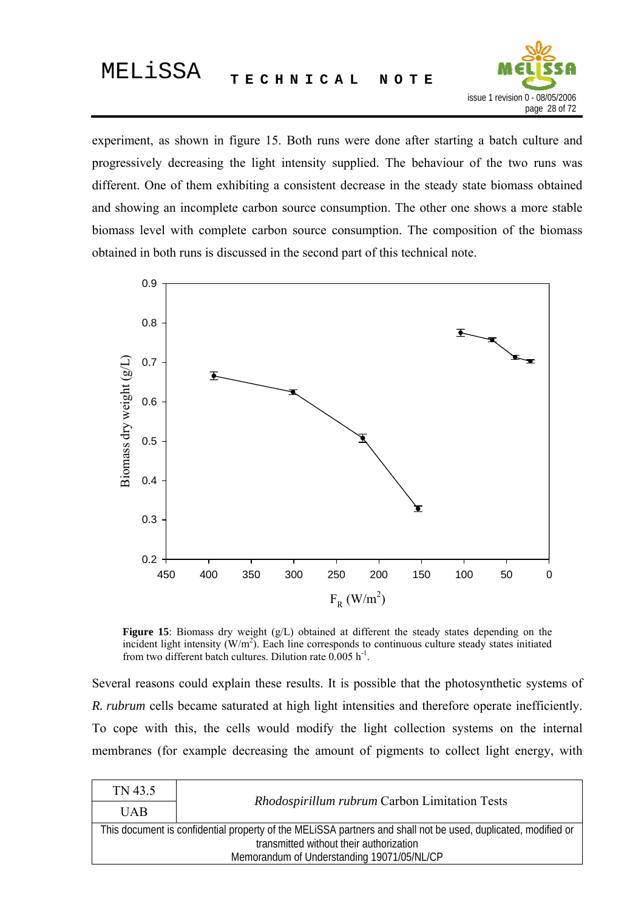

experiment, as shown in figure 15. Both runs were done after starting a batch culture and progressively decreasing the light intensity supplied. The behaviour of the two runs was different. One of them exhibiting a consistent decrease in the steady state biomass obtained and showing an incomplete carbon source consumption. The other one shows a more stable biomass level with complete carbon source consumption. The composition of the biomass obtained in both runs is discussed in the second part of this technical note.



Figure 15: Biomass dry weight (g/L) obtained at different the steady states depending on the incident light intensity  $(W/m^2)$ . Each line corresponds to continuous culture steady states initiated from two different batch cultures. Dilution rate  $0.005$  h<sup>-1</sup>.

Several reasons could explain these results. It is possible that the photosynthetic systems of *R. rubrum* cells became saturated at high light intensities and therefore operate inefficiently. To cope with this, the cells would modify the light collection systems on the internal membranes (for example decreasing the amount of pigments to collect light energy, with

| TN 43.5                                    |                                                                                                               |  |  |
|--------------------------------------------|---------------------------------------------------------------------------------------------------------------|--|--|
| <b>UAB</b>                                 | <i>Rhodospirillum rubrum</i> Carbon Limitation Tests                                                          |  |  |
|                                            | This document is confidential property of the MELISSA partners and shall not be used, duplicated, modified or |  |  |
|                                            | transmitted without their authorization                                                                       |  |  |
| Memorandum of Understanding 19071/05/NL/CP |                                                                                                               |  |  |
|                                            |                                                                                                               |  |  |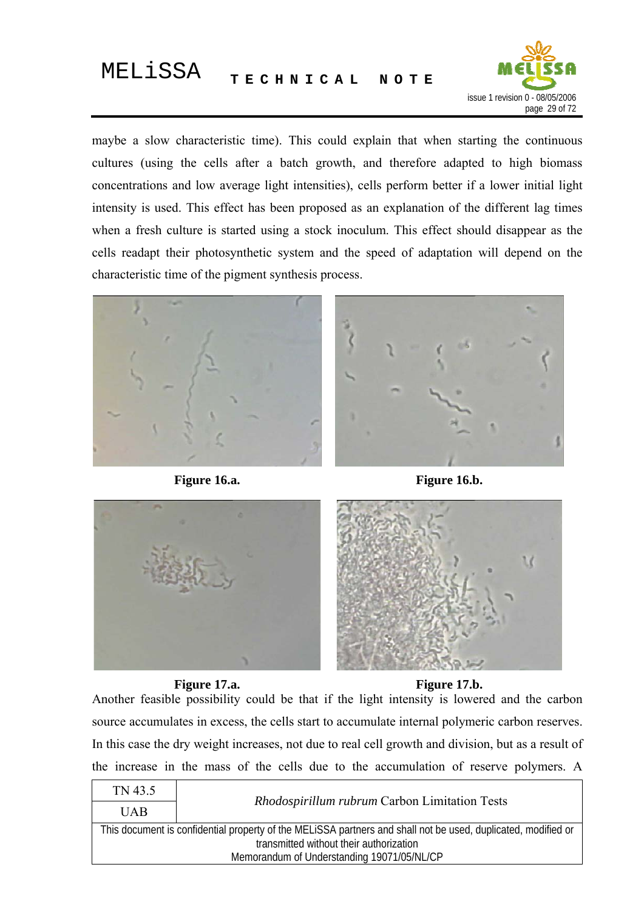

maybe a slow characteristic time). This could explain that when starting the continuous cultures (using the cells after a batch growth, and therefore adapted to high biomass concentrations and low average light intensities), cells perform better if a lower initial light intensity is used. This effect has been proposed as an explanation of the different lag times when a fresh culture is started using a stock inoculum. This effect should disappear as the cells readapt their photosynthetic system and the speed of adaptation will depend on the characteristic time of the pigment synthesis process.





**Figure 16.a. Figure 16.b.**





**Figure 17.a. Figure 17.b.**

Another feasible possibility could be that if the light intensity is lowered and the carbon source accumulates in excess, the cells start to accumulate internal polymeric carbon reserves. In this case the dry weight increases, not due to real cell growth and division, but as a result of the increase in the mass of the cells due to the accumulation of reserve polymers. A

| TN 43.5                                                                                                       |  |  |  |  |
|---------------------------------------------------------------------------------------------------------------|--|--|--|--|
| Rhodospirillum rubrum Carbon Limitation Tests<br><b>UAB</b>                                                   |  |  |  |  |
| This document is confidential property of the MELISSA partners and shall not be used, duplicated, modified or |  |  |  |  |
| transmitted without their authorization                                                                       |  |  |  |  |
| Memorandum of Understanding 19071/05/NL/CP                                                                    |  |  |  |  |
|                                                                                                               |  |  |  |  |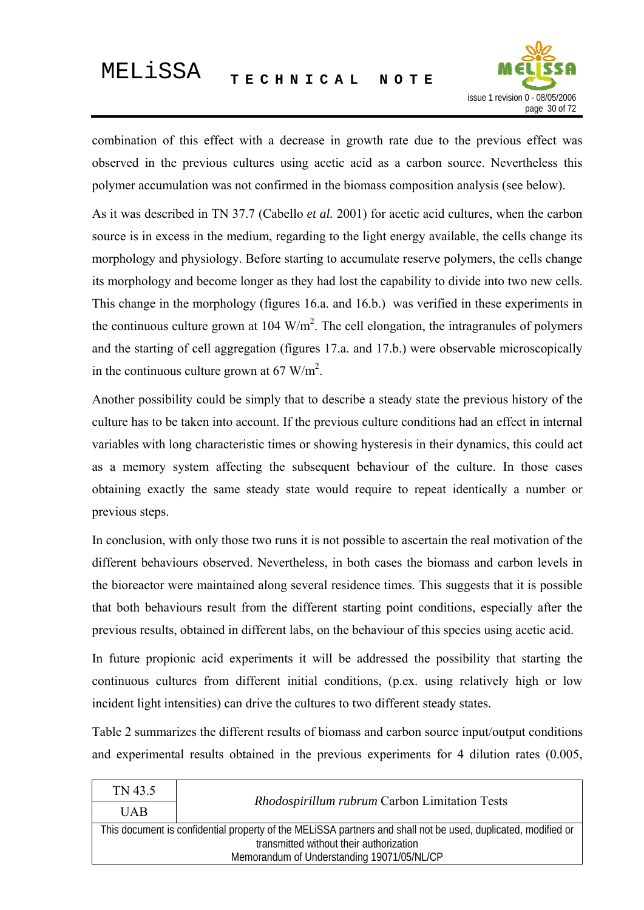

combination of this effect with a decrease in growth rate due to the previous effect was observed in the previous cultures using acetic acid as a carbon source. Nevertheless this polymer accumulation was not confirmed in the biomass composition analysis (see below).

As it was described in TN 37.7 (Cabello *et al.* 2001) for acetic acid cultures, when the carbon source is in excess in the medium, regarding to the light energy available, the cells change its morphology and physiology. Before starting to accumulate reserve polymers, the cells change its morphology and become longer as they had lost the capability to divide into two new cells. This change in the morphology (figures 16.a. and 16.b.) was verified in these experiments in the continuous culture grown at  $104 \text{ W/m}^2$ . The cell elongation, the intragranules of polymers and the starting of cell aggregation (figures 17.a. and 17.b.) were observable microscopically in the continuous culture grown at 67 W/m<sup>2</sup>.

Another possibility could be simply that to describe a steady state the previous history of the culture has to be taken into account. If the previous culture conditions had an effect in internal variables with long characteristic times or showing hysteresis in their dynamics, this could act as a memory system affecting the subsequent behaviour of the culture. In those cases obtaining exactly the same steady state would require to repeat identically a number or previous steps.

In conclusion, with only those two runs it is not possible to ascertain the real motivation of the different behaviours observed. Nevertheless, in both cases the biomass and carbon levels in the bioreactor were maintained along several residence times. This suggests that it is possible that both behaviours result from the different starting point conditions, especially after the previous results, obtained in different labs, on the behaviour of this species using acetic acid.

In future propionic acid experiments it will be addressed the possibility that starting the continuous cultures from different initial conditions, (p.ex. using relatively high or low incident light intensities) can drive the cultures to two different steady states.

Table 2 summarizes the different results of biomass and carbon source input/output conditions and experimental results obtained in the previous experiments for 4 dilution rates (0.005,

| TN 43.5                                                                                                       |                                         |  |  |  |
|---------------------------------------------------------------------------------------------------------------|-----------------------------------------|--|--|--|
| <i>Rhodospirillum rubrum</i> Carbon Limitation Tests<br><b>UAB</b>                                            |                                         |  |  |  |
| This document is confidential property of the MELISSA partners and shall not be used, duplicated, modified or |                                         |  |  |  |
|                                                                                                               | transmitted without their authorization |  |  |  |
| Memorandum of Understanding 19071/05/NL/CP                                                                    |                                         |  |  |  |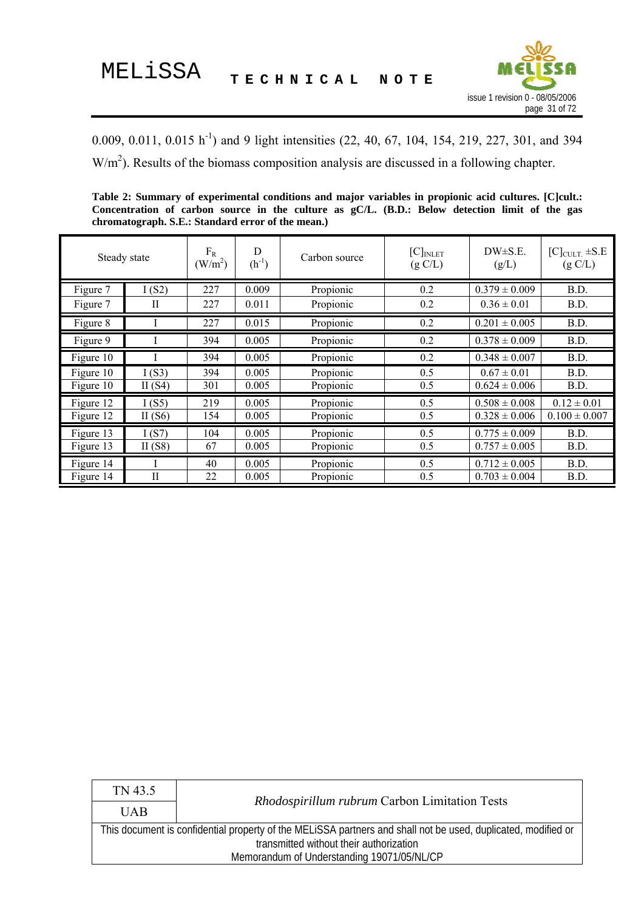

<span id="page-30-0"></span>0.009, 0.011, 0.015 h<sup>-1</sup>) and 9 light intensities (22, 40, 67, 104, 154, 219, 227, 301, and 394  $W/m<sup>2</sup>$ ). Results of the biomass composition analysis are discussed in a following chapter.

**Table 2: Summary of experimental conditions and major variables in propionic acid cultures. [C]cult.: Concentration of carbon source in the culture as gC/L. (B.D.: Below detection limit of the gas chromatograph. S.E.: Standard error of the mean.)** 

|           | Steady state               | $F_R$<br>(W/m <sup>2</sup> ) | D<br>$(h^{-1})$ | Carbon source | $[C]_{INLET}$<br>(g C/L) | $DW{\pm}S.E.$<br>(g/L)       | $[C]_{\text{CULT}}$ $\pm$ S.E<br>(g C/L) |
|-----------|----------------------------|------------------------------|-----------------|---------------|--------------------------|------------------------------|------------------------------------------|
| Figure 7  | I(S2)                      | 227                          | 0.009           | Propionic     | 0.2                      | $\overline{0.379} \pm 0.009$ | B.D.                                     |
| Figure 7  | П                          | 227                          | 0.011           | Propionic     | 0.2                      | $0.36 \pm 0.01$              | B.D.                                     |
| Figure 8  |                            | 227                          | 0.015           | Propionic     | 0.2                      | $0.201 \pm 0.005$            | B.D.                                     |
| Figure 9  |                            | 394                          | 0.005           | Propionic     | 0.2                      | $0.378 \pm 0.009$            | B.D.                                     |
| Figure 10 |                            | 394                          | 0.005           | Propionic     | 0.2                      | $0.348 \pm 0.007$            | B.D.                                     |
| Figure 10 | I(S3)                      | 394                          | 0.005           | Propionic     | 0.5                      | $0.67 \pm 0.01$              | B.D.                                     |
| Figure 10 | II $(S4)$                  | 301                          | 0.005           | Propionic     | 0.5                      | $0.624 \pm 0.006$            | B.D.                                     |
| Figure 12 | I(S5)                      | 219                          | 0.005           | Propionic     | 0.5                      | $0.508 \pm 0.008$            | $0.12 \pm 0.01$                          |
| Figure 12 | II $(S6)$                  | 154                          | 0.005           | Propionic     | 0.5                      | $0.328 \pm 0.006$            | $0.100 \pm 0.007$                        |
| Figure 13 | I(S7)                      | 104                          | 0.005           | Propionic     | 0.5                      | $0.775 \pm 0.009$            | B.D.                                     |
| Figure 13 | II $(S8)$                  | 67                           | 0.005           | Propionic     | 0.5                      | $0.757 \pm 0.005$            | B.D.                                     |
| Figure 14 |                            | 40                           | 0.005           | Propionic     | 0.5                      | $0.712 \pm 0.005$            | B.D.                                     |
| Figure 14 | $\mathop{\rm II}\nolimits$ | 22                           | 0.005           | Propionic     | 0.5                      | $0.703 \pm 0.004$            | B.D.                                     |

| TN 43.5                                                                                                       |                                                      |  |  |  |
|---------------------------------------------------------------------------------------------------------------|------------------------------------------------------|--|--|--|
| <b>UAB</b>                                                                                                    | <i>Rhodospirillum rubrum</i> Carbon Limitation Tests |  |  |  |
| This document is confidential property of the MELISSA partners and shall not be used, duplicated, modified or |                                                      |  |  |  |
|                                                                                                               | transmitted without their authorization              |  |  |  |
| Memorandum of Understanding 19071/05/NL/CP                                                                    |                                                      |  |  |  |
|                                                                                                               |                                                      |  |  |  |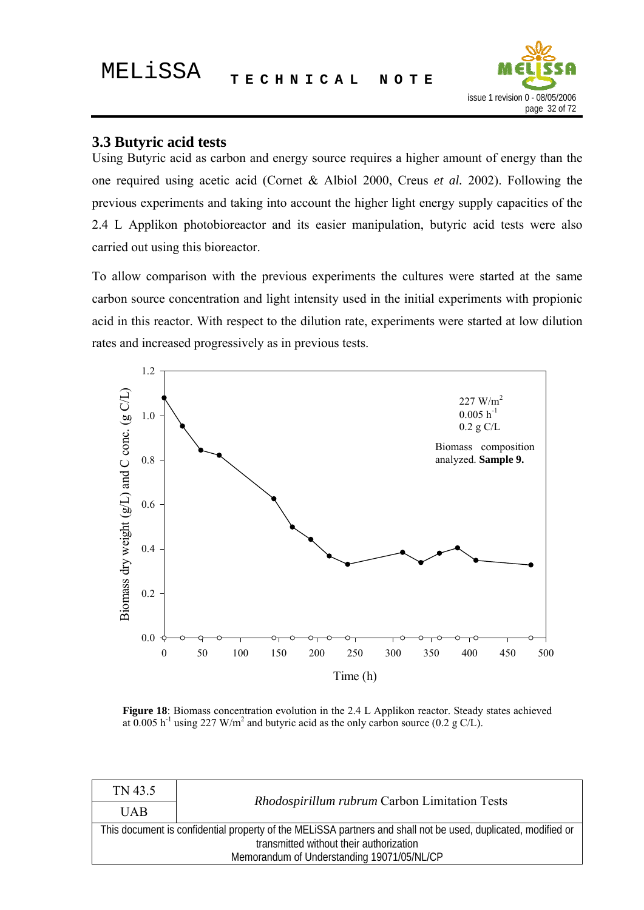

#### <span id="page-31-0"></span>**3.3 Butyric acid tests**

Using Butyric acid as carbon and energy source requires a higher amount of energy than the one required using acetic acid (Cornet & Albiol 2000, Creus *et al.* 2002). Following the previous experiments and taking into account the higher light energy supply capacities of the 2.4 L Applikon photobioreactor and its easier manipulation, butyric acid tests were also carried out using this bioreactor.

To allow comparison with the previous experiments the cultures were started at the same carbon source concentration and light intensity used in the initial experiments with propionic acid in this reactor. With respect to the dilution rate, experiments were started at low dilution rates and increased progressively as in previous tests.



**Figure 18**: Biomass concentration evolution in the 2.4 L Applikon reactor. Steady states achieved at  $0.005$  h<sup>-1</sup> using 227 W/m<sup>2</sup> and butyric acid as the only carbon source (0.2 g C/L).

| TN 43.5                                                                                                                                                  |  |  |  |  |
|----------------------------------------------------------------------------------------------------------------------------------------------------------|--|--|--|--|
| Rhodospirillum rubrum Carbon Limitation Tests<br><b>UAB</b>                                                                                              |  |  |  |  |
| This document is confidential property of the MELISSA partners and shall not be used, duplicated, modified or<br>transmitted without their authorization |  |  |  |  |
| Memorandum of Understanding 19071/05/NL/CP                                                                                                               |  |  |  |  |
|                                                                                                                                                          |  |  |  |  |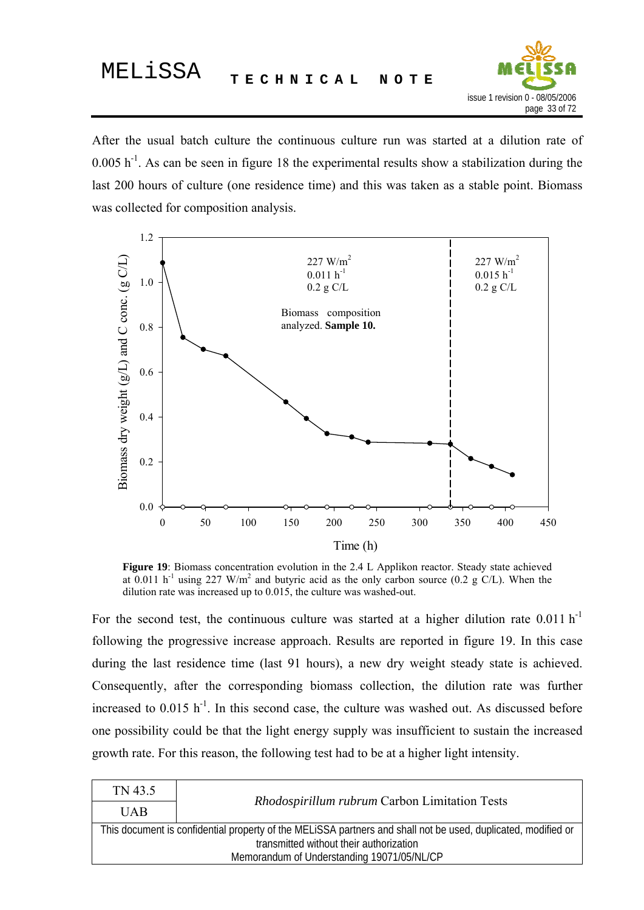

After the usual batch culture the continuous culture run was started at a dilution rate of  $0.005$  h<sup>-1</sup>. As can be seen in figure 18 the experimental results show a stabilization during the last 200 hours of culture (one residence time) and this was taken as a stable point. Biomass was collected for composition analysis.



**Figure 19**: Biomass concentration evolution in the 2.4 L Applikon reactor. Steady state achieved at  $0.011$  h<sup>-1</sup> using 227 W/m<sup>2</sup> and butyric acid as the only carbon source (0.2 g C/L). When the dilution rate was increased up to 0.015, the culture was washed-out.

For the second test, the continuous culture was started at a higher dilution rate  $0.011 \text{ h}^{-1}$ following the progressive increase approach. Results are reported in figure 19. In this case during the last residence time (last 91 hours), a new dry weight steady state is achieved. Consequently, after the corresponding biomass collection, the dilution rate was further increased to  $0.015$   $h^{-1}$ . In this second case, the culture was washed out. As discussed before one possibility could be that the light energy supply was insufficient to sustain the increased growth rate. For this reason, the following test had to be at a higher light intensity.

| TN 43.5                                                                                                       |                                               |  |  |  |
|---------------------------------------------------------------------------------------------------------------|-----------------------------------------------|--|--|--|
| <b>IJAB</b>                                                                                                   | Rhodospirillum rubrum Carbon Limitation Tests |  |  |  |
| This document is confidential property of the MELISSA partners and shall not be used, duplicated, modified or |                                               |  |  |  |
| transmitted without their authorization                                                                       |                                               |  |  |  |
| Memorandum of Understanding 19071/05/NL/CP                                                                    |                                               |  |  |  |
|                                                                                                               |                                               |  |  |  |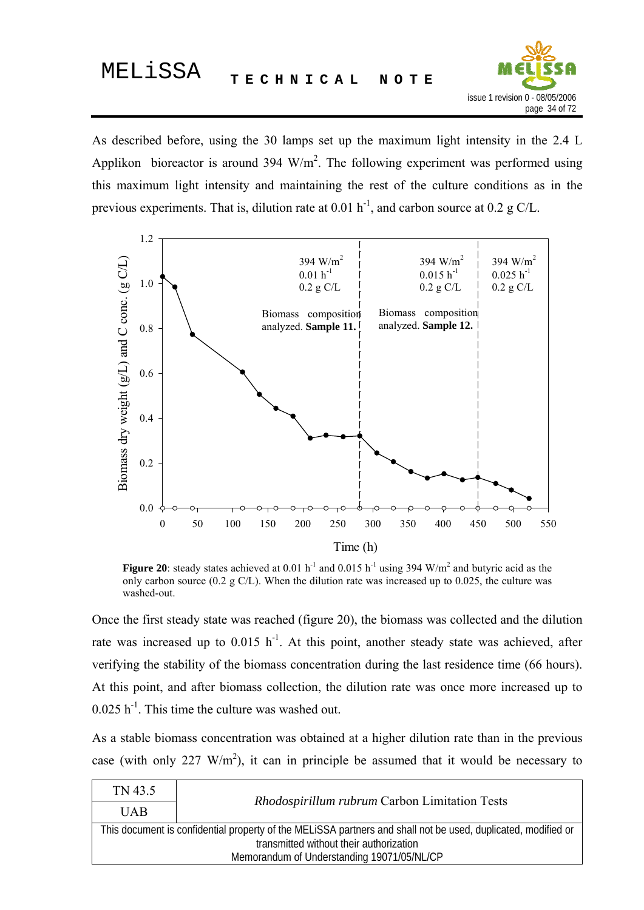

As described before, using the 30 lamps set up the maximum light intensity in the 2.4 L Applikon bioreactor is around 394  $W/m^2$ . The following experiment was performed using this maximum light intensity and maintaining the rest of the culture conditions as in the previous experiments. That is, dilution rate at  $0.01 h^{-1}$ , and carbon source at  $0.2 g C/L$ .



**Figure 20**: steady states achieved at 0.01 h<sup>-1</sup> and 0.015 h<sup>-1</sup> using 394 W/m<sup>2</sup> and butyric acid as the only carbon source (0.2 g C/L). When the dilution rate was increased up to 0.025, the culture was washed-out.

Once the first steady state was reached (figure 20), the biomass was collected and the dilution rate was increased up to  $0.015$  h<sup>-1</sup>. At this point, another steady state was achieved, after verifying the stability of the biomass concentration during the last residence time (66 hours). At this point, and after biomass collection, the dilution rate was once more increased up to  $0.025$  h<sup>-1</sup>. This time the culture was washed out.

As a stable biomass concentration was obtained at a higher dilution rate than in the previous case (with only 227  $W/m<sup>2</sup>$ ), it can in principle be assumed that it would be necessary to

| TN 43.5                                                                                                       | Rhodospirillum rubrum Carbon Limitation Tests |  |  |  |
|---------------------------------------------------------------------------------------------------------------|-----------------------------------------------|--|--|--|
| <b>UAB</b>                                                                                                    |                                               |  |  |  |
| This document is confidential property of the MELISSA partners and shall not be used, duplicated, modified or |                                               |  |  |  |
| transmitted without their authorization                                                                       |                                               |  |  |  |
| Memorandum of Understanding 19071/05/NL/CP                                                                    |                                               |  |  |  |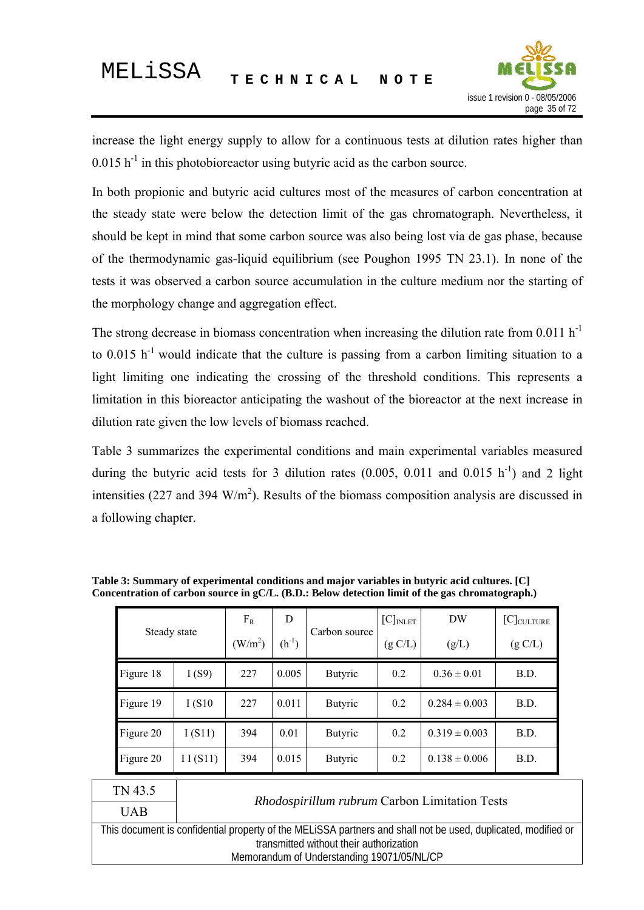

<span id="page-34-0"></span>increase the light energy supply to allow for a continuous tests at dilution rates higher than  $0.015$  h<sup>-1</sup> in this photobioreactor using butyric acid as the carbon source.

In both propionic and butyric acid cultures most of the measures of carbon concentration at the steady state were below the detection limit of the gas chromatograph. Nevertheless, it should be kept in mind that some carbon source was also being lost via de gas phase, because of the thermodynamic gas-liquid equilibrium (see Poughon 1995 TN 23.1). In none of the tests it was observed a carbon source accumulation in the culture medium nor the starting of the morphology change and aggregation effect.

The strong decrease in biomass concentration when increasing the dilution rate from  $0.011 \text{ h}^{-1}$ to  $0.015$  h<sup>-1</sup> would indicate that the culture is passing from a carbon limiting situation to a light limiting one indicating the crossing of the threshold conditions. This represents a limitation in this bioreactor anticipating the washout of the bioreactor at the next increase in dilution rate given the low levels of biomass reached.

Table 3 summarizes the experimental conditions and main experimental variables measured during the butyric acid tests for 3 dilution rates  $(0.005, 0.011$  and  $(0.015 \text{ h}^{-1})$  and 2 light intensities (227 and 394  $W/m<sup>2</sup>$ ). Results of the biomass composition analysis are discussed in a following chapter.

| Steady state |         | $F_R$<br>$\rm (W/m^2)$ | D<br>$(h^{-1})$ | Carbon source  | $[C]_{INLET}$<br>(g C/L) | DW<br>(g/L)       | $[C]_{\text{CULTURE}}$<br>(g C/L) |
|--------------|---------|------------------------|-----------------|----------------|--------------------------|-------------------|-----------------------------------|
| Figure 18    | I(S9)   | 227                    | 0.005           | <b>Butyric</b> | 0.2                      | $0.36 \pm 0.01$   | B.D.                              |
| Figure 19    | I(S10)  | 227                    | 0.011           | <b>Butyric</b> | 0.2                      | $0.284 \pm 0.003$ | B.D.                              |
| Figure 20    | I(S11)  | 394                    | 0.01            | <b>Butyric</b> | 0.2                      | $0.319 \pm 0.003$ | B.D.                              |
| Figure 20    | II(S11) | 394                    | 0.015           | <b>Butyric</b> | 0.2                      | $0.138 \pm 0.006$ | B.D.                              |

**Table 3: Summary of experimental conditions and major variables in butyric acid cultures. [C] Concentration of carbon source in gC/L. (B.D.: Below detection limit of the gas chromatograph.)** 

| TN 43.5                                                                                                       | Rhodospirillum rubrum Carbon Limitation Tests |  |  |  |
|---------------------------------------------------------------------------------------------------------------|-----------------------------------------------|--|--|--|
| <b>UAB</b>                                                                                                    |                                               |  |  |  |
| This document is confidential property of the MELISSA partners and shall not be used, duplicated, modified or |                                               |  |  |  |
| transmitted without their authorization                                                                       |                                               |  |  |  |
| Memorandum of Understanding 19071/05/NL/CP                                                                    |                                               |  |  |  |
|                                                                                                               |                                               |  |  |  |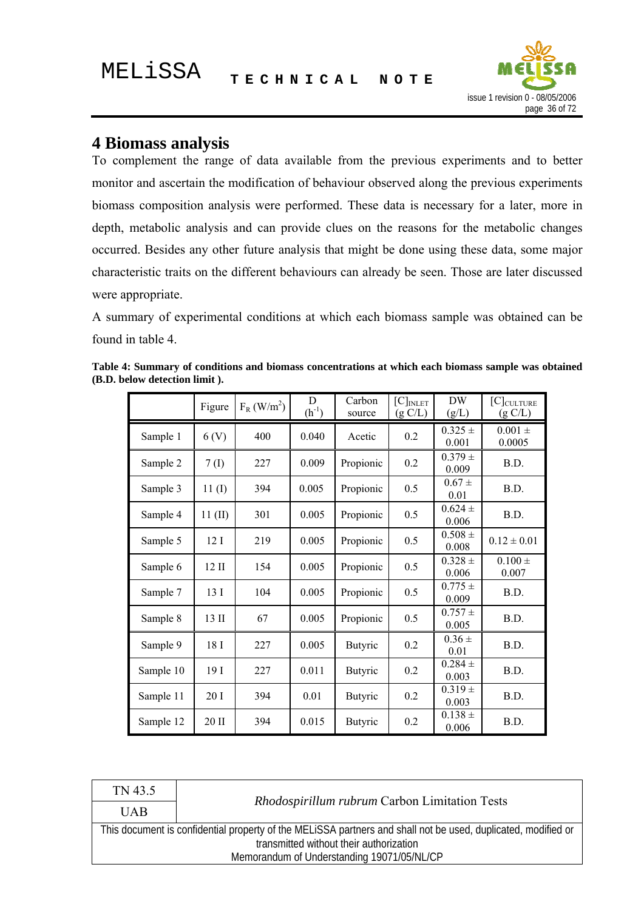

#### <span id="page-35-0"></span>**4 Biomass analysis**

To complement the range of data available from the previous experiments and to better monitor and ascertain the modification of behaviour observed along the previous experiments biomass composition analysis were performed. These data is necessary for a later, more in depth, metabolic analysis and can provide clues on the reasons for the metabolic changes occurred. Besides any other future analysis that might be done using these data, some major characteristic traits on the different behaviours can already be seen. Those are later discussed were appropriate.

A summary of experimental conditions at which each biomass sample was obtained can be found in table 4.

|           | Figure            | $F_R$ (W/m <sup>2</sup> ) | D<br>$(h^{-1})$ | Carbon<br>source | $[C]_{INLET}$<br>(g C/L) | <b>DW</b><br>(g/L)   | $[C]$ CULTURE<br>(g C/L) |
|-----------|-------------------|---------------------------|-----------------|------------------|--------------------------|----------------------|--------------------------|
| Sample 1  | 6 <sub>(V)</sub>  | 400                       | 0.040           | Acetic           | 0.2                      | $0.325 +$<br>0.001   | $0.001\,\pm\,$<br>0.0005 |
| Sample 2  | 7 <sub>(I)</sub>  | 227                       | 0.009           | Propionic        | 0.2                      | $0.379 \pm$<br>0.009 | B.D.                     |
| Sample 3  | $11 \mathrm{(I)}$ | 394                       | 0.005           | Propionic        | 0.5                      | $0.67 \pm$<br>0.01   | B.D.                     |
| Sample 4  | $11$ (II)         | 301                       | 0.005           | Propionic        | 0.5                      | $0.624 \pm$<br>0.006 | B.D.                     |
| Sample 5  | 12I               | 219                       | 0.005           | Propionic        | 0.5                      | $0.508 \pm$<br>0.008 | $0.12 \pm 0.01$          |
| Sample 6  | $12 \text{ II}$   | 154                       | 0.005           | Propionic        | 0.5                      | $0.328 \pm$<br>0.006 | $0.100 \pm$<br>0.007     |
| Sample 7  | 13 I              | 104                       | 0.005           | Propionic        | 0.5                      | $0.775 \pm$<br>0.009 | B.D.                     |
| Sample 8  | 13 II             | 67                        | 0.005           | Propionic        | 0.5                      | $0.757 \pm$<br>0.005 | B.D.                     |
| Sample 9  | 18 I              | 227                       | 0.005           | <b>Butyric</b>   | 0.2                      | $0.36 \pm$<br>0.01   | B.D.                     |
| Sample 10 | 19 I              | 227                       | 0.011           | <b>Butyric</b>   | 0.2                      | $0.284 \pm$<br>0.003 | B.D.                     |
| Sample 11 | 20 I              | 394                       | 0.01            | <b>Butyric</b>   | 0.2                      | $0.319 \pm$<br>0.003 | B.D.                     |
| Sample 12 | 20 II             | 394                       | 0.015           | <b>Butyric</b>   | 0.2                      | $0.138 \pm$<br>0.006 | B.D.                     |

**Table 4: Summary of conditions and biomass concentrations at which each biomass sample was obtained (B.D. below detection limit ).** 

| TN 43.5                                                                                                       | <i>Rhodospirillum rubrum</i> Carbon Limitation Tests |  |  |  |  |
|---------------------------------------------------------------------------------------------------------------|------------------------------------------------------|--|--|--|--|
| <b>UAB</b>                                                                                                    |                                                      |  |  |  |  |
| This document is confidential property of the MELISSA partners and shall not be used, duplicated, modified or |                                                      |  |  |  |  |
| transmitted without their authorization                                                                       |                                                      |  |  |  |  |
| Memorandum of Understanding 19071/05/NL/CP                                                                    |                                                      |  |  |  |  |
|                                                                                                               |                                                      |  |  |  |  |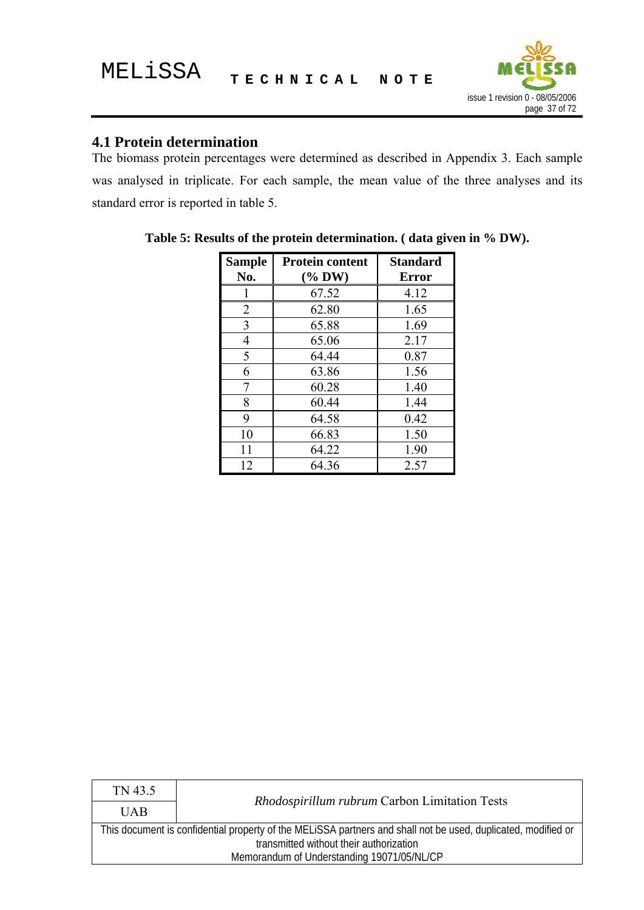

## **4.1 Protein determination**

The biomass protein percentages were determined as described in Appendix 3. Each sample was analysed in triplicate. For each sample, the mean value of the three analyses and its standard error is reported in table 5.

| <b>Sample</b><br>No. | <b>Protein content</b><br>$(\%$ DW) | <b>Standard</b><br><b>Error</b> |
|----------------------|-------------------------------------|---------------------------------|
|                      | 67.52                               | 4.12                            |
| $\overline{2}$       | 62.80                               | 1.65                            |
| 3                    | 65.88                               | 1.69                            |
| 4                    | 65.06                               | 2.17                            |
| 5                    | 64.44                               | 0.87                            |
| 6                    | 63.86                               | 1.56                            |
| 7                    | 60.28                               | 1.40                            |
| 8                    | 60.44                               | 1.44                            |
| 9                    | 64.58                               | 0.42                            |
| 10                   | 66.83                               | 1.50                            |
| 11                   | 64.22                               | 1.90                            |
| 12                   | 64.36                               | 2.57                            |

**Table 5: Results of the protein determination. ( data given in % DW).** 

| TN 43.5                                                                                                       |                                                      |  |
|---------------------------------------------------------------------------------------------------------------|------------------------------------------------------|--|
| <b>UAB</b>                                                                                                    | <i>Rhodospirillum rubrum</i> Carbon Limitation Tests |  |
| This document is confidential property of the MELISSA partners and shall not be used, duplicated, modified or |                                                      |  |
| transmitted without their authorization                                                                       |                                                      |  |
| Memorandum of Understanding 19071/05/NL/CP                                                                    |                                                      |  |
|                                                                                                               |                                                      |  |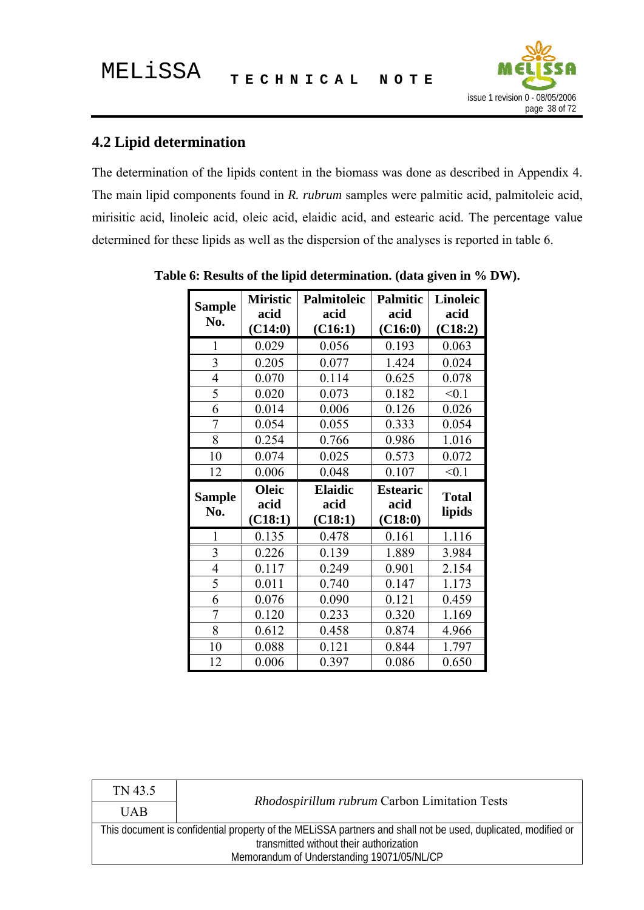

┑

# **4.2 Lipid determination**

The determination of the lipids content in the biomass was done as described in Appendix 4. The main lipid components found in *R. rubrum* samples were palmitic acid, palmitoleic acid, mirisitic acid, linoleic acid, oleic acid, elaidic acid, and estearic acid. The percentage value determined for these lipids as well as the dispersion of the analyses is reported in table 6.

| <b>Sample</b>           | <b>Miristic</b> | Palmitoleic    | <b>Palmitic</b> | <b>Linoleic</b> |
|-------------------------|-----------------|----------------|-----------------|-----------------|
|                         | acid            | acid           | acid            | acid            |
| No.                     | (C14:0)         | (C16:1)        | (C16:0)         | (C18:2)         |
| $\mathbf{1}$            | 0.029           | 0.056          | 0.193           | 0.063           |
| $\overline{\mathbf{3}}$ | 0.205           | 0.077          | 1.424           | 0.024           |
| 4                       | 0.070           | 0.114          | 0.625           | 0.078           |
| 5                       | 0.020           | 0.073          | 0.182           | < 0.1           |
| 6                       | 0.014           | 0.006          | 0.126           | 0.026           |
| $\overline{7}$          | 0.054           | 0.055          | 0.333           | 0.054           |
| 8                       | 0.254           | 0.766          | 0.986           | 1.016           |
| 10                      | 0.074           | 0.025          | 0.573           | 0.072           |
| 12                      | 0.006           | 0.048          | 0.107           | < 0.1           |
|                         |                 |                |                 |                 |
|                         | <b>Oleic</b>    | <b>Elaidic</b> | <b>Estearic</b> |                 |
| <b>Sample</b>           | acid            | acid           | acid            | <b>Total</b>    |
| No.                     | (C18:1)         | (C18:1)        | (C18:0)         | lipids          |
| $\mathbf{1}$            | 0.135           | 0.478          | 0.161           | 1.116           |
| 3                       | 0.226           | 0.139          | 1.889           | 3.984           |
| 4                       | 0.117           | 0.249          | 0.901           | 2.154           |
| 5                       | 0.011           | 0.740          | 0.147           | 1.173           |
| 6                       | 0.076           | 0.090          | 0.121           | 0.459           |
| $\overline{7}$          | 0.120           | 0.233          | 0.320           | 1.169           |
| 8                       | 0.612           | 0.458          | 0.874           | 4.966           |
| 10                      | 0.088           | 0.121          | 0.844           | 1.797           |

**Table 6: Results of the lipid determination. (data given in % DW).** 

| TN 43.5                                                                                                       | <i>Rhodospirillum rubrum</i> Carbon Limitation Tests |  |
|---------------------------------------------------------------------------------------------------------------|------------------------------------------------------|--|
| <b>UAB</b>                                                                                                    |                                                      |  |
| This document is confidential property of the MELISSA partners and shall not be used, duplicated, modified or |                                                      |  |
| transmitted without their authorization                                                                       |                                                      |  |
| Memorandum of Understanding 19071/05/NL/CP                                                                    |                                                      |  |
|                                                                                                               |                                                      |  |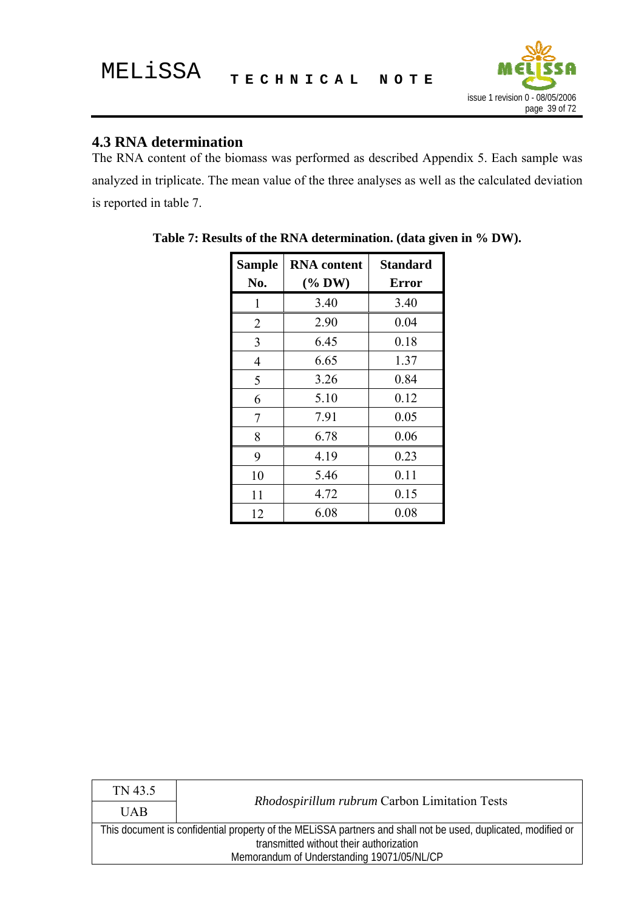

## **4.3 RNA determination**

The RNA content of the biomass was performed as described Appendix 5. Each sample was analyzed in triplicate. The mean value of the three analyses as well as the calculated deviation is reported in table 7.

| <b>Sample</b> | <b>RNA</b> content | <b>Standard</b> |
|---------------|--------------------|-----------------|
| No.           | $(\%$ DW)          | <b>Error</b>    |
| 1             | 3.40               | 3.40            |
| 2             | 2.90               | 0.04            |
| 3             | 6.45               | 0.18            |
| 4             | 6.65               | 1.37            |
| 5             | 3.26               | 0.84            |
| 6             | 5.10               | 0.12            |
| 7             | 7.91               | 0.05            |
| 8             | 6.78               | 0.06            |
| 9             | 4.19               | 0.23            |
| 10            | 5.46               | 0.11            |
| 11            | 4.72               | 0.15            |
| 12            | 6.08               | 0.08            |

**Table 7: Results of the RNA determination. (data given in % DW).** 

| TN 43.5                                                                                                       |                                               |  |
|---------------------------------------------------------------------------------------------------------------|-----------------------------------------------|--|
| <b>UAB</b>                                                                                                    | Rhodospirillum rubrum Carbon Limitation Tests |  |
| This document is confidential property of the MELISSA partners and shall not be used, duplicated, modified or |                                               |  |
| transmitted without their authorization                                                                       |                                               |  |
| Memorandum of Understanding 19071/05/NL/CP                                                                    |                                               |  |
|                                                                                                               |                                               |  |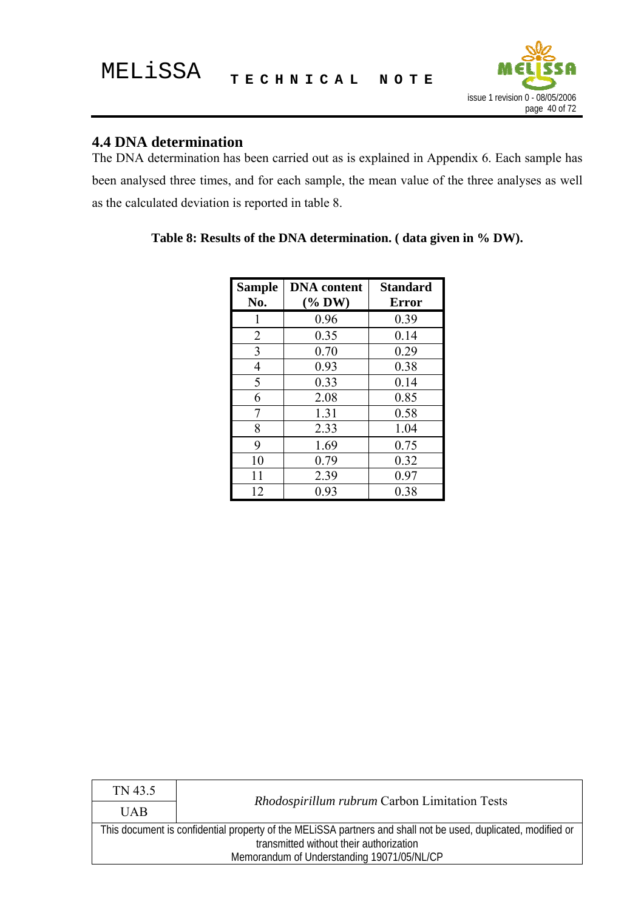

# **4.4 DNA determination**

The DNA determination has been carried out as is explained in Appendix 6. Each sample has been analysed three times, and for each sample, the mean value of the three analyses as well as the calculated deviation is reported in table 8.

| <b>Sample</b><br>No. | <b>DNA</b> content<br>$(\%$ DW) | <b>Standard</b><br><b>Error</b> |
|----------------------|---------------------------------|---------------------------------|
|                      | 0.96                            | 0.39                            |
| 2                    | 0.35                            | 0.14                            |
| 3                    | 0.70                            | 0.29                            |
| 4                    | 0.93                            | 0.38                            |
| 5                    | 0.33                            | 0.14                            |
| 6                    | 2.08                            | 0.85                            |
| 7                    | 1.31                            | 0.58                            |
| 8                    | 2.33                            | 1.04                            |
| 9                    | 1.69                            | 0.75                            |
| 10                   | 0.79                            | 0.32                            |
| 11                   | 2.39                            | 0.97                            |
| 12                   | 0.93                            | 0.38                            |

|  |  | Table 8: Results of the DNA determination. (data given in % DW). |  |  |
|--|--|------------------------------------------------------------------|--|--|
|  |  |                                                                  |  |  |

| TN 43.5                                                                                                       | <i>Rhodospirillum rubrum</i> Carbon Limitation Tests |  |
|---------------------------------------------------------------------------------------------------------------|------------------------------------------------------|--|
| <b>UAB</b>                                                                                                    |                                                      |  |
| This document is confidential property of the MELISSA partners and shall not be used, duplicated, modified or |                                                      |  |
| transmitted without their authorization                                                                       |                                                      |  |
| Memorandum of Understanding 19071/05/NL/CP                                                                    |                                                      |  |
|                                                                                                               |                                                      |  |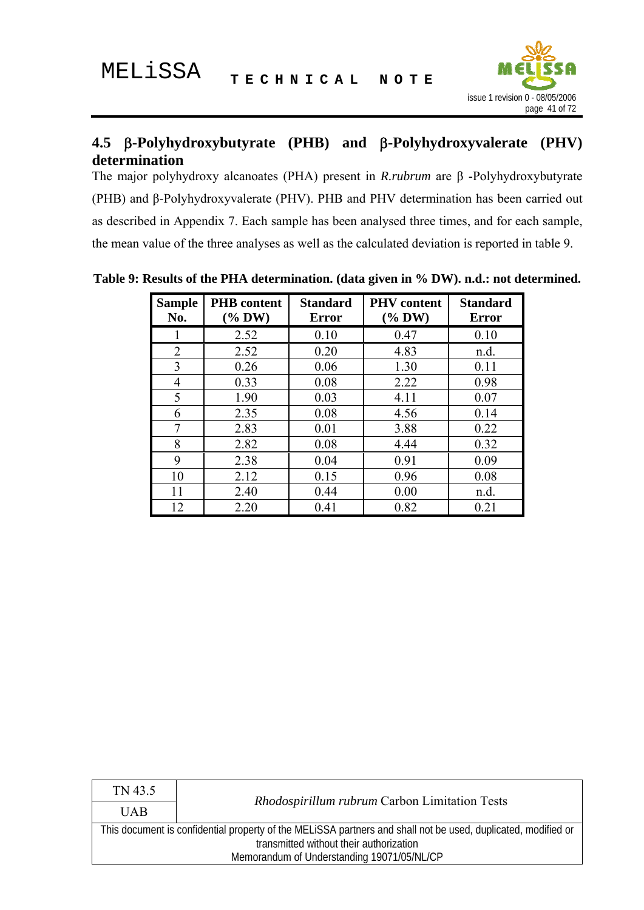

## **4.5** β**-Polyhydroxybutyrate (PHB) and** β**-Polyhydroxyvalerate (PHV) determination**

The major polyhydroxy alcanoates (PHA) present in *R.rubrum* are β -Polyhydroxybutyrate (PHB) and β-Polyhydroxyvalerate (PHV). PHB and PHV determination has been carried out as described in Appendix 7. Each sample has been analysed three times, and for each sample, the mean value of the three analyses as well as the calculated deviation is reported in table 9.

| <b>Sample</b><br>No. | <b>PHB</b> content<br>$(\%$ DW) | <b>Standard</b><br><b>Error</b> | <b>PHV</b> content<br>$(\%$ DW) | <b>Standard</b><br><b>Error</b> |
|----------------------|---------------------------------|---------------------------------|---------------------------------|---------------------------------|
|                      | 2.52                            | 0.10                            | 0.47                            | 0.10                            |
| $\overline{2}$       | 2.52                            | 0.20                            | 4.83                            | n.d.                            |
| 3                    | 0.26                            | 0.06                            | 1.30                            | 0.11                            |
| $\overline{4}$       | 0.33                            | 0.08                            | 2.22                            | 0.98                            |
| 5                    | 1.90                            | 0.03                            | 4.11                            | 0.07                            |
| 6                    | 2.35                            | 0.08                            | 4.56                            | 0.14                            |
| 7                    | 2.83                            | 0.01                            | 3.88                            | 0.22                            |
| 8                    | 2.82                            | 0.08                            | 4.44                            | 0.32                            |
| 9                    | 2.38                            | 0.04                            | 0.91                            | 0.09                            |
| 10                   | 2.12                            | 0.15                            | 0.96                            | 0.08                            |
| 11                   | 2.40                            | 0.44                            | 0.00                            | n.d.                            |
| 12                   | 2.20                            | 0.41                            | 0.82                            | 0.21                            |

**Table 9: Results of the PHA determination. (data given in % DW). n.d.: not determined.** 

| TN 43.5                                                                                                       |                                               |  |
|---------------------------------------------------------------------------------------------------------------|-----------------------------------------------|--|
| <b>UAB</b>                                                                                                    | Rhodospirillum rubrum Carbon Limitation Tests |  |
| This document is confidential property of the MELISSA partners and shall not be used, duplicated, modified or |                                               |  |
| transmitted without their authorization                                                                       |                                               |  |
| Memorandum of Understanding 19071/05/NL/CP                                                                    |                                               |  |
|                                                                                                               |                                               |  |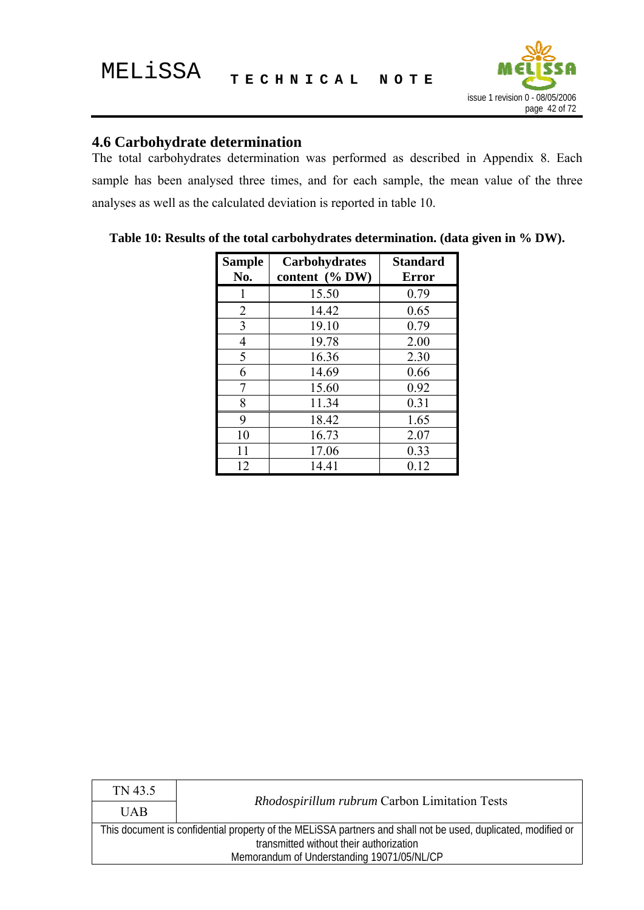

# **4.6 Carbohydrate determination**

The total carbohydrates determination was performed as described in Appendix 8. Each sample has been analysed three times, and for each sample, the mean value of the three analyses as well as the calculated deviation is reported in table 10.

| Sample<br>No.  | <b>Carbohydrates</b><br>content (% DW) | <b>Standard</b><br><b>Error</b> |
|----------------|----------------------------------------|---------------------------------|
|                | 15.50                                  | 0.79                            |
| $\overline{2}$ | 14.42                                  | 0.65                            |
| 3              | 19.10                                  | 0.79                            |
| 4              | 19.78                                  | 2.00                            |
| 5              | 16.36                                  | 2.30                            |
| 6              | 14.69                                  | 0.66                            |
| 7              | 15.60                                  | 0.92                            |
| 8              | 11.34                                  | 0.31                            |
| 9              | 18.42                                  | 1.65                            |
| 10             | 16.73                                  | 2.07                            |
| 11             | 17.06                                  | 0.33                            |
| 12             | 14.41                                  | 0.12                            |

**Table 10: Results of the total carbohydrates determination. (data given in % DW).** 

| TN 43.5                                    | Rhodospirillum rubrum Carbon Limitation Tests                                                                 |  |  |
|--------------------------------------------|---------------------------------------------------------------------------------------------------------------|--|--|
| <b>UAB</b>                                 |                                                                                                               |  |  |
|                                            | This document is confidential property of the MELISSA partners and shall not be used, duplicated, modified or |  |  |
| transmitted without their authorization    |                                                                                                               |  |  |
| Memorandum of Understanding 19071/05/NL/CP |                                                                                                               |  |  |
|                                            |                                                                                                               |  |  |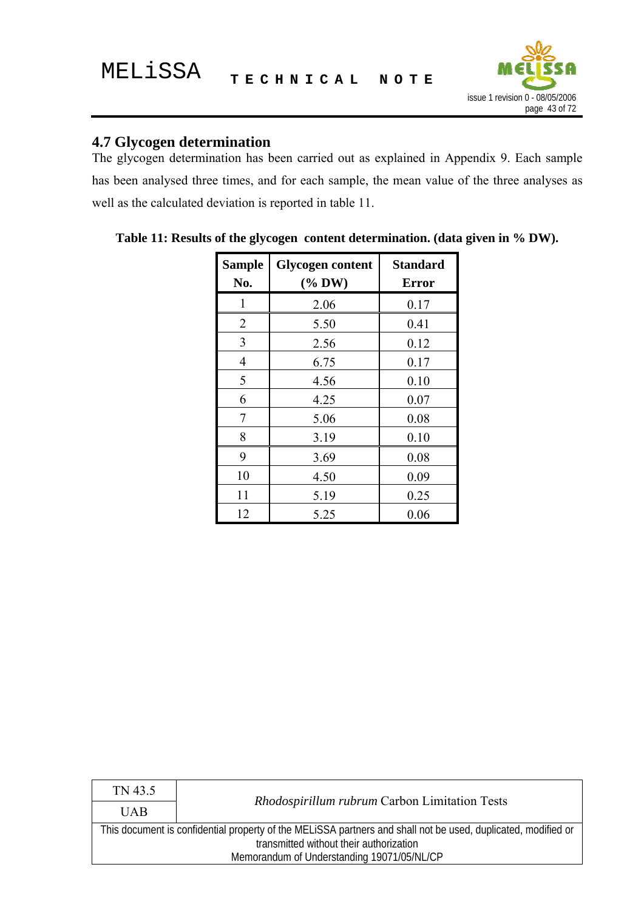

## **4.7 Glycogen determination**

The glycogen determination has been carried out as explained in Appendix 9. Each sample has been analysed three times, and for each sample, the mean value of the three analyses as well as the calculated deviation is reported in table 11.

| <b>Sample</b><br>No. | <b>Glycogen content</b><br>$(*b$ DW) | <b>Standard</b><br><b>Error</b> |
|----------------------|--------------------------------------|---------------------------------|
| 1                    | 2.06                                 | 0.17                            |
| 2                    | 5.50                                 | 0.41                            |
| 3                    | 2.56                                 | 0.12                            |
| 4                    | 6.75                                 | 0.17                            |
| 5                    | 4.56                                 | 0.10                            |
| 6                    | 4.25                                 | 0.07                            |
| 7                    | 5.06                                 | 0.08                            |
| 8                    | 3.19                                 | 0.10                            |
| 9                    | 3.69                                 | 0.08                            |
| 10                   | 4.50                                 | 0.09                            |
| 11                   | 5.19                                 | 0.25                            |
| 12                   | 5.25                                 | 0.06                            |

**Table 11: Results of the glycogen content determination. (data given in % DW).** 

| TN 43.5                                    | Rhodospirillum rubrum Carbon Limitation Tests                                                                 |  |  |
|--------------------------------------------|---------------------------------------------------------------------------------------------------------------|--|--|
| <b>UAB</b>                                 |                                                                                                               |  |  |
|                                            | This document is confidential property of the MELISSA partners and shall not be used, duplicated, modified or |  |  |
| transmitted without their authorization    |                                                                                                               |  |  |
| Memorandum of Understanding 19071/05/NL/CP |                                                                                                               |  |  |
|                                            |                                                                                                               |  |  |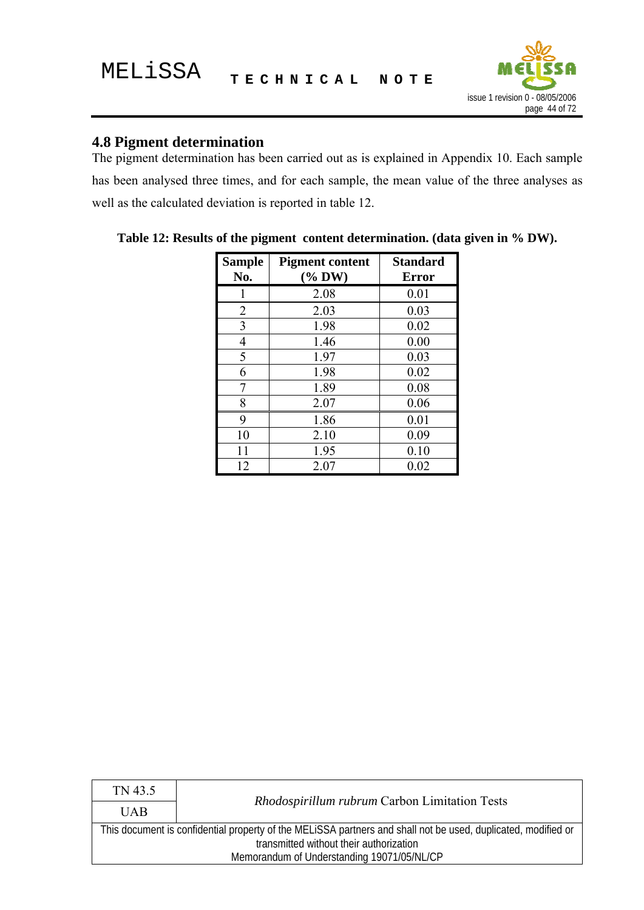

## **4.8 Pigment determination**

The pigment determination has been carried out as is explained in Appendix 10. Each sample has been analysed three times, and for each sample, the mean value of the three analyses as well as the calculated deviation is reported in table 12.

| <b>Sample</b><br>No. | <b>Pigment content</b><br>$(\%$ DW) | <b>Standard</b><br><b>Error</b> |
|----------------------|-------------------------------------|---------------------------------|
|                      | 2.08                                | 0.01                            |
| $\overline{2}$       | 2.03                                | 0.03                            |
| 3                    | 1.98                                | 0.02                            |
| $\overline{4}$       | 1.46                                | 0.00                            |
| 5                    | 1.97                                | 0.03                            |
| 6                    | 1.98                                | 0.02                            |
| 7                    | 1.89                                | 0.08                            |
| 8                    | 2.07                                | 0.06                            |
| 9                    | 1.86                                | 0.01                            |
| 10                   | 2.10                                | 0.09                            |
| 11                   | 1.95                                | 0.10                            |
| 12                   | 2.07                                | 0.02                            |

**Table 12: Results of the pigment content determination. (data given in % DW).** 

| TN 43.5                                    | <i>Rhodospirillum rubrum</i> Carbon Limitation Tests                                                          |  |  |
|--------------------------------------------|---------------------------------------------------------------------------------------------------------------|--|--|
| <b>UAB</b>                                 |                                                                                                               |  |  |
|                                            | This document is confidential property of the MELISSA partners and shall not be used, duplicated, modified or |  |  |
| transmitted without their authorization    |                                                                                                               |  |  |
| Memorandum of Understanding 19071/05/NL/CP |                                                                                                               |  |  |
|                                            |                                                                                                               |  |  |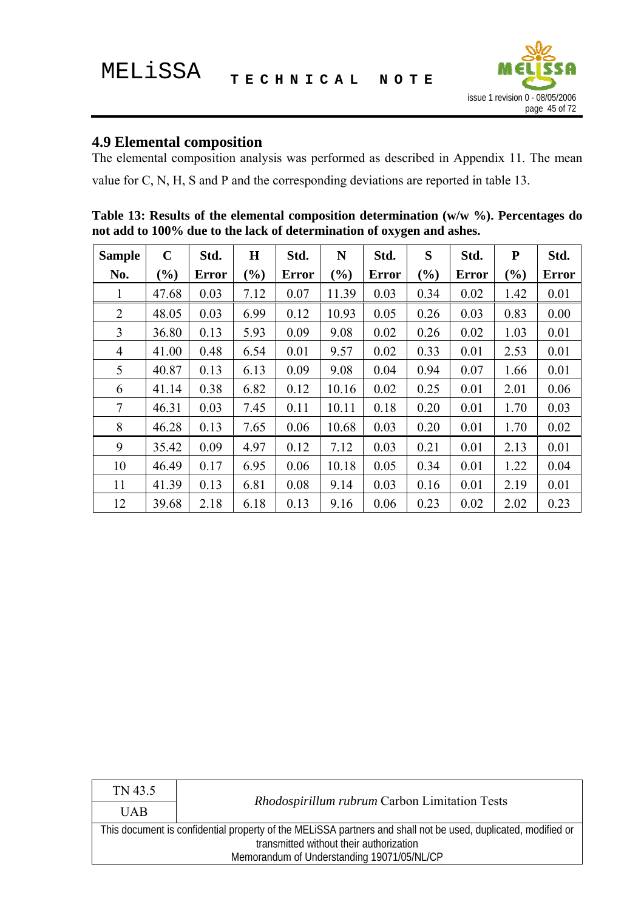

# **4.9 Elemental composition**

The elemental composition analysis was performed as described in Appendix 11. The mean value for C, N, H, S and P and the corresponding deviations are reported in table 13.

| Table 13: Results of the elemental composition determination $(w/w \%)$ . Percentages do |  |
|------------------------------------------------------------------------------------------|--|
| not add to 100% due to the lack of determination of oxygen and ashes.                    |  |

| <b>Sample</b>  | $\mathbf C$ | Std.         | $\bf H$ | Std.         | N      | Std.         | S      | Std.         | ${\bf P}$ | Std.         |
|----------------|-------------|--------------|---------|--------------|--------|--------------|--------|--------------|-----------|--------------|
| No.            | $(\%)$      | <b>Error</b> | (%)     | <b>Error</b> | $(\%)$ | <b>Error</b> | $(\%)$ | <b>Error</b> | (%)       | <b>Error</b> |
| 1              | 47.68       | 0.03         | 7.12    | 0.07         | 11.39  | 0.03         | 0.34   | 0.02         | 1.42      | 0.01         |
| $\overline{2}$ | 48.05       | 0.03         | 6.99    | 0.12         | 10.93  | 0.05         | 0.26   | 0.03         | 0.83      | 0.00         |
| 3              | 36.80       | 0.13         | 5.93    | 0.09         | 9.08   | 0.02         | 0.26   | 0.02         | 1.03      | 0.01         |
| $\overline{4}$ | 41.00       | 0.48         | 6.54    | 0.01         | 9.57   | 0.02         | 0.33   | 0.01         | 2.53      | 0.01         |
| 5              | 40.87       | 0.13         | 6.13    | 0.09         | 9.08   | 0.04         | 0.94   | 0.07         | 1.66      | 0.01         |
| 6              | 41.14       | 0.38         | 6.82    | 0.12         | 10.16  | 0.02         | 0.25   | 0.01         | 2.01      | 0.06         |
| 7              | 46.31       | 0.03         | 7.45    | 0.11         | 10.11  | 0.18         | 0.20   | 0.01         | 1.70      | 0.03         |
| 8              | 46.28       | 0.13         | 7.65    | 0.06         | 10.68  | 0.03         | 0.20   | 0.01         | 1.70      | 0.02         |
| 9              | 35.42       | 0.09         | 4.97    | 0.12         | 7.12   | 0.03         | 0.21   | 0.01         | 2.13      | 0.01         |
| 10             | 46.49       | 0.17         | 6.95    | 0.06         | 10.18  | 0.05         | 0.34   | 0.01         | 1.22      | 0.04         |
| 11             | 41.39       | 0.13         | 6.81    | 0.08         | 9.14   | 0.03         | 0.16   | 0.01         | 2.19      | 0.01         |
| 12             | 39.68       | 2.18         | 6.18    | 0.13         | 9.16   | 0.06         | 0.23   | 0.02         | 2.02      | 0.23         |

| TN 43.5                                    | Rhodospirillum rubrum Carbon Limitation Tests                                                                 |  |  |
|--------------------------------------------|---------------------------------------------------------------------------------------------------------------|--|--|
| <b>UAB</b>                                 |                                                                                                               |  |  |
|                                            | This document is confidential property of the MELISSA partners and shall not be used, duplicated, modified or |  |  |
|                                            | transmitted without their authorization                                                                       |  |  |
| Memorandum of Understanding 19071/05/NL/CP |                                                                                                               |  |  |
|                                            |                                                                                                               |  |  |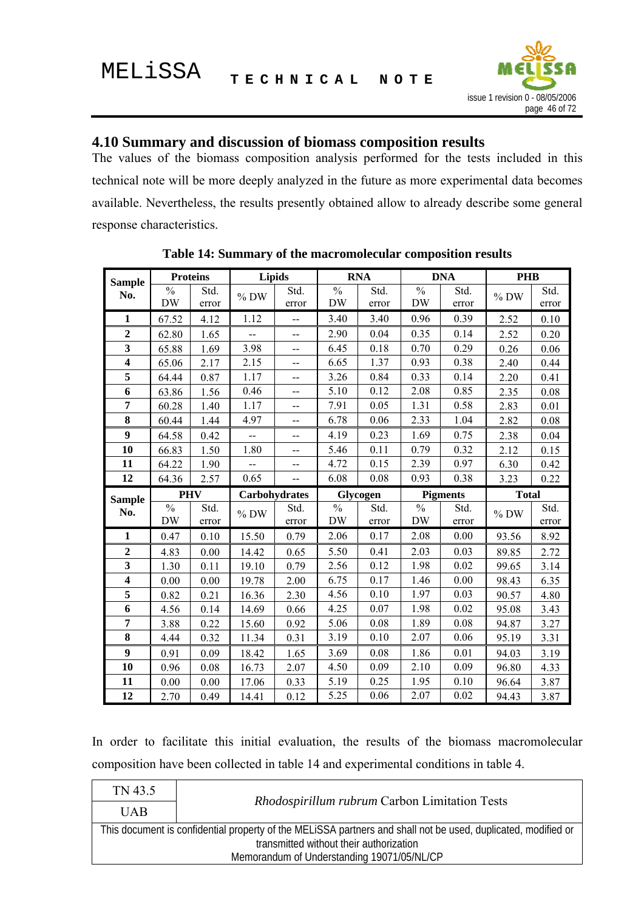

## **4.10 Summary and discussion of biomass composition results**

The values of the biomass composition analysis performed for the tests included in this technical note will be more deeply analyzed in the future as more experimental data becomes available. Nevertheless, the results presently obtained allow to already describe some general response characteristics.

| <b>Sample</b>           | <b>Proteins</b>          |       | <b>Lipids</b>            |                                               |                          | <b>RNA</b> |               | <b>DNA</b>      | <b>PHB</b>   |       |
|-------------------------|--------------------------|-------|--------------------------|-----------------------------------------------|--------------------------|------------|---------------|-----------------|--------------|-------|
| No.                     | $\overline{\frac{0}{6}}$ | Std.  | $\%$ DW                  | Std.                                          | $\overline{\frac{0}{0}}$ | Std.       | $\frac{0}{0}$ | Std.            | $%$ DW       | Std.  |
|                         | <b>DW</b>                | error |                          | error                                         | <b>DW</b>                | error      | <b>DW</b>     | error           |              | error |
| $\mathbf{1}$            | 67.52                    | 4.12  | 1.12                     |                                               | 3.40                     | 3.40       | 0.96          | 0.39            | 2.52         | 0.10  |
| $\overline{2}$          | 62.80                    | 1.65  | $\overline{\phantom{a}}$ | $\overline{a}$                                | 2.90                     | 0.04       | 0.35          | 0.14            | 2.52         | 0.20  |
| $\overline{\mathbf{3}}$ | 65.88                    | 1.69  | 3.98                     | $- -$                                         | 6.45                     | 0.18       | 0.70          | 0.29            | 0.26         | 0.06  |
| $\overline{\mathbf{4}}$ | 65.06                    | 2.17  | 2.15                     | $\overline{\phantom{a}}$                      | 6.65                     | 1.37       | 0.93          | 0.38            | 2.40         | 0.44  |
| 5                       | 64.44                    | 0.87  | 1.17                     | $-$                                           | 3.26                     | 0.84       | 0.33          | 0.14            | 2.20         | 0.41  |
| 6                       | 63.86                    | 1.56  | 0.46                     | $-$                                           | 5.10                     | 0.12       | 2.08          | 0.85            | 2.35         | 0.08  |
| $\overline{7}$          | 60.28                    | 1.40  | 1.17                     | $\overline{a}$                                | 7.91                     | 0.05       | 1.31          | 0.58            | 2.83         | 0.01  |
| 8                       | 60.44                    | 1.44  | 4.97                     | $\overline{a}$                                | 6.78                     | 0.06       | 2.33          | 1.04            | 2.82         | 0.08  |
| $\boldsymbol{9}$        | 64.58                    | 0.42  | --                       | $\overline{a}$                                | 4.19                     | 0.23       | 1.69          | 0.75            | 2.38         | 0.04  |
| 10                      | 66.83                    | 1.50  | 1.80                     | $-$                                           | 5.46                     | 0.11       | 0.79          | 0.32            | 2.12         | 0.15  |
| 11                      | 64.22                    | 1.90  | $\overline{\phantom{a}}$ | $\overline{a}$                                | 4.72                     | 0.15       | 2.39          | 0.97            | 6.30         | 0.42  |
| 12                      | 64.36                    | 2.57  | 0.65                     | $\mathord{\hspace{1pt}\text{--}\hspace{1pt}}$ | 6.08                     | 0.08       | 0.93          | 0.38            | 3.23         | 0.22  |
|                         |                          |       |                          |                                               |                          |            |               |                 |              |       |
|                         | <b>PHV</b>               |       |                          | Carbohydrates                                 |                          | Glycogen   |               | <b>Pigments</b> | <b>Total</b> |       |
| <b>Sample</b>           | $\frac{0}{0}$            | Std.  |                          | Std.                                          | $\overline{\frac{0}{6}}$ | Std.       | $\frac{0}{0}$ | Std.            |              | Std.  |
| No.                     | <b>DW</b>                | error | $%$ DW                   | error                                         | <b>DW</b>                | error      | <b>DW</b>     | error           | $%$ DW       | error |
| 1                       | 0.47                     | 0.10  | 15.50                    | 0.79                                          | 2.06                     | 0.17       | 2.08          | 0.00            | 93.56        | 8.92  |
| $\overline{2}$          | 4.83                     | 0.00  | 14.42                    | 0.65                                          | 5.50                     | 0.41       | 2.03          | 0.03            | 89.85        | 2.72  |
| $\overline{\mathbf{3}}$ | 1.30                     | 0.11  | 19.10                    | 0.79                                          | 2.56                     | 0.12       | 1.98          | 0.02            | 99.65        | 3.14  |
| $\overline{\mathbf{4}}$ | 0.00                     | 0.00  | 19.78                    | 2.00                                          | 6.75                     | 0.17       | 1.46          | 0.00            | 98.43        | 6.35  |
| 5                       | 0.82                     | 0.21  | 16.36                    | 2.30                                          | 4.56                     | 0.10       | 1.97          | 0.03            | 90.57        | 4.80  |
| 6                       | 4.56                     | 0.14  | 14.69                    | 0.66                                          | 4.25                     | 0.07       | 1.98          | 0.02            | 95.08        | 3.43  |
| $\overline{7}$          | 3.88                     | 0.22  | 15.60                    | 0.92                                          | 5.06                     | 0.08       | 1.89          | 0.08            | 94.87        | 3.27  |
| 8                       | 4.44                     | 0.32  | 11.34                    | 0.31                                          | 3.19                     | 0.10       | 2.07          | 0.06            | 95.19        | 3.31  |
| $\boldsymbol{9}$        | 0.91                     | 0.09  | 18.42                    | 1.65                                          | 3.69                     | 0.08       | 1.86          | 0.01            | 94.03        | 3.19  |
| 10                      | 0.96                     | 0.08  | 16.73                    | 2.07                                          | 4.50                     | 0.09       | 2.10          | 0.09            | 96.80        | 4.33  |
| 11                      | 0.00                     | 0.00  | 17.06                    | 0.33                                          | 5.19                     | 0.25       | 1.95          | 0.10            | 96.64        | 3.87  |

**Table 14: Summary of the macromolecular composition results** 

In order to facilitate this initial evaluation, the results of the biomass macromolecular composition have been collected in table 14 and experimental conditions in table 4.

| TN 43.5                                                                                                       | Rhodospirillum rubrum Carbon Limitation Tests |  |  |
|---------------------------------------------------------------------------------------------------------------|-----------------------------------------------|--|--|
| <b>UAB</b>                                                                                                    |                                               |  |  |
| This document is confidential property of the MELISSA partners and shall not be used, duplicated, modified or |                                               |  |  |
| transmitted without their authorization<br>Memorandum of Understanding 19071/05/NL/CP                         |                                               |  |  |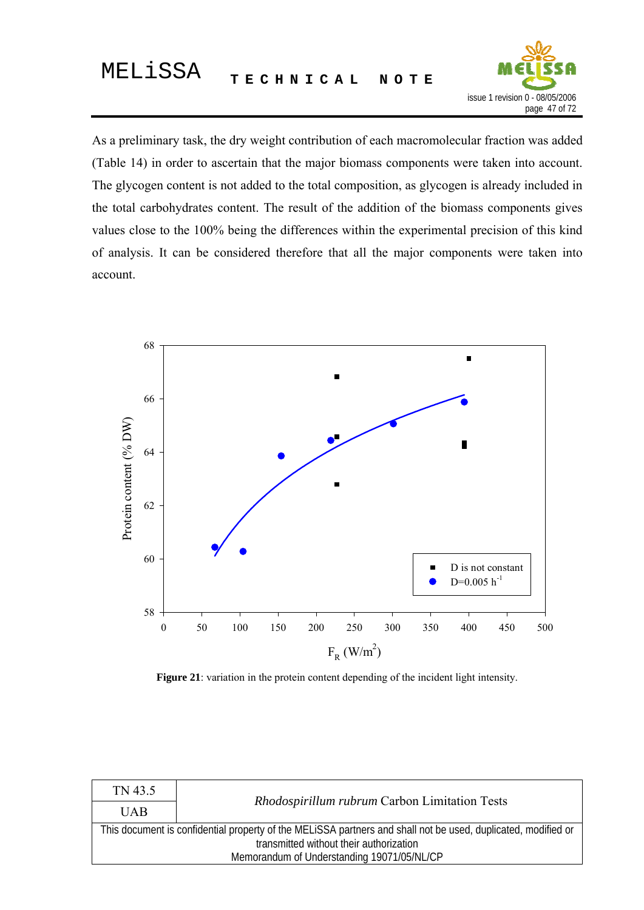

As a preliminary task, the dry weight contribution of each macromolecular fraction was added (Table 14) in order to ascertain that the major biomass components were taken into account. The glycogen content is not added to the total composition, as glycogen is already included in the total carbohydrates content. The result of the addition of the biomass components gives values close to the 100% being the differences within the experimental precision of this kind of analysis. It can be considered therefore that all the major components were taken into account.



**Figure 21**: variation in the protein content depending of the incident light intensity.

| TN 43.5                                    | Rhodospirillum rubrum Carbon Limitation Tests                                                                                                            |  |  |  |  |
|--------------------------------------------|----------------------------------------------------------------------------------------------------------------------------------------------------------|--|--|--|--|
| <b>UAB</b>                                 |                                                                                                                                                          |  |  |  |  |
|                                            | This document is confidential property of the MELISSA partners and shall not be used, duplicated, modified or<br>transmitted without their authorization |  |  |  |  |
|                                            |                                                                                                                                                          |  |  |  |  |
| Memorandum of Understanding 19071/05/NL/CP |                                                                                                                                                          |  |  |  |  |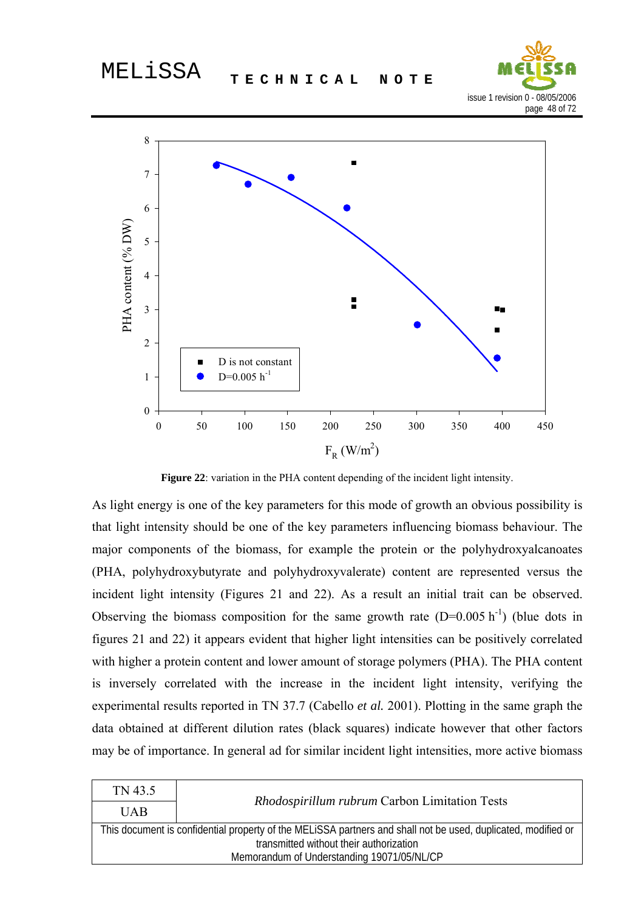



**Figure 22**: variation in the PHA content depending of the incident light intensity.

As light energy is one of the key parameters for this mode of growth an obvious possibility is that light intensity should be one of the key parameters influencing biomass behaviour. The major components of the biomass, for example the protein or the polyhydroxyalcanoates (PHA, polyhydroxybutyrate and polyhydroxyvalerate) content are represented versus the incident light intensity (Figures 21 and 22). As a result an initial trait can be observed. Observing the biomass composition for the same growth rate  $(D=0.005 \text{ h}^{-1})$  (blue dots in figures 21 and 22) it appears evident that higher light intensities can be positively correlated with higher a protein content and lower amount of storage polymers (PHA). The PHA content is inversely correlated with the increase in the incident light intensity, verifying the experimental results reported in TN 37.7 (Cabello *et al.* 2001). Plotting in the same graph the data obtained at different dilution rates (black squares) indicate however that other factors may be of importance. In general ad for similar incident light intensities, more active biomass

| TN 43.5                                    | <i>Rhodospirillum rubrum</i> Carbon Limitation Tests                                                          |  |  |
|--------------------------------------------|---------------------------------------------------------------------------------------------------------------|--|--|
| <b>UAB</b>                                 |                                                                                                               |  |  |
|                                            | This document is confidential property of the MELISSA partners and shall not be used, duplicated, modified or |  |  |
| transmitted without their authorization    |                                                                                                               |  |  |
| Memorandum of Understanding 19071/05/NL/CP |                                                                                                               |  |  |
|                                            |                                                                                                               |  |  |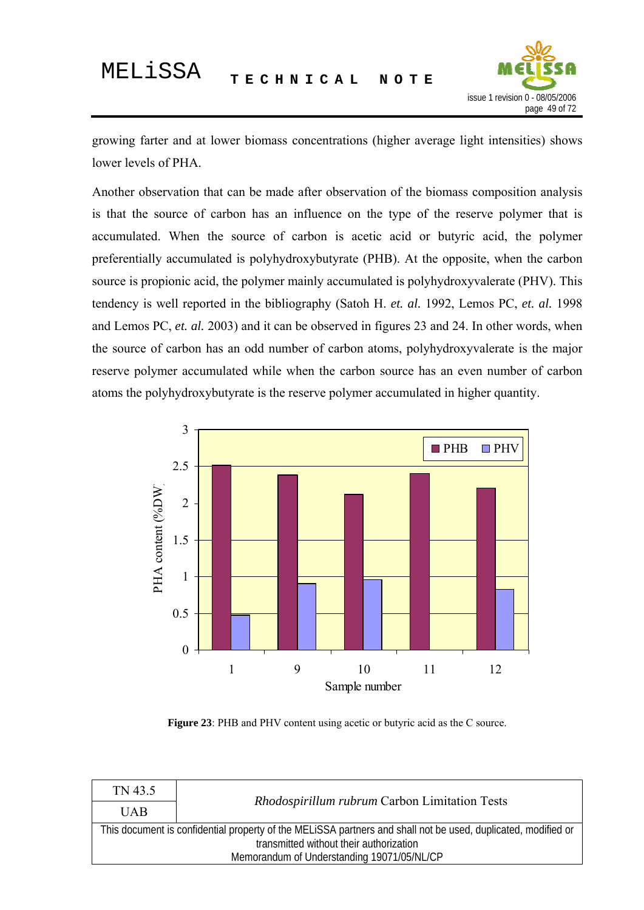

growing farter and at lower biomass concentrations (higher average light intensities) shows lower levels of PHA.

Another observation that can be made after observation of the biomass composition analysis is that the source of carbon has an influence on the type of the reserve polymer that is accumulated. When the source of carbon is acetic acid or butyric acid, the polymer preferentially accumulated is polyhydroxybutyrate (PHB). At the opposite, when the carbon source is propionic acid, the polymer mainly accumulated is polyhydroxyvalerate (PHV). This tendency is well reported in the bibliography (Satoh H. *et. al.* 1992, Lemos PC, *et. al.* 1998 and Lemos PC, *et. al.* 2003) and it can be observed in figures 23 and 24. In other words, when the source of carbon has an odd number of carbon atoms, polyhydroxyvalerate is the major reserve polymer accumulated while when the carbon source has an even number of carbon atoms the polyhydroxybutyrate is the reserve polymer accumulated in higher quantity.



**Figure 23**: PHB and PHV content using acetic or butyric acid as the C source.

| TN 43.5                                                                                                       |                                               |  |
|---------------------------------------------------------------------------------------------------------------|-----------------------------------------------|--|
| <b>UAB</b>                                                                                                    | Rhodospirillum rubrum Carbon Limitation Tests |  |
| This document is confidential property of the MELISSA partners and shall not be used, duplicated, modified or |                                               |  |
| transmitted without their authorization                                                                       |                                               |  |
| Memorandum of Understanding 19071/05/NL/CP                                                                    |                                               |  |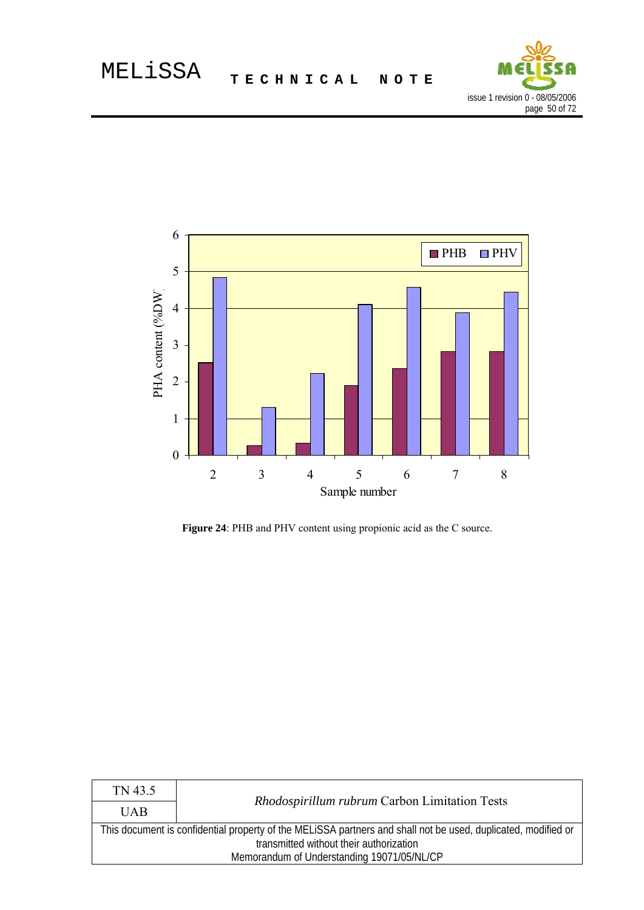



Figure 24: PHB and PHV content using propionic acid as the C source.

| TN 43.5                                                                                                       |                                               |  |
|---------------------------------------------------------------------------------------------------------------|-----------------------------------------------|--|
| <b>UAB</b>                                                                                                    | Rhodospirillum rubrum Carbon Limitation Tests |  |
| This document is confidential property of the MELISSA partners and shall not be used, duplicated, modified or |                                               |  |
| transmitted without their authorization                                                                       |                                               |  |
| Memorandum of Understanding 19071/05/NL/CP                                                                    |                                               |  |
|                                                                                                               |                                               |  |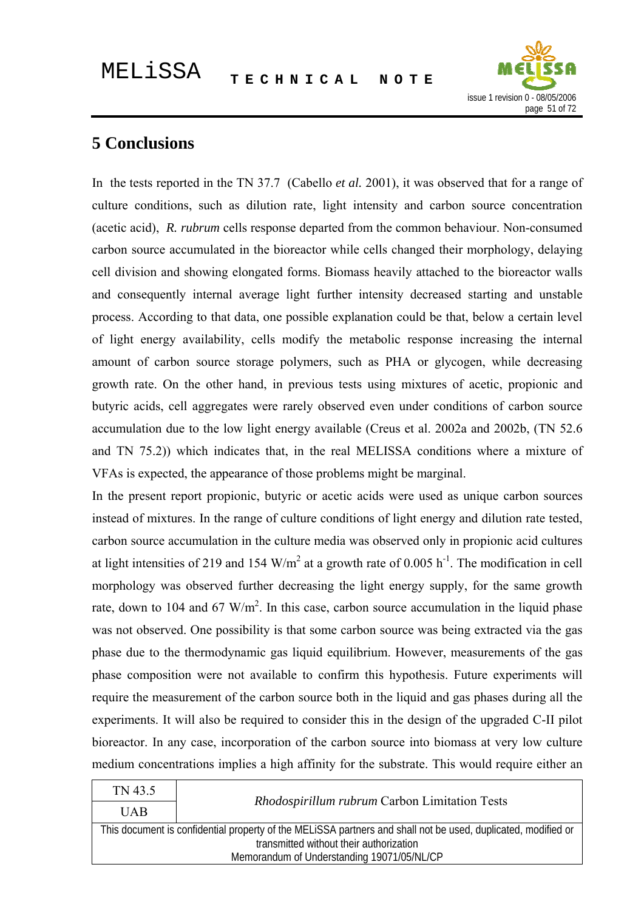

# **5 Conclusions**

In the tests reported in the TN 37.7 (Cabello *et al.* 2001), it was observed that for a range of culture conditions, such as dilution rate, light intensity and carbon source concentration (acetic acid), *R. rubrum* cells response departed from the common behaviour. Non-consumed carbon source accumulated in the bioreactor while cells changed their morphology, delaying cell division and showing elongated forms. Biomass heavily attached to the bioreactor walls and consequently internal average light further intensity decreased starting and unstable process. According to that data, one possible explanation could be that, below a certain level of light energy availability, cells modify the metabolic response increasing the internal amount of carbon source storage polymers, such as PHA or glycogen, while decreasing growth rate. On the other hand, in previous tests using mixtures of acetic, propionic and butyric acids, cell aggregates were rarely observed even under conditions of carbon source accumulation due to the low light energy available (Creus et al. 2002a and 2002b, (TN 52.6 and TN 75.2)) which indicates that, in the real MELISSA conditions where a mixture of VFAs is expected, the appearance of those problems might be marginal.

In the present report propionic, butyric or acetic acids were used as unique carbon sources instead of mixtures. In the range of culture conditions of light energy and dilution rate tested, carbon source accumulation in the culture media was observed only in propionic acid cultures at light intensities of 219 and 154 W/m<sup>2</sup> at a growth rate of 0.005  $h^{-1}$ . The modification in cell morphology was observed further decreasing the light energy supply, for the same growth rate, down to 104 and 67 W/m<sup>2</sup>. In this case, carbon source accumulation in the liquid phase was not observed. One possibility is that some carbon source was being extracted via the gas phase due to the thermodynamic gas liquid equilibrium. However, measurements of the gas phase composition were not available to confirm this hypothesis. Future experiments will require the measurement of the carbon source both in the liquid and gas phases during all the experiments. It will also be required to consider this in the design of the upgraded C-II pilot bioreactor. In any case, incorporation of the carbon source into biomass at very low culture medium concentrations implies a high affinity for the substrate. This would require either an

| TN 43.5                                                                                                       |                                               |  |
|---------------------------------------------------------------------------------------------------------------|-----------------------------------------------|--|
| <b>UAB</b>                                                                                                    | Rhodospirillum rubrum Carbon Limitation Tests |  |
| This document is confidential property of the MELISSA partners and shall not be used, duplicated, modified or |                                               |  |
| transmitted without their authorization                                                                       |                                               |  |
| Memorandum of Understanding 19071/05/NL/CP                                                                    |                                               |  |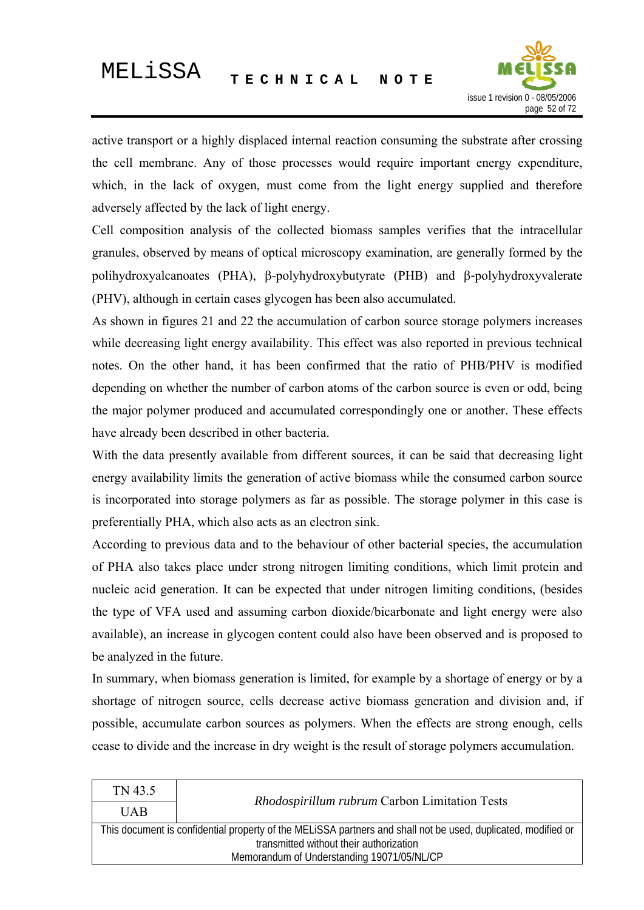

active transport or a highly displaced internal reaction consuming the substrate after crossing the cell membrane. Any of those processes would require important energy expenditure, which, in the lack of oxygen, must come from the light energy supplied and therefore adversely affected by the lack of light energy.

Cell composition analysis of the collected biomass samples verifies that the intracellular granules, observed by means of optical microscopy examination, are generally formed by the polihydroxyalcanoates (PHA), β-polyhydroxybutyrate (PHB) and β-polyhydroxyvalerate (PHV), although in certain cases glycogen has been also accumulated.

As shown in figures 21 and 22 the accumulation of carbon source storage polymers increases while decreasing light energy availability. This effect was also reported in previous technical notes. On the other hand, it has been confirmed that the ratio of PHB/PHV is modified depending on whether the number of carbon atoms of the carbon source is even or odd, being the major polymer produced and accumulated correspondingly one or another. These effects have already been described in other bacteria.

With the data presently available from different sources, it can be said that decreasing light energy availability limits the generation of active biomass while the consumed carbon source is incorporated into storage polymers as far as possible. The storage polymer in this case is preferentially PHA, which also acts as an electron sink.

According to previous data and to the behaviour of other bacterial species, the accumulation of PHA also takes place under strong nitrogen limiting conditions, which limit protein and nucleic acid generation. It can be expected that under nitrogen limiting conditions, (besides the type of VFA used and assuming carbon dioxide/bicarbonate and light energy were also available), an increase in glycogen content could also have been observed and is proposed to be analyzed in the future.

In summary, when biomass generation is limited, for example by a shortage of energy or by a shortage of nitrogen source, cells decrease active biomass generation and division and, if possible, accumulate carbon sources as polymers. When the effects are strong enough, cells cease to divide and the increase in dry weight is the result of storage polymers accumulation.

| TN 43.5                                                                                                       | Rhodospirillum rubrum Carbon Limitation Tests |  |
|---------------------------------------------------------------------------------------------------------------|-----------------------------------------------|--|
| <b>UAB</b>                                                                                                    |                                               |  |
| This document is confidential property of the MELISSA partners and shall not be used, duplicated, modified or |                                               |  |
| transmitted without their authorization                                                                       |                                               |  |
| Memorandum of Understanding 19071/05/NL/CP                                                                    |                                               |  |
|                                                                                                               |                                               |  |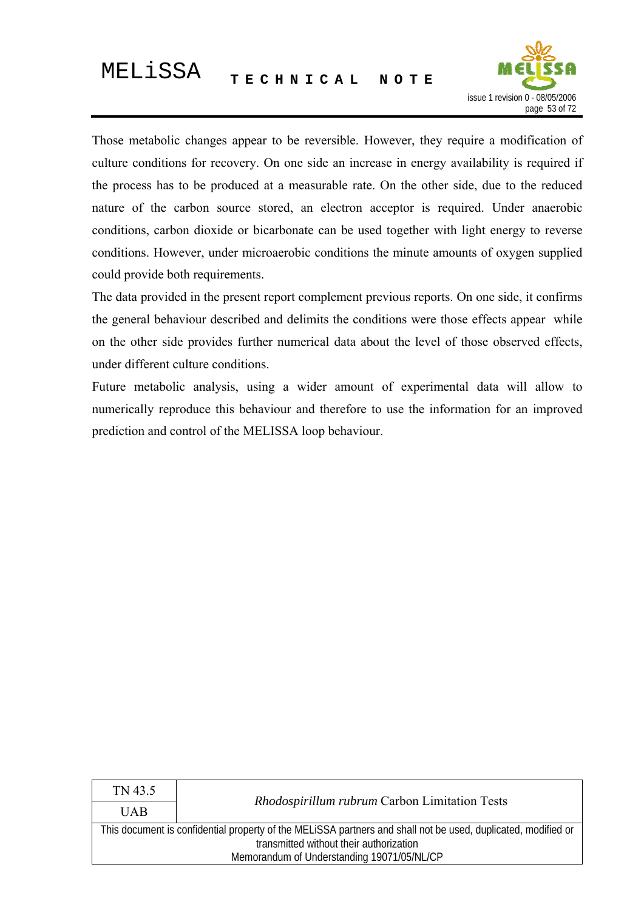

Those metabolic changes appear to be reversible. However, they require a modification of culture conditions for recovery. On one side an increase in energy availability is required if the process has to be produced at a measurable rate. On the other side, due to the reduced nature of the carbon source stored, an electron acceptor is required. Under anaerobic conditions, carbon dioxide or bicarbonate can be used together with light energy to reverse conditions. However, under microaerobic conditions the minute amounts of oxygen supplied could provide both requirements.

The data provided in the present report complement previous reports. On one side, it confirms the general behaviour described and delimits the conditions were those effects appear while on the other side provides further numerical data about the level of those observed effects, under different culture conditions.

Future metabolic analysis, using a wider amount of experimental data will allow to numerically reproduce this behaviour and therefore to use the information for an improved prediction and control of the MELISSA loop behaviour.

| Rhodospirillum rubrum Carbon Limitation Tests                                                                 |  |  |
|---------------------------------------------------------------------------------------------------------------|--|--|
| <b>UAB</b>                                                                                                    |  |  |
| This document is confidential property of the MELISSA partners and shall not be used, duplicated, modified or |  |  |
| transmitted without their authorization                                                                       |  |  |
| Memorandum of Understanding 19071/05/NL/CP                                                                    |  |  |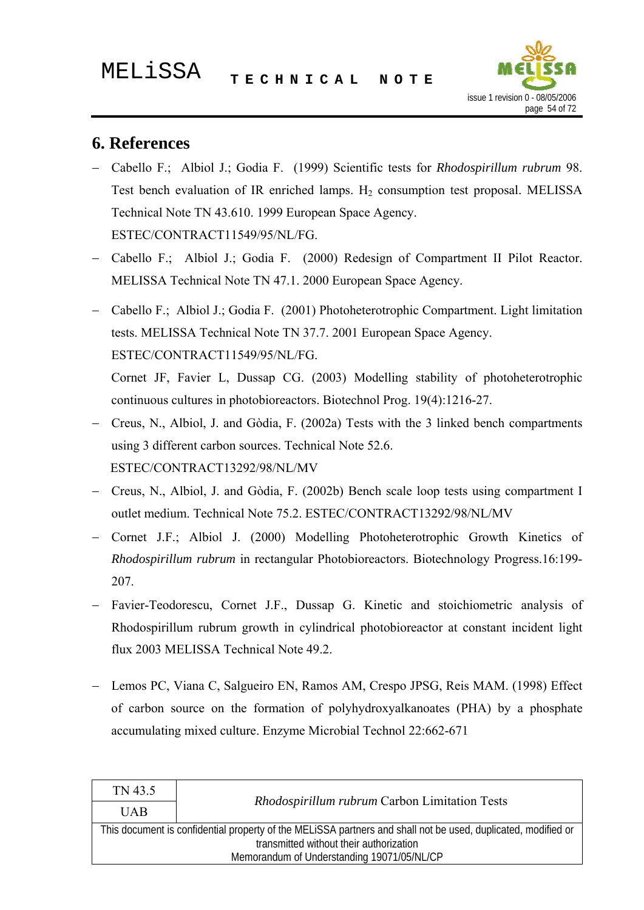

# **6. References**

- − Cabello F.; Albiol J.; Godia F. (1999) Scientific tests for *Rhodospirillum rubrum* 98. Test bench evaluation of IR enriched lamps.  $H<sub>2</sub>$  consumption test proposal. MELISSA Technical Note TN 43.610. 1999 European Space Agency. ESTEC/CONTRACT11549/95/NL/FG.
- − Cabello F.; Albiol J.; Godia F. (2000) Redesign of Compartment II Pilot Reactor. MELISSA Technical Note TN 47.1. 2000 European Space Agency.
- − Cabello F.; Albiol J.; Godia F. (2001) Photoheterotrophic Compartment. Light limitation tests. MELISSA Technical Note TN 37.7. 2001 European Space Agency. ESTEC/CONTRACT11549/95/NL/FG. Cornet JF, Favier L, Dussap CG. (2003) Modelling stability of photoheterotrophic

continuous cultures in photobioreactors. Biotechnol Prog. 19(4):1216-27.

- − Creus, N., Albiol, J. and Gòdia, F. (2002a) Tests with the 3 linked bench compartments using 3 different carbon sources. Technical Note 52.6. ESTEC/CONTRACT13292/98/NL/MV
- − Creus, N., Albiol, J. and Gòdia, F. (2002b) Bench scale loop tests using compartment I outlet medium. Technical Note 75.2. ESTEC/CONTRACT13292/98/NL/MV
- − Cornet J.F.; Albiol J. (2000) Modelling Photoheterotrophic Growth Kinetics of *Rhodospirillum rubrum* in rectangular Photobioreactors. Biotechnology Progress.16:199- 207.
- Favier-Teodorescu, Cornet J.F., Dussap G. Kinetic and stoichiometric analysis of Rhodospirillum rubrum growth in cylindrical photobioreactor at constant incident light flux 2003 MELISSA Technical Note 49.2.
- − Lemos PC, Viana C, Salgueiro EN, Ramos AM, Crespo JPSG, Reis MAM. (1998) Effect of carbon source on the formation of polyhydroxyalkanoates (PHA) by a phosphate accumulating mixed culture. Enzyme Microbial Technol 22:662-671

| TN 43.5                                                                                                       |                                               |  |
|---------------------------------------------------------------------------------------------------------------|-----------------------------------------------|--|
| <b>UAB</b>                                                                                                    | Rhodospirillum rubrum Carbon Limitation Tests |  |
| This document is confidential property of the MELISSA partners and shall not be used, duplicated, modified or |                                               |  |
| transmitted without their authorization                                                                       |                                               |  |
| Memorandum of Understanding 19071/05/NL/CP                                                                    |                                               |  |
|                                                                                                               |                                               |  |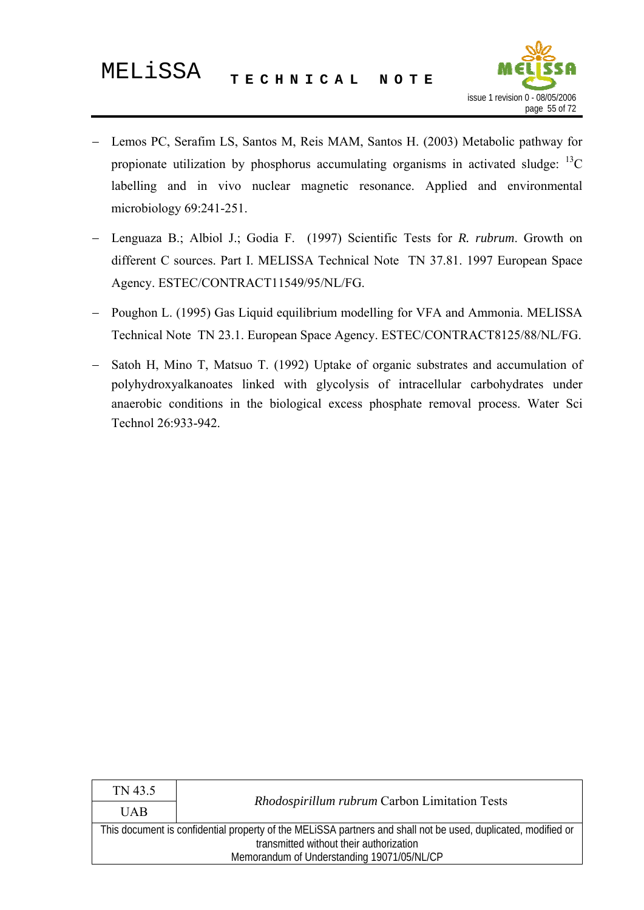

- − Lemos PC, Serafim LS, Santos M, Reis MAM, Santos H. (2003) Metabolic pathway for propionate utilization by phosphorus accumulating organisms in activated sludge:  ${}^{13}C$ labelling and in vivo nuclear magnetic resonance. Applied and environmental microbiology 69:241-251.
- − Lenguaza B.; Albiol J.; Godia F. (1997) Scientific Tests for *R. rubrum*. Growth on different C sources. Part I. MELISSA Technical Note TN 37.81. 1997 European Space Agency. ESTEC/CONTRACT11549/95/NL/FG.
- − Poughon L. (1995) Gas Liquid equilibrium modelling for VFA and Ammonia. MELISSA Technical Note TN 23.1. European Space Agency. ESTEC/CONTRACT8125/88/NL/FG.
- Satoh H, Mino T, Matsuo T. (1992) Uptake of organic substrates and accumulation of polyhydroxyalkanoates linked with glycolysis of intracellular carbohydrates under anaerobic conditions in the biological excess phosphate removal process. Water Sci Technol 26:933-942.

| TN 43.5                                                                                                       |                                               |  |
|---------------------------------------------------------------------------------------------------------------|-----------------------------------------------|--|
| <b>UAB</b>                                                                                                    | Rhodospirillum rubrum Carbon Limitation Tests |  |
| This document is confidential property of the MELISSA partners and shall not be used, duplicated, modified or |                                               |  |
| transmitted without their authorization                                                                       |                                               |  |
| Memorandum of Understanding 19071/05/NL/CP                                                                    |                                               |  |
|                                                                                                               |                                               |  |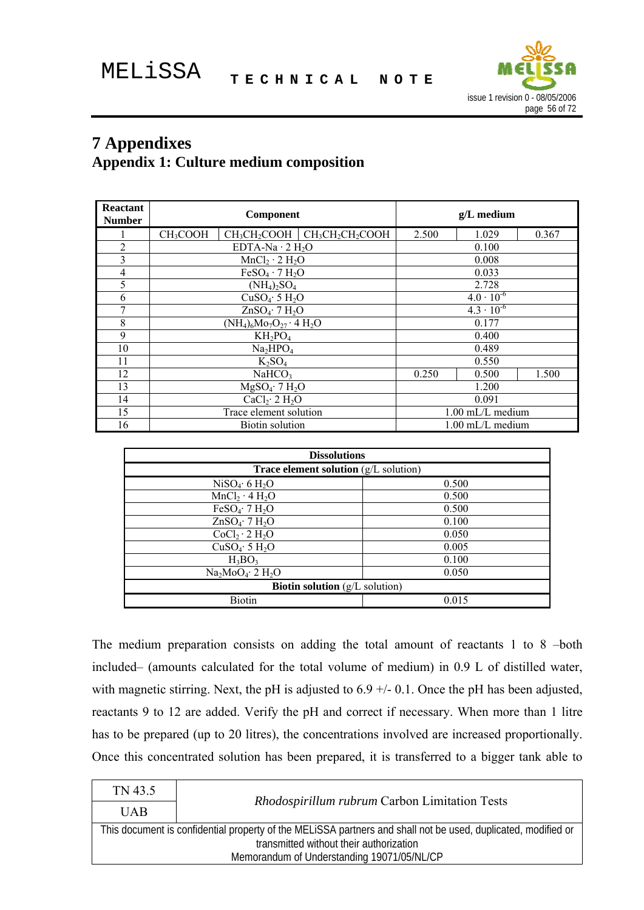

# **7 Appendixes**

# **Appendix 1: Culture medium composition**

| <b>Reactant</b><br><b>Number</b> | Component<br>$g/L$ medium                                                                                            |       |                     |       |
|----------------------------------|----------------------------------------------------------------------------------------------------------------------|-------|---------------------|-------|
|                                  | CH <sub>3</sub> CH <sub>2</sub> CH <sub>2</sub> COOH<br>CH <sub>3</sub> COOH<br>CH <sub>3</sub> CH <sub>2</sub> COOH | 2.500 | 1.029               | 0.367 |
| 2                                | EDTA-Na $\cdot$ 2 H <sub>2</sub> O                                                                                   |       | 0.100               |       |
| 3                                | $MnCl2 \cdot 2 H2O$                                                                                                  |       | 0.008               |       |
| $\overline{4}$                   | $FeSO4 \cdot 7 H2O$                                                                                                  |       | 0.033               |       |
| 5                                | $(NH_4)_2SO_4$                                                                                                       |       | 2.728               |       |
| 6                                | CuSO <sub>4</sub> ·5 H <sub>2</sub> O                                                                                |       | $4.0 \cdot 10^{-6}$ |       |
| 7                                | $ZnSO_4$ 7 $H_2O$                                                                                                    |       | $4.3 \cdot 10^{-6}$ |       |
| 8                                | $(NH_4)_6Mo_7O_{27} \cdot 4H_2O$                                                                                     |       | 0.177               |       |
| 9                                | $KH_2PO_4$                                                                                                           |       | 0.400               |       |
| 10                               | Na <sub>2</sub> HPO <sub>4</sub>                                                                                     |       | 0.489               |       |
| 11                               | $K_2SO_4$                                                                                                            |       | 0.550               |       |
| 12                               | NaHCO <sub>3</sub>                                                                                                   | 0.250 | 0.500               | 1.500 |
| 13                               | $MgSO_4$ 7 H <sub>2</sub> O                                                                                          |       | 1.200               |       |
| 14                               | CaCl <sub>2</sub> ·2 H <sub>2</sub> O                                                                                |       | 0.091               |       |
| 15                               | Trace element solution                                                                                               |       | 1.00 mL/L medium    |       |
| 16                               | <b>Biotin solution</b>                                                                                               |       | $1.00$ mL/L medium  |       |

| <b>Dissolutions</b>                             |       |  |
|-------------------------------------------------|-------|--|
| <b>Trace element solution</b> $(g/L)$ solution) |       |  |
| NiSO <sub>4</sub> ·6 H <sub>2</sub> O           | 0.500 |  |
| $MnCl_2 \cdot 4 H_2O$                           | 0.500 |  |
| FeSO <sub>4</sub> ·7 H <sub>2</sub> O           | 0.500 |  |
| $ZnSO_4$ 7 $H_2O$                               | 0.100 |  |
| $CoCl2 \cdot 2 H2O$                             | 0.050 |  |
| CuSO <sub>4</sub> ·5 H <sub>2</sub> O           | 0.005 |  |
| $H_3BO_3$                                       | 0.100 |  |
| $Na2MoO4·2 H2O$                                 | 0.050 |  |
| <b>Biotin solution</b> $(g/L \text{ solution})$ |       |  |
| <b>Biotin</b>                                   | 0.015 |  |

The medium preparation consists on adding the total amount of reactants 1 to 8 –both included– (amounts calculated for the total volume of medium) in 0.9 L of distilled water, with magnetic stirring. Next, the pH is adjusted to 6.9 +/- 0.1. Once the pH has been adjusted, reactants 9 to 12 are added. Verify the pH and correct if necessary. When more than 1 litre has to be prepared (up to 20 litres), the concentrations involved are increased proportionally. Once this concentrated solution has been prepared, it is transferred to a bigger tank able to

| TN 43.5                                                                                                       |                                               |  |
|---------------------------------------------------------------------------------------------------------------|-----------------------------------------------|--|
| <b>UAB</b>                                                                                                    | Rhodospirillum rubrum Carbon Limitation Tests |  |
| This document is confidential property of the MELISSA partners and shall not be used, duplicated, modified or |                                               |  |
| transmitted without their authorization                                                                       |                                               |  |
| Memorandum of Understanding 19071/05/NL/CP                                                                    |                                               |  |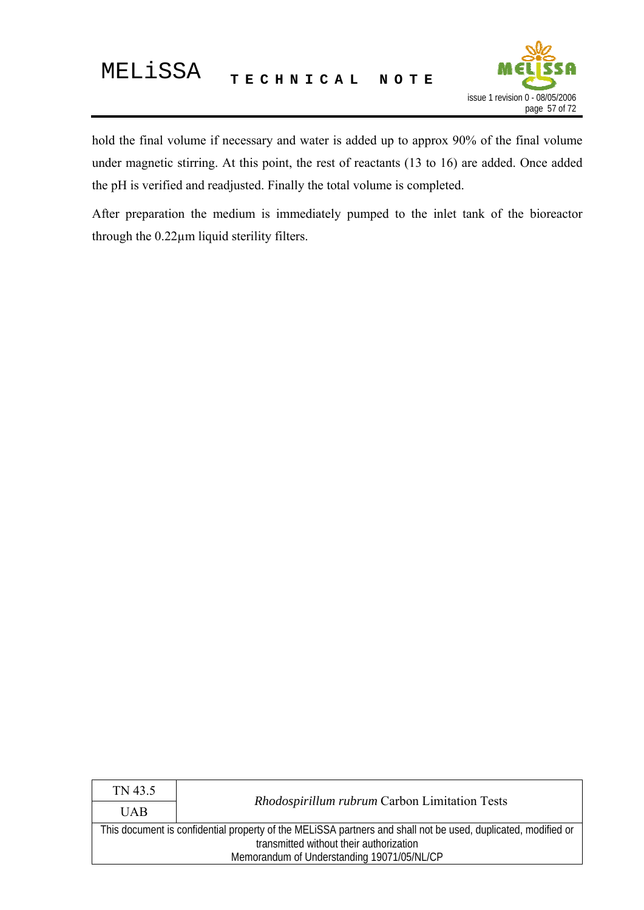

hold the final volume if necessary and water is added up to approx 90% of the final volume under magnetic stirring. At this point, the rest of reactants (13 to 16) are added. Once added the pH is verified and readjusted. Finally the total volume is completed.

After preparation the medium is immediately pumped to the inlet tank of the bioreactor through the 0.22µm liquid sterility filters.

| TN 43.5                                                                                                       |                                               |  |
|---------------------------------------------------------------------------------------------------------------|-----------------------------------------------|--|
| <b>UAB</b>                                                                                                    | Rhodospirillum rubrum Carbon Limitation Tests |  |
| This document is confidential property of the MELISSA partners and shall not be used, duplicated, modified or |                                               |  |
| transmitted without their authorization                                                                       |                                               |  |
| Memorandum of Understanding 19071/05/NL/CP                                                                    |                                               |  |
|                                                                                                               |                                               |  |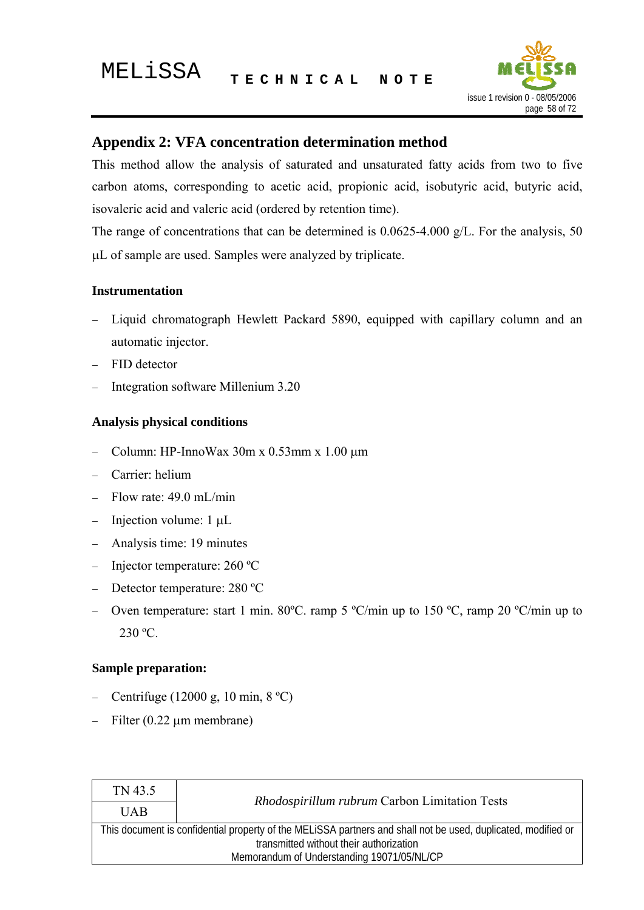

# **Appendix 2: VFA concentration determination method**

This method allow the analysis of saturated and unsaturated fatty acids from two to five carbon atoms, corresponding to acetic acid, propionic acid, isobutyric acid, butyric acid, isovaleric acid and valeric acid (ordered by retention time).

The range of concentrations that can be determined is 0.0625-4.000 g/L. For the analysis, 50 μL of sample are used. Samples were analyzed by triplicate.

### **Instrumentation**

- Liquid chromatograph Hewlett Packard 5890, equipped with capillary column and an automatic injector.
- − FID detector
- Integration software Millenium 3.20

### **Analysis physical conditions**

- − Column: HP-InnoWax 30m x 0.53mm x 1.00 μm
- − Carrier: helium
- Flow rate: 49.0 mL/min
- − Injection volume: 1 μL
- − Analysis time: 19 minutes
- − Injector temperature: 260 ºC
- − Detector temperature: 280 ºC
- − Oven temperature: start 1 min. 80ºC. ramp 5 ºC/min up to 150 ºC, ramp 20 ºC/min up to 230 ºC.

### **Sample preparation:**

- − Centrifuge (12000 g, 10 min, 8 ºC)
- $Filter (0.22 µm membrane)$

| TN 43.5                                                                                                       |                                               |  |
|---------------------------------------------------------------------------------------------------------------|-----------------------------------------------|--|
| <b>UAB</b>                                                                                                    | Rhodospirillum rubrum Carbon Limitation Tests |  |
| This document is confidential property of the MELISSA partners and shall not be used, duplicated, modified or |                                               |  |
| transmitted without their authorization                                                                       |                                               |  |
| Memorandum of Understanding 19071/05/NL/CP                                                                    |                                               |  |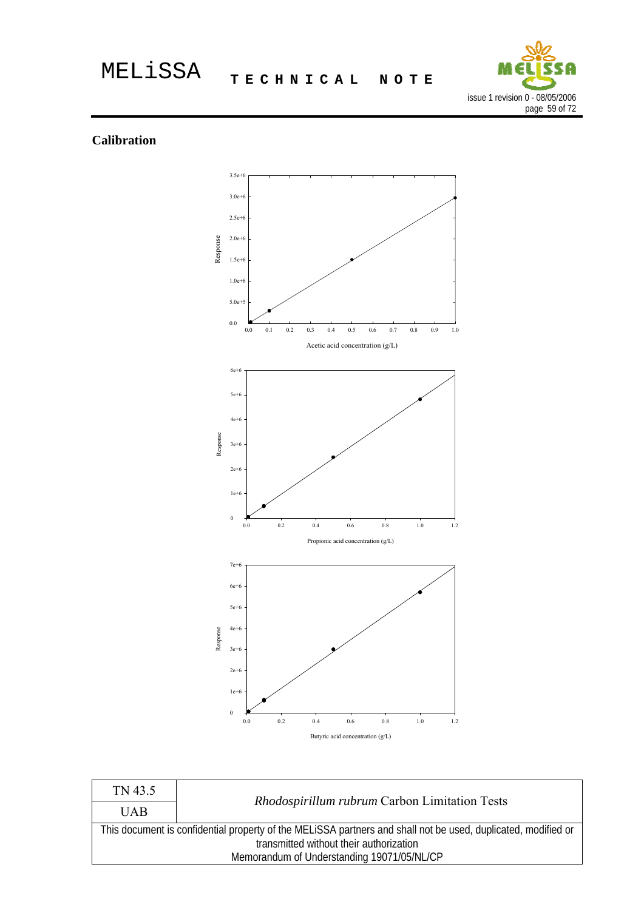

### **Calibration**



| TN 43.5                                                                                                                                                  | Rhodospirillum rubrum Carbon Limitation Tests |
|----------------------------------------------------------------------------------------------------------------------------------------------------------|-----------------------------------------------|
| <b>UAB</b>                                                                                                                                               |                                               |
| This document is confidential property of the MELISSA partners and shall not be used, duplicated, modified or<br>transmitted without their authorization |                                               |
|                                                                                                                                                          | Memorandum of Understanding 19071/05/NL/CP    |
|                                                                                                                                                          |                                               |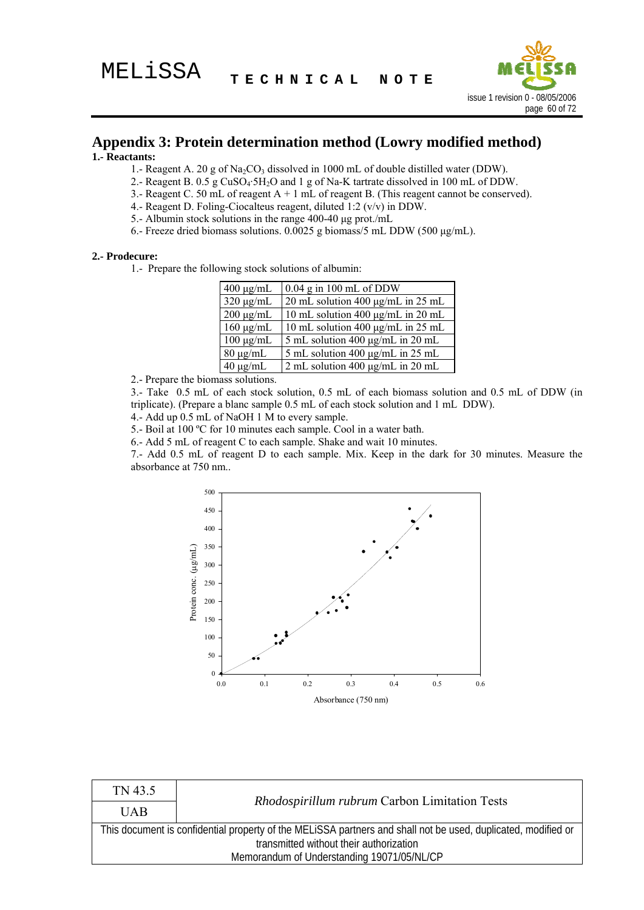

#### **Appendix 3: Protein determination method (Lowry modified method) 1.- Reactants:**

- 1.- Reagent A. 20 g of  $Na<sub>2</sub>CO<sub>3</sub>$  dissolved in 1000 mL of double distilled water (DDW).
- 2.- Reagent B.  $0.5$  g CuSO<sub>4</sub>·5H<sub>2</sub>O and 1 g of Na-K tartrate dissolved in 100 mL of DDW.
- 3.- Reagent C. 50 mL of reagent  $A + 1$  mL of reagent B. (This reagent cannot be conserved).
- 4.- Reagent D. Foling-Ciocalteus reagent, diluted 1:2 (v/v) in DDW.
- 5.- Albumin stock solutions in the range 400-40 μg prot./mL
- 6.- Freeze dried biomass solutions. 0.0025 g biomass/5 mL DDW (500 μg/mL).

#### **2.- Prodecure:**

1.- Prepare the following stock solutions of albumin:

| $400 \mu g/mL$ | $0.04$ g in 100 mL of DDW              |
|----------------|----------------------------------------|
| $320 \mu g/mL$ | 20 mL solution 400 µg/mL in 25 mL      |
| $200 \mu g/mL$ | 10 mL solution 400 μg/mL in 20 mL      |
| $160 \mu g/mL$ | 10 mL solution 400 $\mu$ g/mL in 25 mL |
| $100 \mu g/mL$ | 5 mL solution 400 µg/mL in 20 mL       |
| $80 \mu g/mL$  | 5 mL solution 400 µg/mL in 25 mL       |
| $40 \mu g/mL$  | 2 mL solution 400 $\mu$ g/mL in 20 mL  |

2.- Prepare the biomass solutions.

3.- Take 0.5 mL of each stock solution, 0.5 mL of each biomass solution and 0.5 mL of DDW (in triplicate). (Prepare a blanc sample 0.5 mL of each stock solution and 1 mL DDW).

4.- Add up 0.5 mL of NaOH 1 M to every sample.

5.- Boil at 100 ºC for 10 minutes each sample. Cool in a water bath.

6.- Add 5 mL of reagent C to each sample. Shake and wait 10 minutes.

7.- Add 0.5 mL of reagent D to each sample. Mix. Keep in the dark for 30 minutes. Measure the absorbance at 750 nm..



| TN 43.5                                                                                                       | Rhodospirillum rubrum Carbon Limitation Tests |  |
|---------------------------------------------------------------------------------------------------------------|-----------------------------------------------|--|
| <b>UAB</b>                                                                                                    |                                               |  |
| This document is confidential property of the MELISSA partners and shall not be used, duplicated, modified or |                                               |  |
| transmitted without their authorization                                                                       |                                               |  |
| Memorandum of Understanding 19071/05/NL/CP                                                                    |                                               |  |
|                                                                                                               |                                               |  |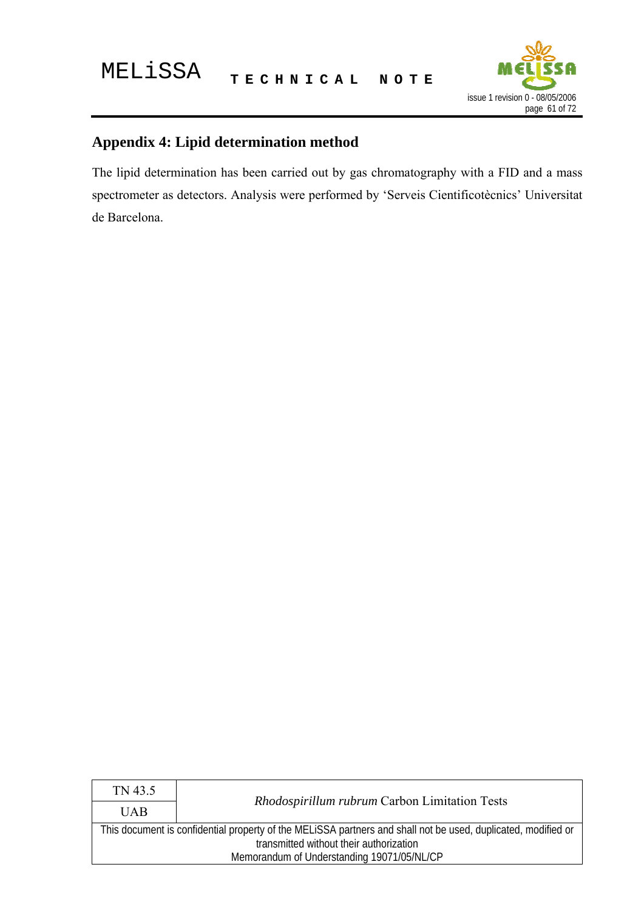

# **Appendix 4: Lipid determination method**

The lipid determination has been carried out by gas chromatography with a FID and a mass spectrometer as detectors. Analysis were performed by 'Serveis Cientificotècnics' Universitat de Barcelona.

| TN 43.5                                                                                                       | <i>Rhodospirillum rubrum</i> Carbon Limitation Tests |
|---------------------------------------------------------------------------------------------------------------|------------------------------------------------------|
| <b>UAB</b>                                                                                                    |                                                      |
| This document is confidential property of the MELISSA partners and shall not be used, duplicated, modified or |                                                      |
| transmitted without their authorization                                                                       |                                                      |
| Memorandum of Understanding 19071/05/NL/CP                                                                    |                                                      |
|                                                                                                               |                                                      |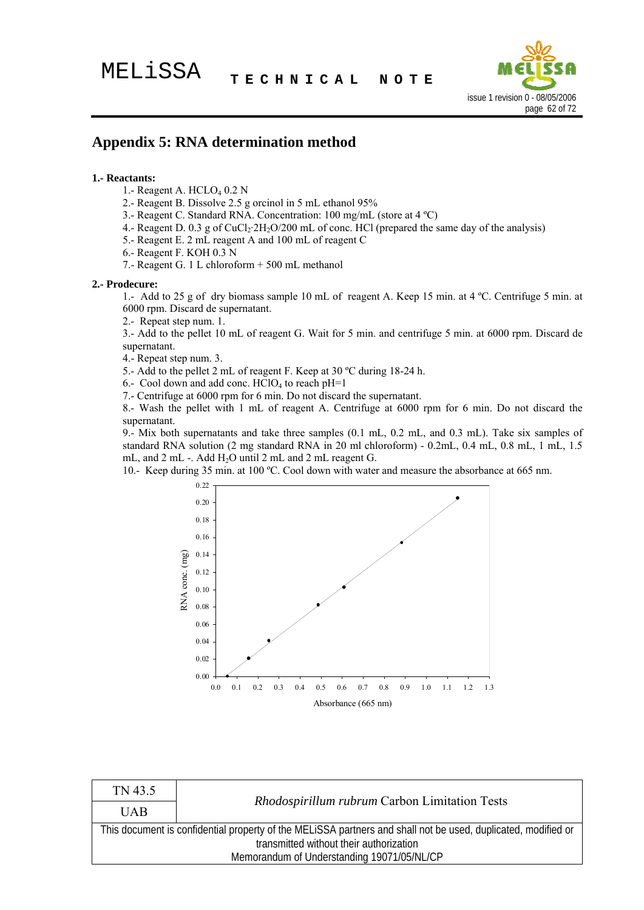

### **Appendix 5: RNA determination method**

#### **1.- Reactants:**

- 1.- Reagent A.  $HCLO<sub>4</sub> 0.2 N$
- 2.- Reagent B. Dissolve 2.5 g orcinol in 5 mL ethanol 95%
- 3.- Reagent C. Standard RNA. Concentration: 100 mg/mL (store at 4 ºC)
- 4.- Reagent D. 0.3 g of  $CuCl<sub>2</sub>·2H<sub>2</sub>O/200$  mL of conc. HCl (prepared the same day of the analysis)
- 5.- Reagent E. 2 mL reagent A and 100 mL of reagent C
- 6.- Reagent F. KOH 0.3 N
- 7.- Reagent G. 1 L chloroform + 500 mL methanol

#### **2.- Prodecure:**

1.- Add to 25 g of dry biomass sample 10 mL of reagent A. Keep 15 min. at 4 ºC. Centrifuge 5 min. at 6000 rpm. Discard de supernatant.

2.- Repeat step num. 1.

3.- Add to the pellet 10 mL of reagent G. Wait for 5 min. and centrifuge 5 min. at 6000 rpm. Discard de supernatant.

4.- Repeat step num. 3.

5.- Add to the pellet 2 mL of reagent F. Keep at 30 ºC during 18-24 h.

6.- Cool down and add conc.  $HCIO<sub>4</sub>$  to reach pH=1

7.- Centrifuge at 6000 rpm for 6 min. Do not discard the supernatant.

8.- Wash the pellet with 1 mL of reagent A. Centrifuge at 6000 rpm for 6 min. Do not discard the supernatant.

9.- Mix both supernatants and take three samples (0.1 mL, 0.2 mL, and 0.3 mL). Take six samples of standard RNA solution (2 mg standard RNA in 20 ml chloroform) - 0.2mL, 0.4 mL, 0.8 mL, 1 mL, 1.5 mL, and  $2 \text{ mL}$  -. Add  $H_2O$  until  $2 \text{ mL}$  and  $2 \text{ mL}$  reagent  $G$ .

10.- Keep during 35 min. at 100 ºC. Cool down with water and measure the absorbance at 665 nm.



| TN 43.5                                                                                                       | Rhodospirillum rubrum Carbon Limitation Tests |  |
|---------------------------------------------------------------------------------------------------------------|-----------------------------------------------|--|
| <b>UAB</b>                                                                                                    |                                               |  |
| This document is confidential property of the MELISSA partners and shall not be used, duplicated, modified or |                                               |  |
| transmitted without their authorization                                                                       |                                               |  |
| Memorandum of Understanding 19071/05/NL/CP                                                                    |                                               |  |
|                                                                                                               |                                               |  |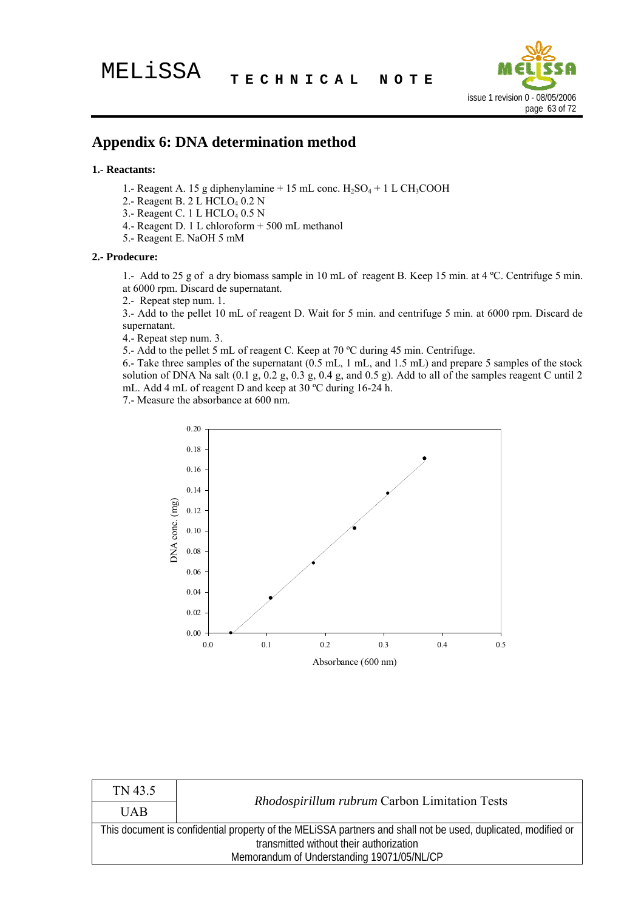

### **Appendix 6: DNA determination method**

#### **1.- Reactants:**

- 1.- Reagent A. 15 g diphenylamine  $+ 15$  mL conc.  $H_2SO_4 + 1$  L CH<sub>3</sub>COOH
- 2.- Reagent B. 2 L HCLO<sub>4</sub> 0.2 N
- 3.- Reagent C. 1 L HCLO<sub>4</sub> 0.5 N
- 4.- Reagent D. 1 L chloroform + 500 mL methanol
- 5.- Reagent E. NaOH 5 mM

#### **2.- Prodecure:**

1.- Add to 25 g of a dry biomass sample in 10 mL of reagent B. Keep 15 min. at 4 ºC. Centrifuge 5 min. at 6000 rpm. Discard de supernatant.

2.- Repeat step num. 1.

3.- Add to the pellet 10 mL of reagent D. Wait for 5 min. and centrifuge 5 min. at 6000 rpm. Discard de supernatant.

4.- Repeat step num. 3.

5.- Add to the pellet 5 mL of reagent C. Keep at 70 ºC during 45 min. Centrifuge.

6.- Take three samples of the supernatant (0.5 mL, 1 mL, and 1.5 mL) and prepare 5 samples of the stock solution of DNA Na salt  $(0.1 \text{ g}, 0.2 \text{ g}, 0.3 \text{ g}, 0.4 \text{ g}, \text{and } 0.5 \text{ g})$ . Add to all of the samples reagent C until 2 mL. Add 4 mL of reagent D and keep at 30 ºC during 16-24 h.

7.- Measure the absorbance at 600 nm.



| TN 43.5                                                                                                       | Rhodospirillum rubrum Carbon Limitation Tests |
|---------------------------------------------------------------------------------------------------------------|-----------------------------------------------|
| <b>UAB</b>                                                                                                    |                                               |
| This document is confidential property of the MELISSA partners and shall not be used, duplicated, modified or |                                               |
| transmitted without their authorization                                                                       |                                               |
| Memorandum of Understanding 19071/05/NL/CP                                                                    |                                               |
|                                                                                                               |                                               |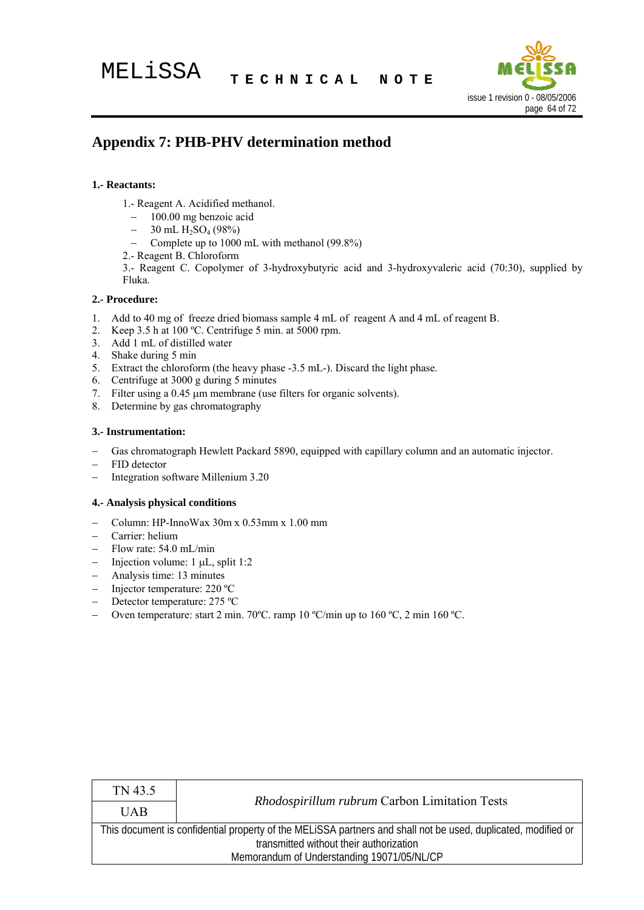

# **Appendix 7: PHB-PHV determination method**

#### **1.- Reactants:**

- 1.- Reagent A. Acidified methanol.
	- − 100.00 mg benzoic acid
	- $-$  30 mL H<sub>2</sub>SO<sub>4</sub> (98%)
	- − Complete up to 1000 mL with methanol (99.8%)
- 2.- Reagent B. Chloroform

3.- Reagent C. Copolymer of 3-hydroxybutyric acid and 3-hydroxyvaleric acid (70:30), supplied by Fluka.

#### **2.- Procedure:**

- 1. Add to 40 mg of freeze dried biomass sample 4 mL of reagent A and 4 mL of reagent B.
- 2. Keep 3.5 h at 100 ºC. Centrifuge 5 min. at 5000 rpm.
- 3. Add 1 mL of distilled water
- 4. Shake during 5 min
- 5. Extract the chloroform (the heavy phase -3.5 mL-). Discard the light phase.
- 6. Centrifuge at 3000 g during 5 minutes
- 7. Filter using a 0.45 μm membrane (use filters for organic solvents).
- 8. Determine by gas chromatography

#### **3.- Instrumentation:**

- Gas chromatograph Hewlett Packard 5890, equipped with capillary column and an automatic injector.
- FID detector
- − Integration software Millenium 3.20

#### **4.- Analysis physical conditions**

- − Column: HP-InnoWax 30m x 0.53mm x 1.00 mm
- − Carrier: helium
- − Flow rate: 54.0 mL/min
- − Injection volume: 1 μL, split 1:2

- − Analysis time: 13 minutes
- − Injector temperature: 220 ºC
- − Detector temperature: 275 ºC
- − Oven temperature: start 2 min. 70ºC. ramp 10 ºC/min up to 160 ºC, 2 min 160 ºC.

| TN 43.5                                                                                                                                                  | Rhodospirillum rubrum Carbon Limitation Tests |
|----------------------------------------------------------------------------------------------------------------------------------------------------------|-----------------------------------------------|
| <b>UAB</b>                                                                                                                                               |                                               |
| This document is confidential property of the MELISSA partners and shall not be used, duplicated, modified or<br>transmitted without their authorization |                                               |
| Memorandum of Understanding 19071/05/NL/CP                                                                                                               |                                               |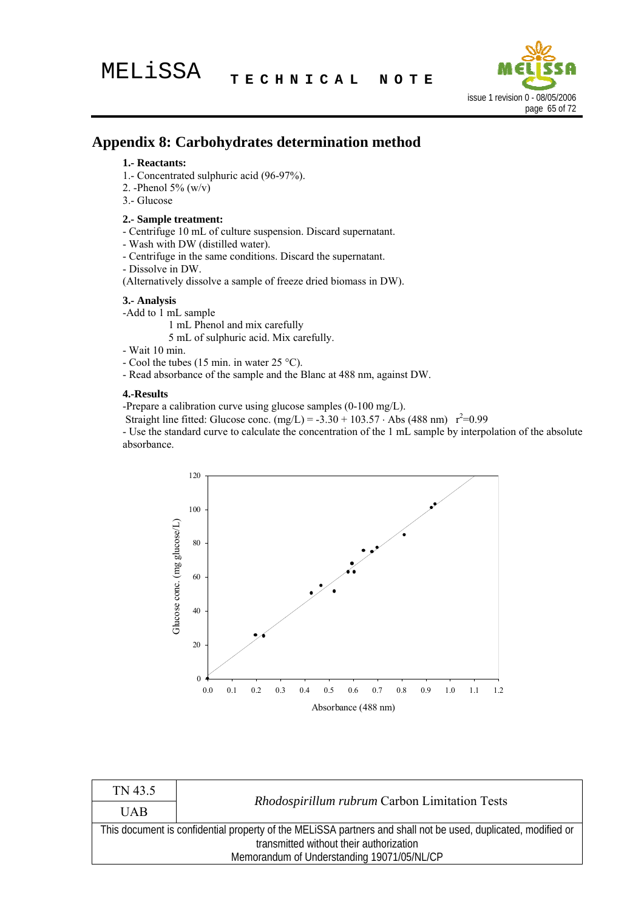

# **Appendix 8: Carbohydrates determination method**

#### **1.- Reactants:**

- 1.- Concentrated sulphuric acid (96-97%).
- 2. -Phenol  $5\%$  (w/v)
- 3.- Glucose

#### **2.- Sample treatment:**

- Centrifuge 10 mL of culture suspension. Discard supernatant.
- Wash with DW (distilled water).
- Centrifuge in the same conditions. Discard the supernatant.
- Dissolve in DW.

(Alternatively dissolve a sample of freeze dried biomass in DW).

#### **3.- Analysis**

- -Add to 1 mL sample
	- 1 mL Phenol and mix carefully

5 mL of sulphuric acid. Mix carefully.

- Wait 10 min.
- Cool the tubes (15 min. in water 25 °C).
- Read absorbance of the sample and the Blanc at 488 nm, against DW.

#### **4.-Results**

-Prepare a calibration curve using glucose samples (0-100 mg/L).

Straight line fitted: Glucose conc.  $(mg/L) = -3.30 + 103.57 \cdot \text{Abs} (488 \text{ nm}) \text{ r}^2 = 0.99$ 

- Use the standard curve to calculate the concentration of the 1 mL sample by interpolation of the absolute absorbance.



| TN 43.5                                                                                                       | Rhodospirillum rubrum Carbon Limitation Tests |  |
|---------------------------------------------------------------------------------------------------------------|-----------------------------------------------|--|
| <b>UAB</b>                                                                                                    |                                               |  |
| This document is confidential property of the MELISSA partners and shall not be used, duplicated, modified or |                                               |  |
| transmitted without their authorization                                                                       |                                               |  |
| Memorandum of Understanding 19071/05/NL/CP                                                                    |                                               |  |
|                                                                                                               |                                               |  |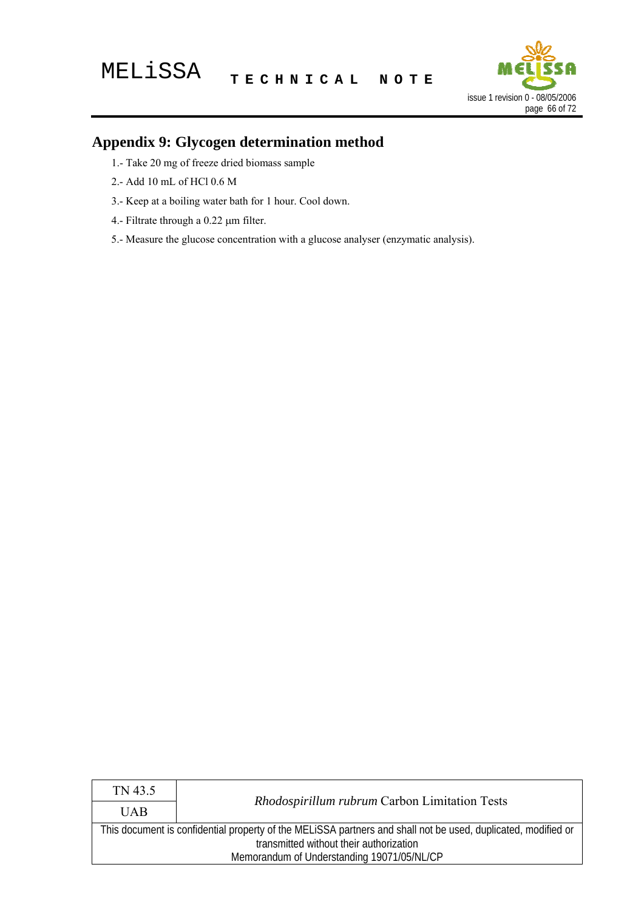

# **Appendix 9: Glycogen determination method**

- 1.- Take 20 mg of freeze dried biomass sample
- 2.- Add 10 mL of HCl 0.6 M
- 3.- Keep at a boiling water bath for 1 hour. Cool down.
- 4.- Filtrate through a 0.22 μm filter.
- 5.- Measure the glucose concentration with a glucose analyser (enzymatic analysis).

| TN 43.5                                                                                                       | Rhodospirillum rubrum Carbon Limitation Tests |
|---------------------------------------------------------------------------------------------------------------|-----------------------------------------------|
| <b>UAB</b>                                                                                                    |                                               |
| This document is confidential property of the MELISSA partners and shall not be used, duplicated, modified or |                                               |
| transmitted without their authorization                                                                       |                                               |
| Memorandum of Understanding 19071/05/NL/CP                                                                    |                                               |
|                                                                                                               |                                               |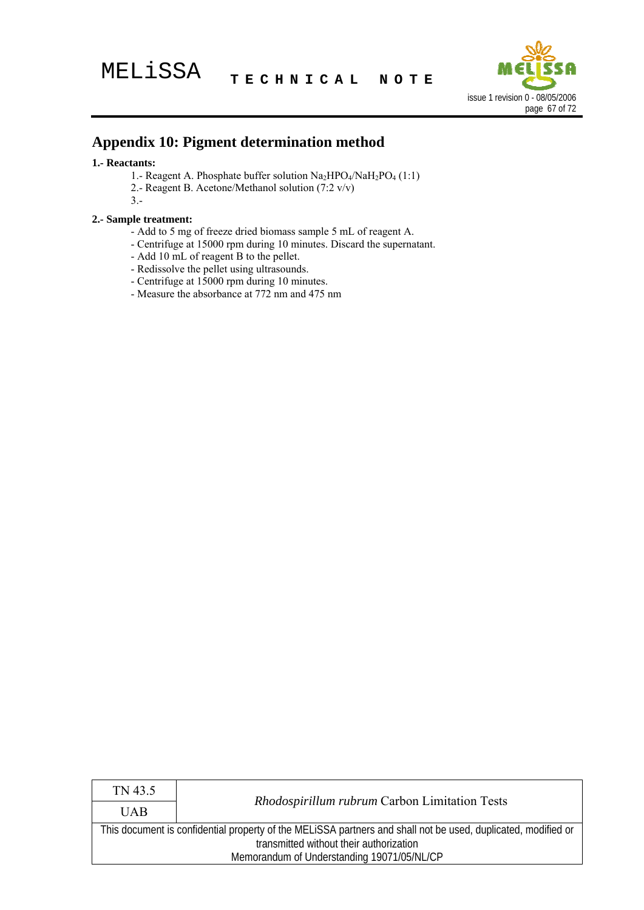

# **Appendix 10: Pigment determination method**

#### **1.- Reactants:**

- 1.- Reagent A. Phosphate buffer solution  $\text{Na}_2\text{HPO}_4/\text{NaH}_2\text{PO}_4$  (1:1)
- 2.- Reagent B. Acetone/Methanol solution (7:2 v/v)
- 3.-

#### **2.- Sample treatment:**

- Add to 5 mg of freeze dried biomass sample 5 mL of reagent A.
- Centrifuge at 15000 rpm during 10 minutes. Discard the supernatant.
- Add 10 mL of reagent B to the pellet.
- Redissolve the pellet using ultrasounds.
- Centrifuge at 15000 rpm during 10 minutes.
- Measure the absorbance at 772 nm and 475 nm

| TN 43.5                                                                                                       | Rhodospirillum rubrum Carbon Limitation Tests |
|---------------------------------------------------------------------------------------------------------------|-----------------------------------------------|
| <b>UAB</b>                                                                                                    |                                               |
| This document is confidential property of the MELISSA partners and shall not be used, duplicated, modified or |                                               |
| transmitted without their authorization                                                                       |                                               |
| Memorandum of Understanding 19071/05/NL/CP                                                                    |                                               |
|                                                                                                               |                                               |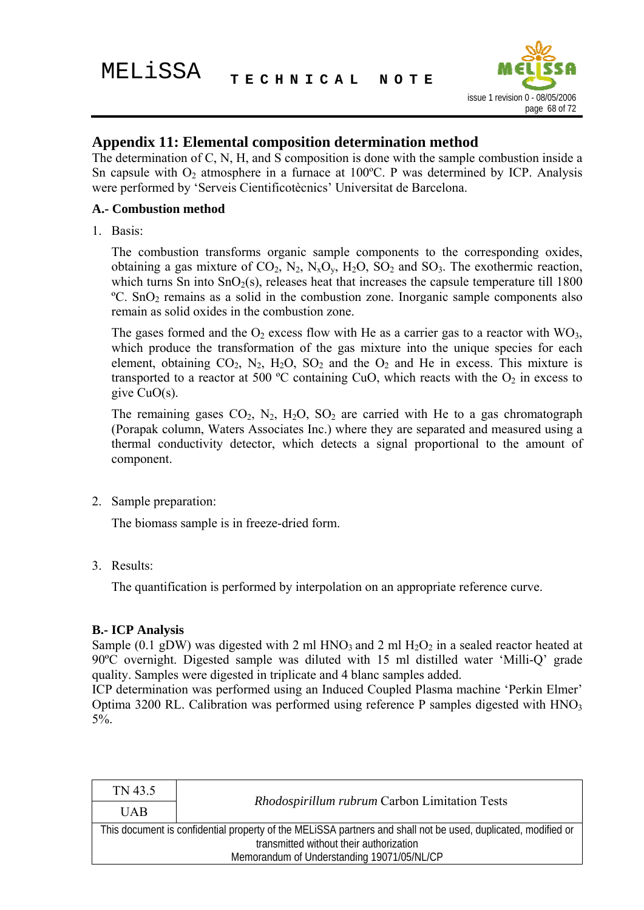

## **Appendix 11: Elemental composition determination method**

The determination of C, N, H, and  $\overline{S}$  composition is done with the sample combustion inside a Sn capsule with  $O_2$  atmosphere in a furnace at 100°C. P was determined by ICP. Analysis were performed by 'Serveis Cientificotècnics' Universitat de Barcelona.

### **A.- Combustion method**

1. Basis:

The combustion transforms organic sample components to the corresponding oxides, obtaining a gas mixture of  $CO_2$ ,  $N_2$ ,  $N_xO_y$ ,  $H_2O$ ,  $SO_2$  and  $SO_3$ . The exothermic reaction, which turns Sn into  $SnO<sub>2</sub>(s)$ , releases heat that increases the capsule temperature till 1800  $\degree$ C. SnO<sub>2</sub> remains as a solid in the combustion zone. Inorganic sample components also remain as solid oxides in the combustion zone.

The gases formed and the  $O_2$  excess flow with He as a carrier gas to a reactor with  $WO_3$ , which produce the transformation of the gas mixture into the unique species for each element, obtaining  $CO_2$ , N<sub>2</sub>, H<sub>2</sub>O, SO<sub>2</sub> and the O<sub>2</sub> and He in excess. This mixture is transported to a reactor at 500 °C containing CuO, which reacts with the  $O_2$  in excess to give  $CuO(s)$ .

The remaining gases  $CO_2$ ,  $N_2$ ,  $H_2O$ ,  $SO_2$  are carried with He to a gas chromatograph (Porapak column, Waters Associates Inc.) where they are separated and measured using a thermal conductivity detector, which detects a signal proportional to the amount of component.

2. Sample preparation:

The biomass sample is in freeze-dried form.

3. Results:

The quantification is performed by interpolation on an appropriate reference curve.

#### **B.- ICP Analysis**

Sample (0.1 gDW) was digested with 2 ml HNO<sub>3</sub> and 2 ml H<sub>2</sub>O<sub>2</sub> in a sealed reactor heated at 90ºC overnight. Digested sample was diluted with 15 ml distilled water 'Milli-Q' grade quality. Samples were digested in triplicate and 4 blanc samples added.

ICP determination was performed using an Induced Coupled Plasma machine 'Perkin Elmer' Optima 3200 RL. Calibration was performed using reference  $P$  samples digested with  $HNO<sub>3</sub>$  $5\%$ .

| TN 43.5                                                                                                                                                  | Rhodospirillum rubrum Carbon Limitation Tests |
|----------------------------------------------------------------------------------------------------------------------------------------------------------|-----------------------------------------------|
| <b>UAB</b>                                                                                                                                               |                                               |
| This document is confidential property of the MELiSSA partners and shall not be used, duplicated, modified or<br>transmitted without their authorization |                                               |
|                                                                                                                                                          |                                               |
| Memorandum of Understanding 19071/05/NL/CP                                                                                                               |                                               |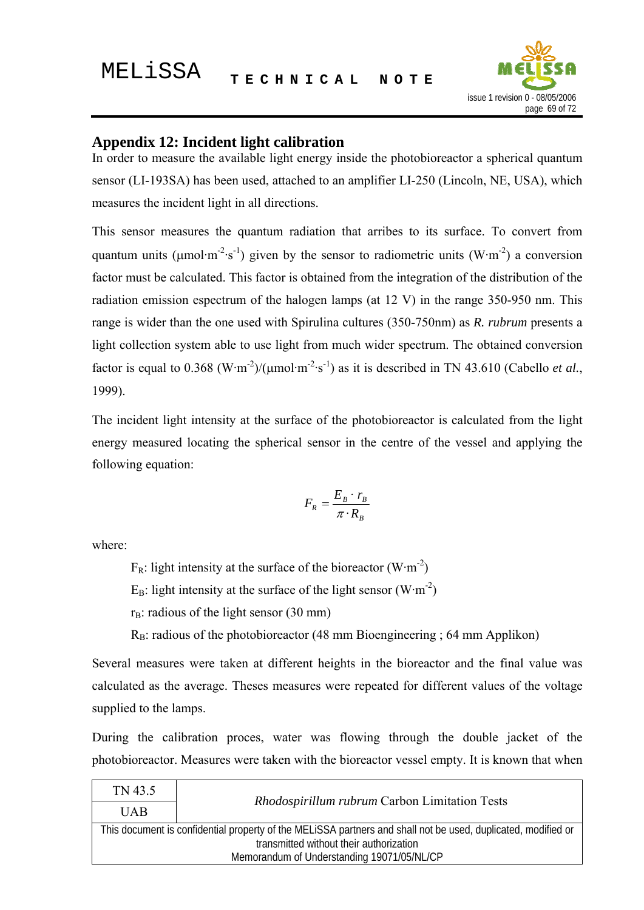

# **Appendix 12: Incident light calibration**

In order to measure the available light energy inside the photobioreactor a spherical quantum sensor (LI-193SA) has been used, attached to an amplifier LI-250 (Lincoln, NE, USA), which measures the incident light in all directions.

This sensor measures the quantum radiation that arribes to its surface. To convert from quantum units (μmol·m<sup>-2</sup>·s<sup>-1</sup>) given by the sensor to radiometric units (W·m<sup>-2</sup>) a conversion factor must be calculated. This factor is obtained from the integration of the distribution of the radiation emission espectrum of the halogen lamps (at 12 V) in the range 350-950 nm. This range is wider than the one used with Spirulina cultures (350-750nm) as *R. rubrum* presents a light collection system able to use light from much wider spectrum. The obtained conversion factor is equal to  $0.368$  (W·m<sup>-2</sup>)/( $\mu$ mol·m<sup>-2</sup>·s<sup>-1</sup>) as it is described in TN 43.610 (Cabello *et al.*, 1999).

The incident light intensity at the surface of the photobioreactor is calculated from the light energy measured locating the spherical sensor in the centre of the vessel and applying the following equation:

$$
F_R = \frac{E_B \cdot r_B}{\pi \cdot R_B}
$$

where:

 $F_R$ : light intensity at the surface of the bioreactor (W·m<sup>-2</sup>)

 $E_B$ : light intensity at the surface of the light sensor (W·m<sup>-2</sup>)

 $r_B$ : radious of the light sensor (30 mm)

 $R_B$ : radious of the photobioreactor (48 mm Bioengineering ; 64 mm Applikon)

Several measures were taken at different heights in the bioreactor and the final value was calculated as the average. Theses measures were repeated for different values of the voltage supplied to the lamps.

During the calibration proces, water was flowing through the double jacket of the photobioreactor. Measures were taken with the bioreactor vessel empty. It is known that when

| TN 43.5                                                                                                       | Rhodospirillum rubrum Carbon Limitation Tests |
|---------------------------------------------------------------------------------------------------------------|-----------------------------------------------|
| <b>UAB</b>                                                                                                    |                                               |
| This document is confidential property of the MELISSA partners and shall not be used, duplicated, modified or |                                               |
| transmitted without their authorization                                                                       |                                               |
| Memorandum of Understanding 19071/05/NL/CP                                                                    |                                               |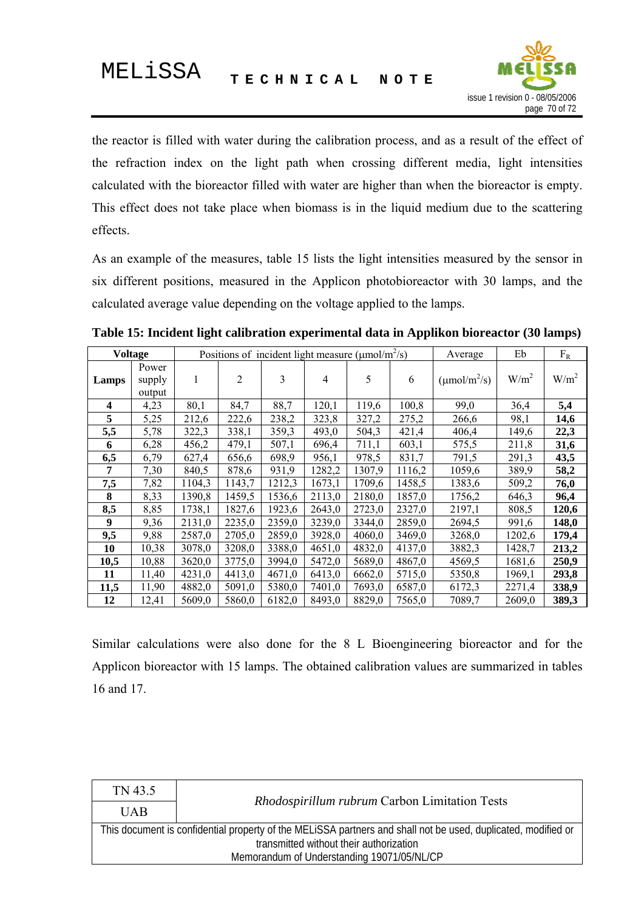

the reactor is filled with water during the calibration process, and as a result of the effect of the refraction index on the light path when crossing different media, light intensities calculated with the bioreactor filled with water are higher than when the bioreactor is empty. This effect does not take place when biomass is in the liquid medium due to the scattering effects.

As an example of the measures, table 15 lists the light intensities measured by the sensor in six different positions, measured in the Applicon photobioreactor with 30 lamps, and the calculated average value depending on the voltage applied to the lamps.

| <b>Voltage</b>   |                           | Positions of incident light measure ( $\mu$ mol/m <sup>2</sup> /s) |                |        |                |        | Average | Eb                              | $F_R$            |         |
|------------------|---------------------------|--------------------------------------------------------------------|----------------|--------|----------------|--------|---------|---------------------------------|------------------|---------|
| Lamps            | Power<br>supply<br>output | 1                                                                  | $\overline{2}$ | 3      | $\overline{4}$ | 5      | 6       | $(\mu \text{mol/m}^2/\text{s})$ | W/m <sup>2</sup> | $W/m^2$ |
| 4                | 4,23                      | 80,1                                                               | 84,7           | 88,7   | 120,1          | 119,6  | 100,8   | 99,0                            | 36,4             | 5,4     |
| 5                | 5,25                      | 212,6                                                              | 222,6          | 238,2  | 323,8          | 327,2  | 275,2   | 266,6                           | 98,1             | 14,6    |
| 5,5              | 5,78                      | 322,3                                                              | 338,1          | 359,3  | 493,0          | 504,3  | 421,4   | 406,4                           | 149,6            | 22,3    |
| 6                | 6,28                      | 456,2                                                              | 479,1          | 507,1  | 696,4          | 711,1  | 603,1   | 575,5                           | 211,8            | 31,6    |
| 6,5              | 6,79                      | 627,4                                                              | 656,6          | 698,9  | 956,1          | 978,5  | 831,7   | 791,5                           | 291,3            | 43,5    |
| 7                | 7,30                      | 840,5                                                              | 878,6          | 931,9  | 1282,2         | 1307,9 | 1116,2  | 1059,6                          | 389,9            | 58,2    |
| 7,5              | 7,82                      | 1104,3                                                             | 1143,7         | 1212,3 | 1673,1         | 1709,6 | 1458,5  | 1383,6                          | 509,2            | 76,0    |
| 8                | 8,33                      | 1390,8                                                             | 1459,5         | 1536,6 | 2113,0         | 2180,0 | 1857,0  | 1756,2                          | 646,3            | 96,4    |
| 8,5              | 8,85                      | 1738,1                                                             | 1827,6         | 1923,6 | 2643,0         | 2723,0 | 2327,0  | 2197,1                          | 808,5            | 120,6   |
| $\boldsymbol{9}$ | 9,36                      | 2131,0                                                             | 2235,0         | 2359,0 | 3239,0         | 3344,0 | 2859,0  | 2694,5                          | 991,6            | 148,0   |
| 9,5              | 9,88                      | 2587,0                                                             | 2705,0         | 2859,0 | 3928,0         | 4060,0 | 3469,0  | 3268,0                          | 1202,6           | 179,4   |
| 10               | 10,38                     | 3078,0                                                             | 3208,0         | 3388,0 | 4651,0         | 4832,0 | 4137,0  | 3882,3                          | 1428,7           | 213,2   |
| 10,5             | 10,88                     | 3620,0                                                             | 3775,0         | 3994,0 | 5472,0         | 5689,0 | 4867,0  | 4569,5                          | 1681,6           | 250,9   |
| 11               | 11,40                     | 4231,0                                                             | 4413,0         | 4671,0 | 6413,0         | 6662,0 | 5715,0  | 5350,8                          | 1969,1           | 293,8   |
| 11,5             | 11,90                     | 4882,0                                                             | 5091,0         | 5380,0 | 7401,0         | 7693,0 | 6587,0  | 6172,3                          | 2271,4           | 338,9   |
| 12               | 12,41                     | 5609,0                                                             | 5860,0         | 6182,0 | 8493,0         | 8829,0 | 7565,0  | 7089,7                          | 2609,0           | 389,3   |

**Table 15: Incident light calibration experimental data in Applikon bioreactor (30 lamps)** 

Similar calculations were also done for the 8 L Bioengineering bioreactor and for the Applicon bioreactor with 15 lamps. The obtained calibration values are summarized in tables 16 and 17.

| TN 43.5                                                                                                       |                                               |  |  |
|---------------------------------------------------------------------------------------------------------------|-----------------------------------------------|--|--|
| <b>UAB</b>                                                                                                    | Rhodospirillum rubrum Carbon Limitation Tests |  |  |
| This document is confidential property of the MELISSA partners and shall not be used, duplicated, modified or |                                               |  |  |
| transmitted without their authorization                                                                       |                                               |  |  |
| Memorandum of Understanding 19071/05/NL/CP                                                                    |                                               |  |  |
|                                                                                                               |                                               |  |  |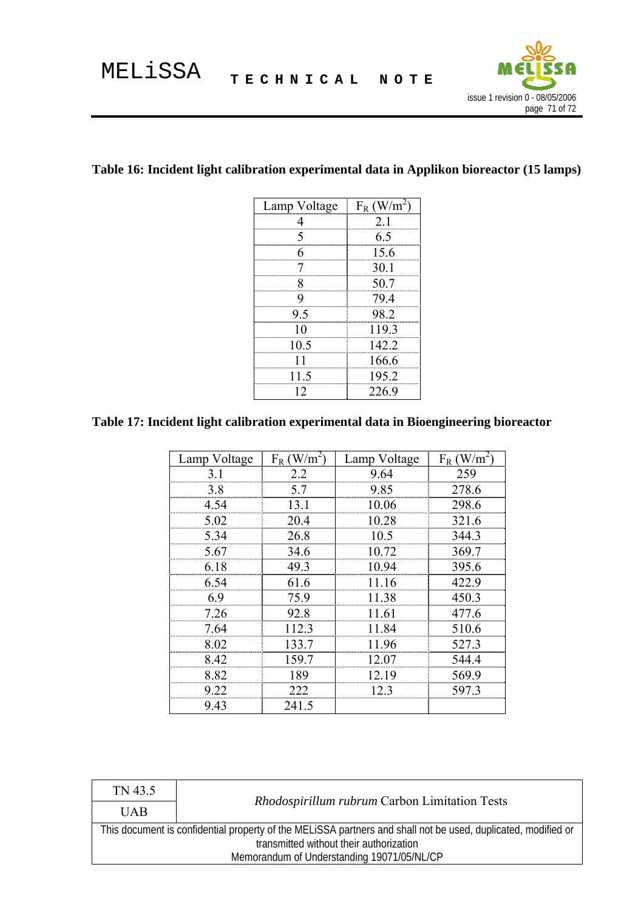

٦

### **Table 16: Incident light calibration experimental data in Applikon bioreactor (15 lamps)**

| Lamp Voltage | $F_R$ (W/m |
|--------------|------------|
| 4            | 2.1        |
| 5            | 6.5        |
| 6            | 15.6       |
| 7            | 30.1       |
| 8            | 50.7       |
| 9            | 79.4       |
| 95           | 98.2       |
| 10           | 119.3      |
| 10.5         | 142.2      |
| 11           | 166.6      |
| 11.5         | 195.2      |
| 12           | 226.9      |

## **Table 17: Incident light calibration experimental data in Bioengineering bioreactor**

| Lamp Voltage | $W/m^2$<br>$F_R$ | Lamp Voltage | $F_R$ (W/m <sup>2</sup> |
|--------------|------------------|--------------|-------------------------|
| 3.1          | 2.2              | 9.64         | 259                     |
| 3.8          | 5.7              | 9.85         | 278.6                   |
| 4.54         | 13.1             | 10.06        | 298.6                   |
| 5.02         | 20.4             | 10.28        | 321.6                   |
| 5.34         | 26.8             | 10.5         | 344.3                   |
| 5.67         | 34.6             | 10.72        | 369.7                   |
| 6.18<br>     | 49.3             | 10.94        | 395.6                   |
| 6.54         | 61.6             | 11.16        | 422.9                   |
| 6.9          | 75.9             | 11.38        | 450.3                   |
| 7.26         | 92.8             | 11.61        | 477.6                   |
| 7.64         | 112.3            | 11.84        | 510.6                   |
| 8.02         | 133.7            | 11.96        | 527.3                   |
| 8.42         | 159.7            | 12.07        | 544.4                   |
| 8.82         | 189              | 12.19        | 569.9                   |
| 9.22         | 222              | 12.3         | 597.3                   |
| 943          | 241.5            |              |                         |

| TN 43.5                                                                                                       |                                                      |  |  |  |
|---------------------------------------------------------------------------------------------------------------|------------------------------------------------------|--|--|--|
| <b>UAB</b>                                                                                                    | <i>Rhodospirillum rubrum</i> Carbon Limitation Tests |  |  |  |
| This document is confidential property of the MELISSA partners and shall not be used, duplicated, modified or |                                                      |  |  |  |
| transmitted without their authorization                                                                       |                                                      |  |  |  |
| Memorandum of Understanding 19071/05/NL/CP                                                                    |                                                      |  |  |  |
|                                                                                                               |                                                      |  |  |  |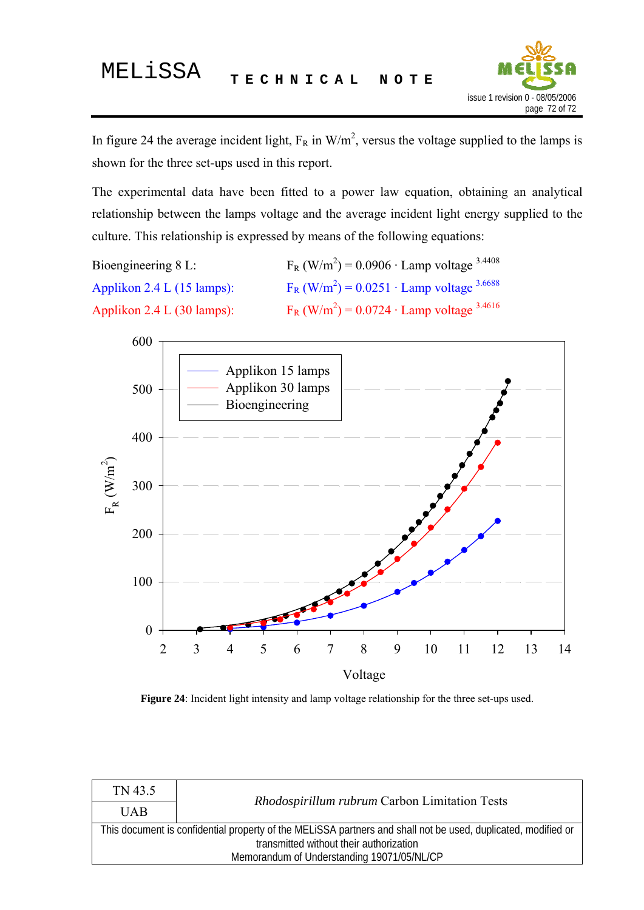

In figure 24 the average incident light,  $F_R$  in W/m<sup>2</sup>, versus the voltage supplied to the lamps is shown for the three set-ups used in this report.

The experimental data have been fitted to a power law equation, obtaining an analytical relationship between the lamps voltage and the average incident light energy supplied to the culture. This relationship is expressed by means of the following equations:

Bioengineering 8 L:  $F_R$  (W/m<sup>2</sup>) = 0.0906 · Lamp voltage <sup>3.4408</sup> Applikon  $2.4$  L (15 lamps):  $F_R$  (W/m<sup>2</sup>) = 0.0251 · Lamp voltage <sup>3.6688</sup> Applikon  $2.4$  L (30 lamps):  $F_R$  (W/m<sup>2</sup>) = 0.0724 · Lamp voltage <sup>3.4616</sup>



**Figure 24**: Incident light intensity and lamp voltage relationship for the three set-ups used.

| TN 43.5                                                                                                       |                                               |  |  |
|---------------------------------------------------------------------------------------------------------------|-----------------------------------------------|--|--|
| <b>UAB</b>                                                                                                    | Rhodospirillum rubrum Carbon Limitation Tests |  |  |
| This document is confidential property of the MELiSSA partners and shall not be used, duplicated, modified or |                                               |  |  |
| transmitted without their authorization<br>Memorandum of Understanding 19071/05/NL/CP                         |                                               |  |  |
|                                                                                                               |                                               |  |  |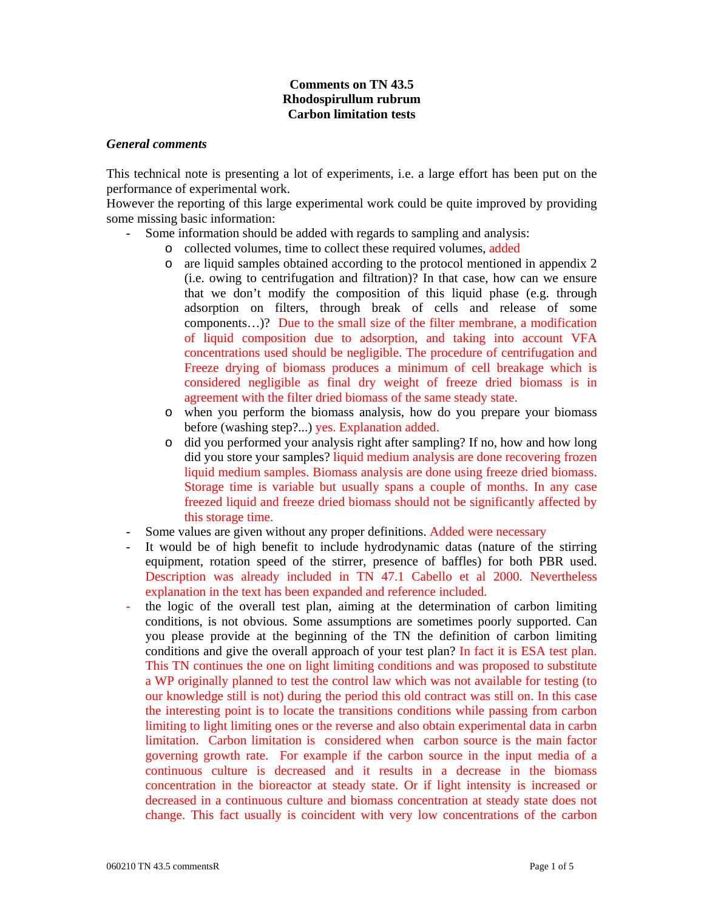## **Comments on TN 43.5 Rhodospirullum rubrum Carbon limitation tests**

## *General comments*

This technical note is presenting a lot of experiments, i.e. a large effort has been put on the performance of experimental work.

However the reporting of this large experimental work could be quite improved by providing some missing basic information:

- Some information should be added with regards to sampling and analysis:
	- o collected volumes, time to collect these required volumes, added
	- o are liquid samples obtained according to the protocol mentioned in appendix 2 (i.e. owing to centrifugation and filtration)? In that case, how can we ensure that we don't modify the composition of this liquid phase (e.g. through adsorption on filters, through break of cells and release of some components…)? Due to the small size of the filter membrane, a modification of liquid composition due to adsorption, and taking into account VFA concentrations used should be negligible. The procedure of centrifugation and Freeze drying of biomass produces a minimum of cell breakage which is considered negligible as final dry weight of freeze dried biomass is in agreement with the filter dried biomass of the same steady state.
	- o when you perform the biomass analysis, how do you prepare your biomass before (washing step?...) yes. Explanation added.
	- o did you performed your analysis right after sampling? If no, how and how long did you store your samples? liquid medium analysis are done recovering frozen liquid medium samples. Biomass analysis are done using freeze dried biomass. Storage time is variable but usually spans a couple of months. In any case freezed liquid and freeze dried biomass should not be significantly affected by this storage time.
- Some values are given without any proper definitions. Added were necessary
- It would be of high benefit to include hydrodynamic datas (nature of the stirring equipment, rotation speed of the stirrer, presence of baffles) for both PBR used. Description was already included in TN 47.1 Cabello et al 2000. Nevertheless explanation in the text has been expanded and reference included.
- the logic of the overall test plan, aiming at the determination of carbon limiting conditions, is not obvious. Some assumptions are sometimes poorly supported. Can you please provide at the beginning of the TN the definition of carbon limiting conditions and give the overall approach of your test plan? In fact it is ESA test plan. This TN continues the one on light limiting conditions and was proposed to substitute a WP originally planned to test the control law which was not available for testing (to our knowledge still is not) during the period this old contract was still on. In this case the interesting point is to locate the transitions conditions while passing from carbon limiting to light limiting ones or the reverse and also obtain experimental data in carbn limitation. Carbon limitation is considered when carbon source is the main factor governing growth rate. For example if the carbon source in the input media of a continuous culture is decreased and it results in a decrease in the biomass concentration in the bioreactor at steady state. Or if light intensity is increased or decreased in a continuous culture and biomass concentration at steady state does not change. This fact usually is coincident with very low concentrations of the carbon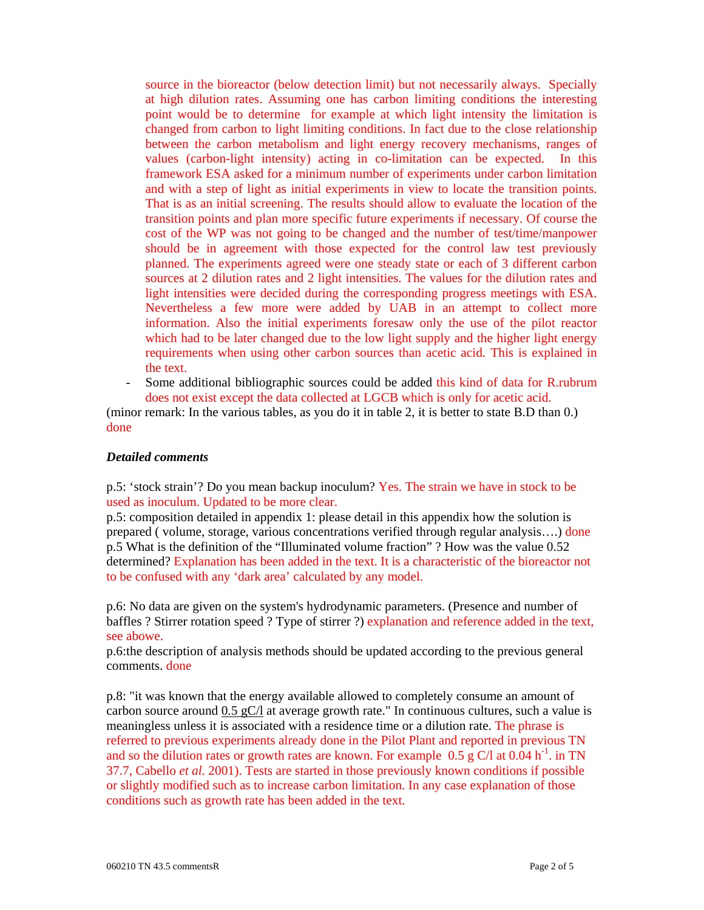source in the bioreactor (below detection limit) but not necessarily always. Specially at high dilution rates. Assuming one has carbon limiting conditions the interesting point would be to determine for example at which light intensity the limitation is changed from carbon to light limiting conditions. In fact due to the close relationship between the carbon metabolism and light energy recovery mechanisms, ranges of values (carbon-light intensity) acting in co-limitation can be expected. In this framework ESA asked for a minimum number of experiments under carbon limitation and with a step of light as initial experiments in view to locate the transition points. That is as an initial screening. The results should allow to evaluate the location of the transition points and plan more specific future experiments if necessary. Of course the cost of the WP was not going to be changed and the number of test/time/manpower should be in agreement with those expected for the control law test previously planned. The experiments agreed were one steady state or each of 3 different carbon sources at 2 dilution rates and 2 light intensities. The values for the dilution rates and light intensities were decided during the corresponding progress meetings with ESA. Nevertheless a few more were added by UAB in an attempt to collect more information. Also the initial experiments foresaw only the use of the pilot reactor which had to be later changed due to the low light supply and the higher light energy requirements when using other carbon sources than acetic acid. This is explained in the text.

- Some additional bibliographic sources could be added this kind of data for R.rubrum does not exist except the data collected at LGCB which is only for acetic acid.

(minor remark: In the various tables, as you do it in table 2, it is better to state B.D than 0.) done

## *Detailed comments*

p.5: 'stock strain'? Do you mean backup inoculum? Yes. The strain we have in stock to be used as inoculum. Updated to be more clear.

p.5: composition detailed in appendix 1: please detail in this appendix how the solution is prepared ( volume, storage, various concentrations verified through regular analysis….) done p.5 What is the definition of the "Illuminated volume fraction" ? How was the value 0.52 determined? Explanation has been added in the text. It is a characteristic of the bioreactor not to be confused with any 'dark area' calculated by any model.

p.6: No data are given on the system's hydrodynamic parameters. (Presence and number of baffles ? Stirrer rotation speed ? Type of stirrer ?) explanation and reference added in the text, see abowe.

p.6:the description of analysis methods should be updated according to the previous general comments. done

p.8: "it was known that the energy available allowed to completely consume an amount of carbon source around  $0.5 \text{ gC}/\text{l}$  at average growth rate." In continuous cultures, such a value is meaningless unless it is associated with a residence time or a dilution rate. The phrase is referred to previous experiments already done in the Pilot Plant and reported in previous TN and so the dilution rates or growth rates are known. For example 0.5 g C/l at 0.04 h<sup>-1</sup>, in TN 37.7, Cabello *et al.* 2001). Tests are started in those previously known conditions if possible or slightly modified such as to increase carbon limitation. In any case explanation of those conditions such as growth rate has been added in the text.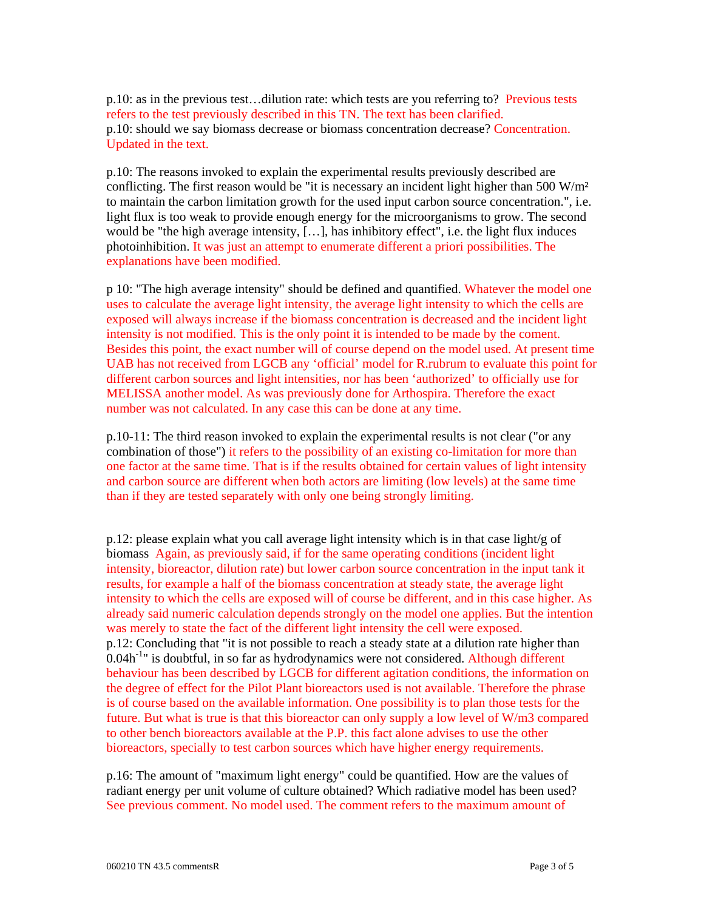p.10: as in the previous test…dilution rate: which tests are you referring to? Previous tests refers to the test previously described in this TN. The text has been clarified. p.10: should we say biomass decrease or biomass concentration decrease? Concentration. Updated in the text.

p.10: The reasons invoked to explain the experimental results previously described are conflicting. The first reason would be "it is necessary an incident light higher than  $500 \text{ W/m}^2$ to maintain the carbon limitation growth for the used input carbon source concentration.", i.e. light flux is too weak to provide enough energy for the microorganisms to grow. The second would be "the high average intensity,  $[\ldots]$ , has inhibitory effect", i.e. the light flux induces photoinhibition. It was just an attempt to enumerate different a priori possibilities. The explanations have been modified.

p 10: "The high average intensity" should be defined and quantified. Whatever the model one uses to calculate the average light intensity, the average light intensity to which the cells are exposed will always increase if the biomass concentration is decreased and the incident light intensity is not modified. This is the only point it is intended to be made by the coment. Besides this point, the exact number will of course depend on the model used. At present time UAB has not received from LGCB any 'official' model for R.rubrum to evaluate this point for different carbon sources and light intensities, nor has been 'authorized' to officially use for MELISSA another model. As was previously done for Arthospira. Therefore the exact number was not calculated. In any case this can be done at any time.

p.10-11: The third reason invoked to explain the experimental results is not clear ("or any combination of those") it refers to the possibility of an existing co-limitation for more than one factor at the same time. That is if the results obtained for certain values of light intensity and carbon source are different when both actors are limiting (low levels) at the same time than if they are tested separately with only one being strongly limiting.

p.12: please explain what you call average light intensity which is in that case light/g of biomass Again, as previously said, if for the same operating conditions (incident light intensity, bioreactor, dilution rate) but lower carbon source concentration in the input tank it results, for example a half of the biomass concentration at steady state, the average light intensity to which the cells are exposed will of course be different, and in this case higher. As already said numeric calculation depends strongly on the model one applies. But the intention was merely to state the fact of the different light intensity the cell were exposed. p.12: Concluding that "it is not possible to reach a steady state at a dilution rate higher than  $0.04h^{-1}$ " is doubtful, in so far as hydrodynamics were not considered. Although different behaviour has been described by LGCB for different agitation conditions, the information on the degree of effect for the Pilot Plant bioreactors used is not available. Therefore the phrase is of course based on the available information. One possibility is to plan those tests for the future. But what is true is that this bioreactor can only supply a low level of W/m3 compared to other bench bioreactors available at the P.P. this fact alone advises to use the other bioreactors, specially to test carbon sources which have higher energy requirements.

p.16: The amount of "maximum light energy" could be quantified. How are the values of radiant energy per unit volume of culture obtained? Which radiative model has been used? See previous comment. No model used. The comment refers to the maximum amount of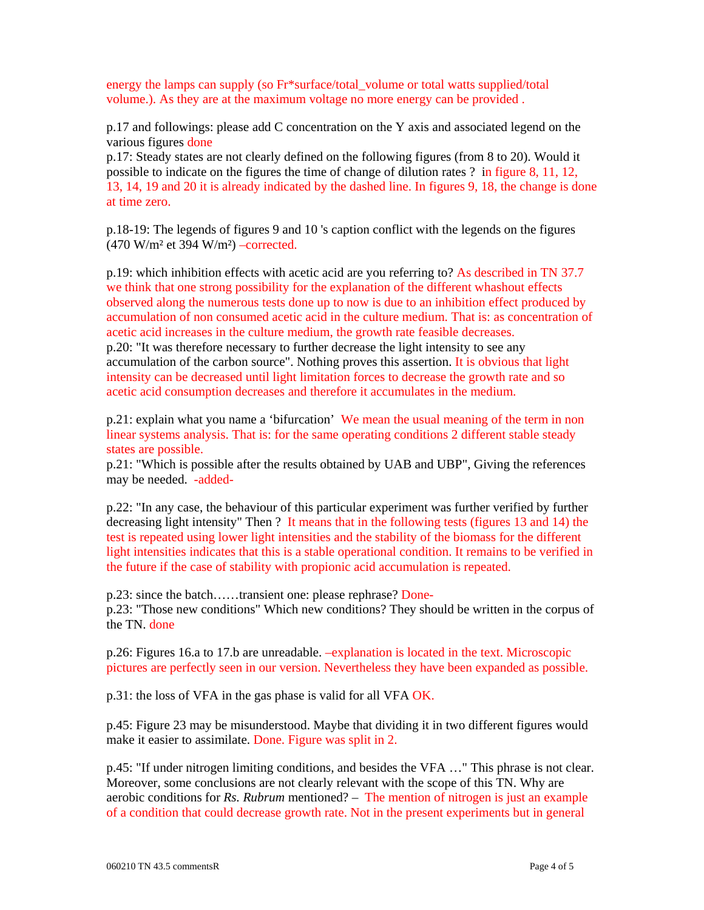energy the lamps can supply (so Fr\*surface/total volume or total watts supplied/total volume.). As they are at the maximum voltage no more energy can be provided .

p.17 and followings: please add C concentration on the Y axis and associated legend on the various figures done

p.17: Steady states are not clearly defined on the following figures (from 8 to 20). Would it possible to indicate on the figures the time of change of dilution rates ? in figure 8, 11, 12, 13, 14, 19 and 20 it is already indicated by the dashed line. In figures 9, 18, the change is done at time zero.

p.18-19: The legends of figures 9 and 10 's caption conflict with the legends on the figures  $(470 \text{ W/m}^2 \text{ et } 394 \text{ W/m}^2)$  –corrected.

p.19: which inhibition effects with acetic acid are you referring to? As described in TN 37.7 we think that one strong possibility for the explanation of the different whashout effects observed along the numerous tests done up to now is due to an inhibition effect produced by accumulation of non consumed acetic acid in the culture medium. That is: as concentration of acetic acid increases in the culture medium, the growth rate feasible decreases. p.20: "It was therefore necessary to further decrease the light intensity to see any accumulation of the carbon source". Nothing proves this assertion. It is obvious that light intensity can be decreased until light limitation forces to decrease the growth rate and so acetic acid consumption decreases and therefore it accumulates in the medium.

p.21: explain what you name a 'bifurcation' We mean the usual meaning of the term in non linear systems analysis. That is: for the same operating conditions 2 different stable steady states are possible.

p.21: "Which is possible after the results obtained by UAB and UBP", Giving the references may be needed. -added-

p.22: "In any case, the behaviour of this particular experiment was further verified by further decreasing light intensity" Then ? It means that in the following tests (figures 13 and 14) the test is repeated using lower light intensities and the stability of the biomass for the different light intensities indicates that this is a stable operational condition. It remains to be verified in the future if the case of stability with propionic acid accumulation is repeated.

p.23: since the batch……transient one: please rephrase? Donep.23: "Those new conditions" Which new conditions? They should be written in the corpus of the TN. done

p.26: Figures 16.a to 17.b are unreadable. –explanation is located in the text. Microscopic pictures are perfectly seen in our version. Nevertheless they have been expanded as possible.

p.31: the loss of VFA in the gas phase is valid for all VFA OK.

p.45: Figure 23 may be misunderstood. Maybe that dividing it in two different figures would make it easier to assimilate. Done. Figure was split in 2.

p.45: "If under nitrogen limiting conditions, and besides the VFA …" This phrase is not clear. Moreover, some conclusions are not clearly relevant with the scope of this TN. Why are aerobic conditions for *Rs. Rubrum* mentioned? – The mention of nitrogen is just an example of a condition that could decrease growth rate. Not in the present experiments but in general